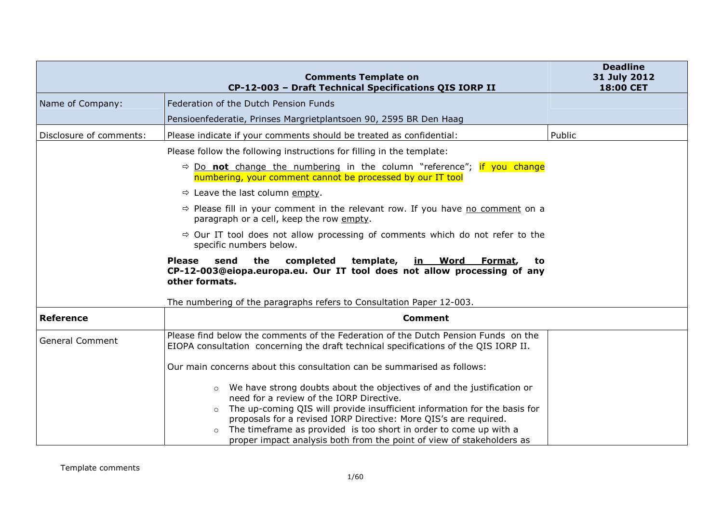|                         | <b>Comments Template on</b><br>CP-12-003 - Draft Technical Specifications QIS IORP II                                                                                        | <b>Deadline</b><br>31 July 2012<br>18:00 CET |
|-------------------------|------------------------------------------------------------------------------------------------------------------------------------------------------------------------------|----------------------------------------------|
| Name of Company:        | Federation of the Dutch Pension Funds                                                                                                                                        |                                              |
|                         | Pensioenfederatie, Prinses Margrietplantsoen 90, 2595 BR Den Haag                                                                                                            |                                              |
| Disclosure of comments: | Please indicate if your comments should be treated as confidential:                                                                                                          | Public                                       |
|                         | Please follow the following instructions for filling in the template:                                                                                                        |                                              |
|                         | $\Rightarrow$ Do <b>not</b> change the numbering in the column "reference"; if you change<br>numbering, your comment cannot be processed by our IT tool                      |                                              |
|                         | $\Rightarrow$ Leave the last column empty.                                                                                                                                   |                                              |
|                         | $\Rightarrow$ Please fill in your comment in the relevant row. If you have no comment on a<br>paragraph or a cell, keep the row empty.                                       |                                              |
|                         | $\Rightarrow$ Our IT tool does not allow processing of comments which do not refer to the<br>specific numbers below.                                                         |                                              |
|                         | completed<br><b>Please</b><br>send<br>the<br>template,<br>in Word Format,<br>to<br>CP-12-003@eiopa.europa.eu. Our IT tool does not allow processing of any<br>other formats. |                                              |
|                         | The numbering of the paragraphs refers to Consultation Paper 12-003.                                                                                                         |                                              |
| <b>Reference</b>        | <b>Comment</b>                                                                                                                                                               |                                              |
| <b>General Comment</b>  | Please find below the comments of the Federation of the Dutch Pension Funds on the<br>EIOPA consultation concerning the draft technical specifications of the QIS IORP II.   |                                              |
|                         | Our main concerns about this consultation can be summarised as follows:                                                                                                      |                                              |
|                         | We have strong doubts about the objectives of and the justification or<br>$\circ$<br>need for a review of the IORP Directive.                                                |                                              |
|                         | The up-coming QIS will provide insufficient information for the basis for<br>$\circ$<br>proposals for a revised IORP Directive: More QIS's are required.                     |                                              |
|                         | The timeframe as provided is too short in order to come up with a<br>$\circ$<br>proper impact analysis both from the point of view of stakeholders as                        |                                              |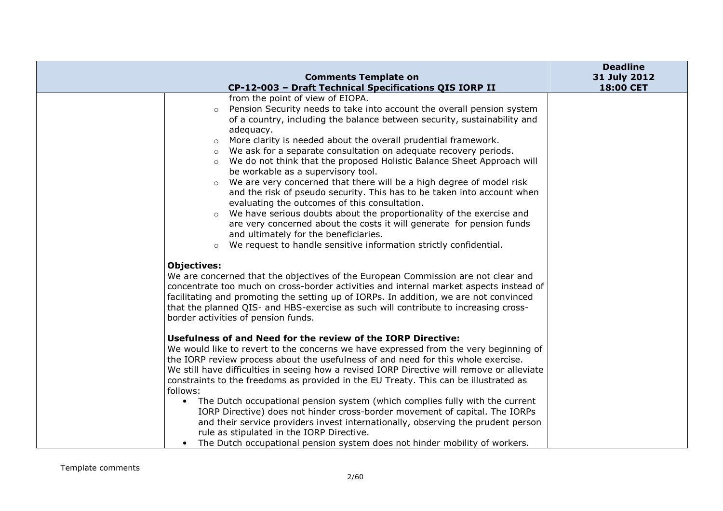|                       |                                                                                                                                                                                                                                                                                                                                                                                                                                                                                                                                                                                                                                                                                                                                                                                                                                                                                                                           | <b>Deadline</b> |
|-----------------------|---------------------------------------------------------------------------------------------------------------------------------------------------------------------------------------------------------------------------------------------------------------------------------------------------------------------------------------------------------------------------------------------------------------------------------------------------------------------------------------------------------------------------------------------------------------------------------------------------------------------------------------------------------------------------------------------------------------------------------------------------------------------------------------------------------------------------------------------------------------------------------------------------------------------------|-----------------|
|                       | <b>Comments Template on</b>                                                                                                                                                                                                                                                                                                                                                                                                                                                                                                                                                                                                                                                                                                                                                                                                                                                                                               | 31 July 2012    |
|                       | CP-12-003 - Draft Technical Specifications QIS IORP II                                                                                                                                                                                                                                                                                                                                                                                                                                                                                                                                                                                                                                                                                                                                                                                                                                                                    | 18:00 CET       |
|                       | from the point of view of EIOPA.<br>Pension Security needs to take into account the overall pension system<br>$\circ$<br>of a country, including the balance between security, sustainability and<br>adequacy.<br>More clarity is needed about the overall prudential framework.<br>$\circ$<br>We ask for a separate consultation on adequate recovery periods.<br>$\circ$<br>We do not think that the proposed Holistic Balance Sheet Approach will<br>$\circ$<br>be workable as a supervisory tool.<br>We are very concerned that there will be a high degree of model risk<br>$\circ$<br>and the risk of pseudo security. This has to be taken into account when<br>evaluating the outcomes of this consultation.<br>We have serious doubts about the proportionality of the exercise and<br>$\circ$<br>are very concerned about the costs it will generate for pension funds<br>and ultimately for the beneficiaries. |                 |
|                       | We request to handle sensitive information strictly confidential.<br>$\circ$                                                                                                                                                                                                                                                                                                                                                                                                                                                                                                                                                                                                                                                                                                                                                                                                                                              |                 |
| <b>Objectives:</b>    | We are concerned that the objectives of the European Commission are not clear and<br>concentrate too much on cross-border activities and internal market aspects instead of<br>facilitating and promoting the setting up of IORPs. In addition, we are not convinced<br>that the planned QIS- and HBS-exercise as such will contribute to increasing cross-<br>border activities of pension funds.                                                                                                                                                                                                                                                                                                                                                                                                                                                                                                                        |                 |
|                       | Usefulness of and Need for the review of the IORP Directive:<br>We would like to revert to the concerns we have expressed from the very beginning of<br>the IORP review process about the usefulness of and need for this whole exercise.<br>We still have difficulties in seeing how a revised IORP Directive will remove or alleviate<br>constraints to the freedoms as provided in the EU Treaty. This can be illustrated as                                                                                                                                                                                                                                                                                                                                                                                                                                                                                           |                 |
| follows:<br>$\bullet$ | The Dutch occupational pension system (which complies fully with the current<br>IORP Directive) does not hinder cross-border movement of capital. The IORPs<br>and their service providers invest internationally, observing the prudent person<br>rule as stipulated in the IORP Directive.<br>The Dutch occupational pension system does not hinder mobility of workers.                                                                                                                                                                                                                                                                                                                                                                                                                                                                                                                                                |                 |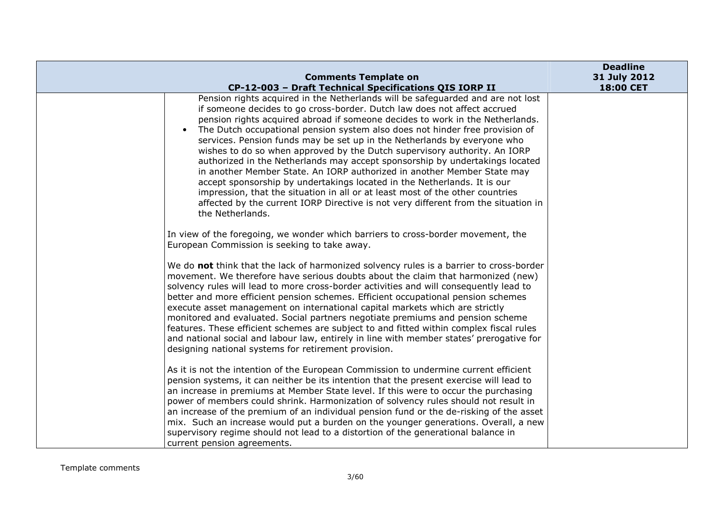|                                                                                                                                                           | <b>Deadline</b> |
|-----------------------------------------------------------------------------------------------------------------------------------------------------------|-----------------|
| <b>Comments Template on</b>                                                                                                                               | 31 July 2012    |
| CP-12-003 - Draft Technical Specifications QIS IORP II                                                                                                    | 18:00 CET       |
| Pension rights acquired in the Netherlands will be safeguarded and are not lost                                                                           |                 |
| if someone decides to go cross-border. Dutch law does not affect accrued                                                                                  |                 |
| pension rights acquired abroad if someone decides to work in the Netherlands.                                                                             |                 |
| The Dutch occupational pension system also does not hinder free provision of                                                                              |                 |
| services. Pension funds may be set up in the Netherlands by everyone who                                                                                  |                 |
| wishes to do so when approved by the Dutch supervisory authority. An IORP<br>authorized in the Netherlands may accept sponsorship by undertakings located |                 |
| in another Member State. An IORP authorized in another Member State may                                                                                   |                 |
| accept sponsorship by undertakings located in the Netherlands. It is our                                                                                  |                 |
| impression, that the situation in all or at least most of the other countries                                                                             |                 |
| affected by the current IORP Directive is not very different from the situation in                                                                        |                 |
| the Netherlands.                                                                                                                                          |                 |
|                                                                                                                                                           |                 |
| In view of the foregoing, we wonder which barriers to cross-border movement, the                                                                          |                 |
| European Commission is seeking to take away.                                                                                                              |                 |
|                                                                                                                                                           |                 |
| We do not think that the lack of harmonized solvency rules is a barrier to cross-border                                                                   |                 |
| movement. We therefore have serious doubts about the claim that harmonized (new)                                                                          |                 |
| solvency rules will lead to more cross-border activities and will consequently lead to                                                                    |                 |
| better and more efficient pension schemes. Efficient occupational pension schemes                                                                         |                 |
| execute asset management on international capital markets which are strictly                                                                              |                 |
| monitored and evaluated. Social partners negotiate premiums and pension scheme                                                                            |                 |
| features. These efficient schemes are subject to and fitted within complex fiscal rules                                                                   |                 |
| and national social and labour law, entirely in line with member states' prerogative for                                                                  |                 |
| designing national systems for retirement provision.                                                                                                      |                 |
| As it is not the intention of the European Commission to undermine current efficient                                                                      |                 |
| pension systems, it can neither be its intention that the present exercise will lead to                                                                   |                 |
| an increase in premiums at Member State level. If this were to occur the purchasing                                                                       |                 |
| power of members could shrink. Harmonization of solvency rules should not result in                                                                       |                 |
| an increase of the premium of an individual pension fund or the de-risking of the asset                                                                   |                 |
| mix. Such an increase would put a burden on the younger generations. Overall, a new                                                                       |                 |
| supervisory regime should not lead to a distortion of the generational balance in                                                                         |                 |
| current pension agreements.                                                                                                                               |                 |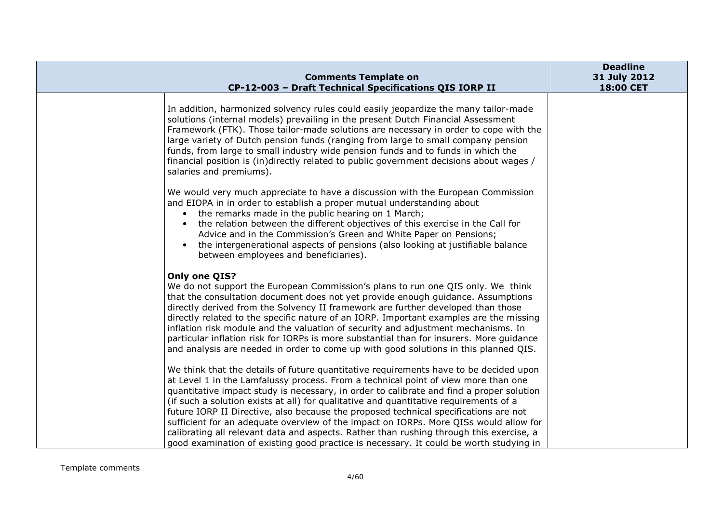| <b>Comments Template on</b>                                                                                                                                                                                                                                                                                                                                                                                                                                                                                                                                                                                                                                                                                                            | <b>Deadline</b><br>31 July 2012 |
|----------------------------------------------------------------------------------------------------------------------------------------------------------------------------------------------------------------------------------------------------------------------------------------------------------------------------------------------------------------------------------------------------------------------------------------------------------------------------------------------------------------------------------------------------------------------------------------------------------------------------------------------------------------------------------------------------------------------------------------|---------------------------------|
| CP-12-003 - Draft Technical Specifications QIS IORP II                                                                                                                                                                                                                                                                                                                                                                                                                                                                                                                                                                                                                                                                                 | 18:00 CET                       |
| In addition, harmonized solvency rules could easily jeopardize the many tailor-made<br>solutions (internal models) prevailing in the present Dutch Financial Assessment<br>Framework (FTK). Those tailor-made solutions are necessary in order to cope with the<br>large variety of Dutch pension funds (ranging from large to small company pension<br>funds, from large to small industry wide pension funds and to funds in which the<br>financial position is (in)directly related to public government decisions about wages /<br>salaries and premiums).                                                                                                                                                                         |                                 |
| We would very much appreciate to have a discussion with the European Commission<br>and EIOPA in in order to establish a proper mutual understanding about<br>• the remarks made in the public hearing on 1 March;<br>the relation between the different objectives of this exercise in the Call for<br>Advice and in the Commission's Green and White Paper on Pensions;<br>the intergenerational aspects of pensions (also looking at justifiable balance<br>$\bullet$<br>between employees and beneficiaries).                                                                                                                                                                                                                       |                                 |
| Only one QIS?<br>We do not support the European Commission's plans to run one QIS only. We think<br>that the consultation document does not yet provide enough guidance. Assumptions<br>directly derived from the Solvency II framework are further developed than those<br>directly related to the specific nature of an IORP. Important examples are the missing<br>inflation risk module and the valuation of security and adjustment mechanisms. In<br>particular inflation risk for IORPs is more substantial than for insurers. More guidance<br>and analysis are needed in order to come up with good solutions in this planned QIS.                                                                                            |                                 |
| We think that the details of future quantitative requirements have to be decided upon<br>at Level 1 in the Lamfalussy process. From a technical point of view more than one<br>quantitative impact study is necessary, in order to calibrate and find a proper solution<br>(if such a solution exists at all) for qualitative and quantitative requirements of a<br>future IORP II Directive, also because the proposed technical specifications are not<br>sufficient for an adequate overview of the impact on IORPs. More QISs would allow for<br>calibrating all relevant data and aspects. Rather than rushing through this exercise, a<br>good examination of existing good practice is necessary. It could be worth studying in |                                 |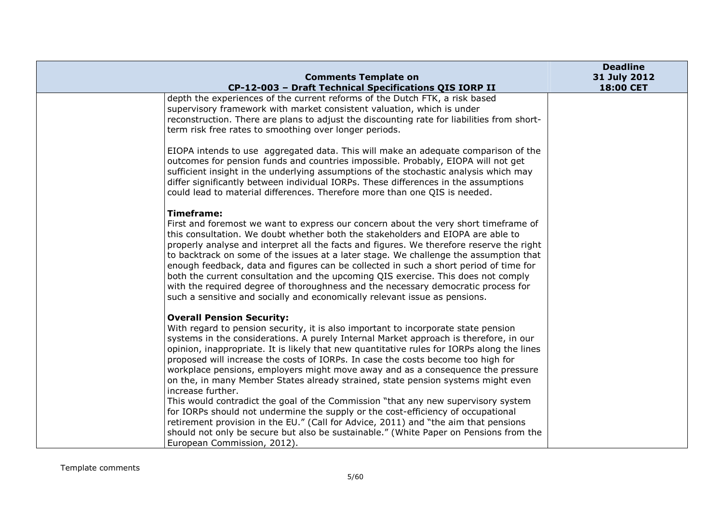|                                                                                                                                                                                                                                                                                                                                                                                                                                                                                                                                                                                                                                                                                                                                                                                                                                                               | <b>Deadline</b>           |
|---------------------------------------------------------------------------------------------------------------------------------------------------------------------------------------------------------------------------------------------------------------------------------------------------------------------------------------------------------------------------------------------------------------------------------------------------------------------------------------------------------------------------------------------------------------------------------------------------------------------------------------------------------------------------------------------------------------------------------------------------------------------------------------------------------------------------------------------------------------|---------------------------|
| <b>Comments Template on</b><br>CP-12-003 - Draft Technical Specifications QIS IORP II                                                                                                                                                                                                                                                                                                                                                                                                                                                                                                                                                                                                                                                                                                                                                                         | 31 July 2012<br>18:00 CET |
| depth the experiences of the current reforms of the Dutch FTK, a risk based<br>supervisory framework with market consistent valuation, which is under<br>reconstruction. There are plans to adjust the discounting rate for liabilities from short-<br>term risk free rates to smoothing over longer periods.                                                                                                                                                                                                                                                                                                                                                                                                                                                                                                                                                 |                           |
| EIOPA intends to use aggregated data. This will make an adequate comparison of the<br>outcomes for pension funds and countries impossible. Probably, EIOPA will not get<br>sufficient insight in the underlying assumptions of the stochastic analysis which may<br>differ significantly between individual IORPs. These differences in the assumptions<br>could lead to material differences. Therefore more than one QIS is needed.                                                                                                                                                                                                                                                                                                                                                                                                                         |                           |
| <b>Timeframe:</b><br>First and foremost we want to express our concern about the very short timeframe of<br>this consultation. We doubt whether both the stakeholders and EIOPA are able to<br>properly analyse and interpret all the facts and figures. We therefore reserve the right<br>to backtrack on some of the issues at a later stage. We challenge the assumption that<br>enough feedback, data and figures can be collected in such a short period of time for<br>both the current consultation and the upcoming QIS exercise. This does not comply<br>with the required degree of thoroughness and the necessary democratic process for<br>such a sensitive and socially and economically relevant issue as pensions.                                                                                                                             |                           |
| <b>Overall Pension Security:</b><br>With regard to pension security, it is also important to incorporate state pension<br>systems in the considerations. A purely Internal Market approach is therefore, in our<br>opinion, inappropriate. It is likely that new quantitative rules for IORPs along the lines<br>proposed will increase the costs of IORPs. In case the costs become too high for<br>workplace pensions, employers might move away and as a consequence the pressure<br>on the, in many Member States already strained, state pension systems might even<br>increase further.<br>This would contradict the goal of the Commission "that any new supervisory system<br>for IORPs should not undermine the supply or the cost-efficiency of occupational<br>retirement provision in the EU." (Call for Advice, 2011) and "the aim that pensions |                           |
| should not only be secure but also be sustainable." (White Paper on Pensions from the<br>European Commission, 2012).                                                                                                                                                                                                                                                                                                                                                                                                                                                                                                                                                                                                                                                                                                                                          |                           |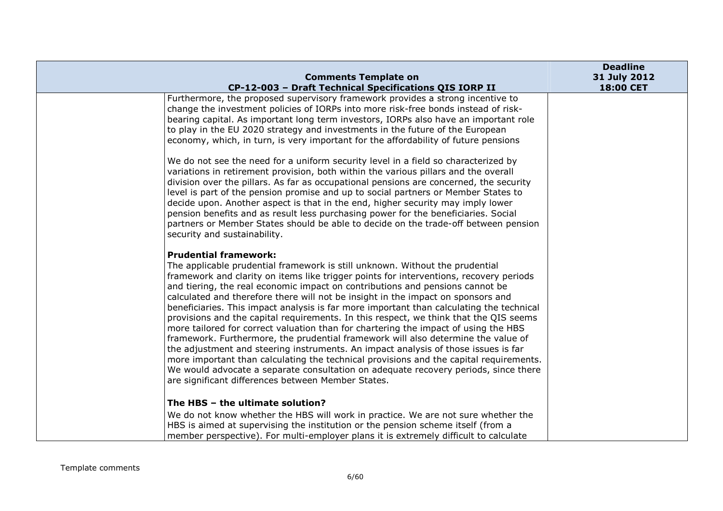|                                                                                                                                                                                                                                                                                                                                                                                                                                                                                                                                                                                                                                                                                                                                                                                                                                                                                                                                                                                                                                                                           | <b>Deadline</b>           |
|---------------------------------------------------------------------------------------------------------------------------------------------------------------------------------------------------------------------------------------------------------------------------------------------------------------------------------------------------------------------------------------------------------------------------------------------------------------------------------------------------------------------------------------------------------------------------------------------------------------------------------------------------------------------------------------------------------------------------------------------------------------------------------------------------------------------------------------------------------------------------------------------------------------------------------------------------------------------------------------------------------------------------------------------------------------------------|---------------------------|
| <b>Comments Template on</b><br>CP-12-003 - Draft Technical Specifications QIS IORP II                                                                                                                                                                                                                                                                                                                                                                                                                                                                                                                                                                                                                                                                                                                                                                                                                                                                                                                                                                                     | 31 July 2012<br>18:00 CET |
| Furthermore, the proposed supervisory framework provides a strong incentive to<br>change the investment policies of IORPs into more risk-free bonds instead of risk-<br>bearing capital. As important long term investors, IORPs also have an important role<br>to play in the EU 2020 strategy and investments in the future of the European<br>economy, which, in turn, is very important for the affordability of future pensions                                                                                                                                                                                                                                                                                                                                                                                                                                                                                                                                                                                                                                      |                           |
| We do not see the need for a uniform security level in a field so characterized by<br>variations in retirement provision, both within the various pillars and the overall<br>division over the pillars. As far as occupational pensions are concerned, the security<br>level is part of the pension promise and up to social partners or Member States to<br>decide upon. Another aspect is that in the end, higher security may imply lower<br>pension benefits and as result less purchasing power for the beneficiaries. Social<br>partners or Member States should be able to decide on the trade-off between pension<br>security and sustainability.                                                                                                                                                                                                                                                                                                                                                                                                                 |                           |
| <b>Prudential framework:</b><br>The applicable prudential framework is still unknown. Without the prudential<br>framework and clarity on items like trigger points for interventions, recovery periods<br>and tiering, the real economic impact on contributions and pensions cannot be<br>calculated and therefore there will not be insight in the impact on sponsors and<br>beneficiaries. This impact analysis is far more important than calculating the technical<br>provisions and the capital requirements. In this respect, we think that the QIS seems<br>more tailored for correct valuation than for chartering the impact of using the HBS<br>framework. Furthermore, the prudential framework will also determine the value of<br>the adjustment and steering instruments. An impact analysis of those issues is far<br>more important than calculating the technical provisions and the capital requirements.<br>We would advocate a separate consultation on adequate recovery periods, since there<br>are significant differences between Member States. |                           |
| The HBS - the ultimate solution?<br>We do not know whether the HBS will work in practice. We are not sure whether the<br>HBS is aimed at supervising the institution or the pension scheme itself (from a<br>member perspective). For multi-employer plans it is extremely difficult to calculate                                                                                                                                                                                                                                                                                                                                                                                                                                                                                                                                                                                                                                                                                                                                                                         |                           |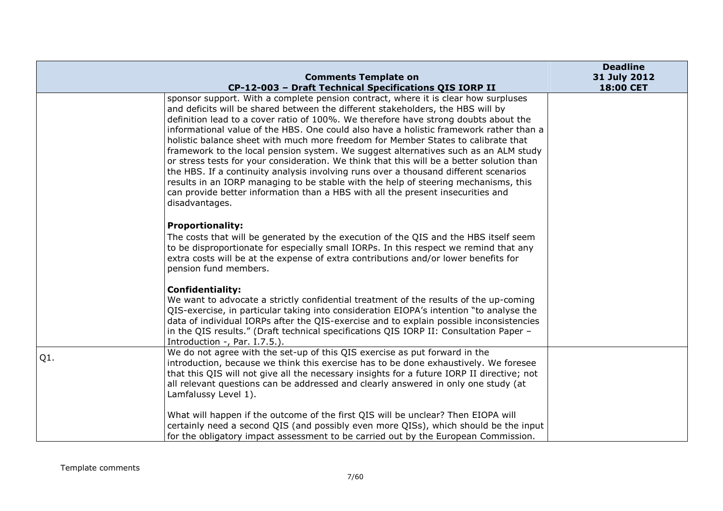|     |                                                                                                                                                                                                                                                                                                                                                                                                                                                                                                                                                                                                                                                                                                                                                                                                                                                                                                                     | <b>Deadline</b> |
|-----|---------------------------------------------------------------------------------------------------------------------------------------------------------------------------------------------------------------------------------------------------------------------------------------------------------------------------------------------------------------------------------------------------------------------------------------------------------------------------------------------------------------------------------------------------------------------------------------------------------------------------------------------------------------------------------------------------------------------------------------------------------------------------------------------------------------------------------------------------------------------------------------------------------------------|-----------------|
|     | <b>Comments Template on</b>                                                                                                                                                                                                                                                                                                                                                                                                                                                                                                                                                                                                                                                                                                                                                                                                                                                                                         | 31 July 2012    |
|     | CP-12-003 - Draft Technical Specifications QIS IORP II                                                                                                                                                                                                                                                                                                                                                                                                                                                                                                                                                                                                                                                                                                                                                                                                                                                              | 18:00 CET       |
|     | sponsor support. With a complete pension contract, where it is clear how surpluses<br>and deficits will be shared between the different stakeholders, the HBS will by<br>definition lead to a cover ratio of 100%. We therefore have strong doubts about the<br>informational value of the HBS. One could also have a holistic framework rather than a<br>holistic balance sheet with much more freedom for Member States to calibrate that<br>framework to the local pension system. We suggest alternatives such as an ALM study<br>or stress tests for your consideration. We think that this will be a better solution than<br>the HBS. If a continuity analysis involving runs over a thousand different scenarios<br>results in an IORP managing to be stable with the help of steering mechanisms, this<br>can provide better information than a HBS with all the present insecurities and<br>disadvantages. |                 |
|     | <b>Proportionality:</b><br>The costs that will be generated by the execution of the QIS and the HBS itself seem<br>to be disproportionate for especially small IORPs. In this respect we remind that any<br>extra costs will be at the expense of extra contributions and/or lower benefits for<br>pension fund members.                                                                                                                                                                                                                                                                                                                                                                                                                                                                                                                                                                                            |                 |
|     | <b>Confidentiality:</b><br>We want to advocate a strictly confidential treatment of the results of the up-coming<br>QIS-exercise, in particular taking into consideration EIOPA's intention "to analyse the<br>data of individual IORPs after the QIS-exercise and to explain possible inconsistencies<br>in the QIS results." (Draft technical specifications QIS IORP II: Consultation Paper -<br>Introduction -, Par. I.7.5.).                                                                                                                                                                                                                                                                                                                                                                                                                                                                                   |                 |
| Q1. | We do not agree with the set-up of this QIS exercise as put forward in the<br>introduction, because we think this exercise has to be done exhaustively. We foresee<br>that this QIS will not give all the necessary insights for a future IORP II directive; not<br>all relevant questions can be addressed and clearly answered in only one study (at<br>Lamfalussy Level 1).                                                                                                                                                                                                                                                                                                                                                                                                                                                                                                                                      |                 |
|     | What will happen if the outcome of the first QIS will be unclear? Then EIOPA will<br>certainly need a second QIS (and possibly even more QISs), which should be the input<br>for the obligatory impact assessment to be carried out by the European Commission.                                                                                                                                                                                                                                                                                                                                                                                                                                                                                                                                                                                                                                                     |                 |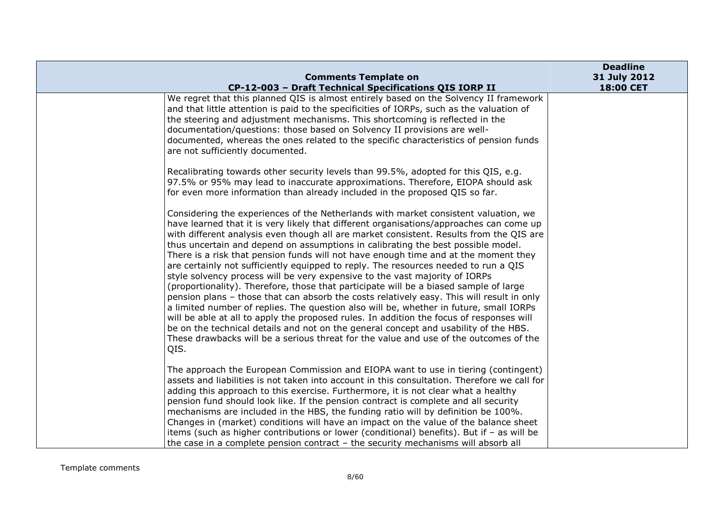|                                                                                                                                                                                                                                                                                                                                                                                                                                                                                                                                                                                                                                                                                                                                                                                                                                                                                                                                                                                                                                                                                                                                                                                                 | <b>Deadline</b>           |
|-------------------------------------------------------------------------------------------------------------------------------------------------------------------------------------------------------------------------------------------------------------------------------------------------------------------------------------------------------------------------------------------------------------------------------------------------------------------------------------------------------------------------------------------------------------------------------------------------------------------------------------------------------------------------------------------------------------------------------------------------------------------------------------------------------------------------------------------------------------------------------------------------------------------------------------------------------------------------------------------------------------------------------------------------------------------------------------------------------------------------------------------------------------------------------------------------|---------------------------|
| <b>Comments Template on</b><br>CP-12-003 - Draft Technical Specifications QIS IORP II                                                                                                                                                                                                                                                                                                                                                                                                                                                                                                                                                                                                                                                                                                                                                                                                                                                                                                                                                                                                                                                                                                           | 31 July 2012<br>18:00 CET |
| We regret that this planned QIS is almost entirely based on the Solvency II framework<br>and that little attention is paid to the specificities of IORPs, such as the valuation of<br>the steering and adjustment mechanisms. This shortcoming is reflected in the<br>documentation/questions: those based on Solvency II provisions are well-<br>documented, whereas the ones related to the specific characteristics of pension funds<br>are not sufficiently documented.                                                                                                                                                                                                                                                                                                                                                                                                                                                                                                                                                                                                                                                                                                                     |                           |
| Recalibrating towards other security levels than 99.5%, adopted for this QIS, e.g.<br>97.5% or 95% may lead to inaccurate approximations. Therefore, EIOPA should ask<br>for even more information than already included in the proposed QIS so far.                                                                                                                                                                                                                                                                                                                                                                                                                                                                                                                                                                                                                                                                                                                                                                                                                                                                                                                                            |                           |
| Considering the experiences of the Netherlands with market consistent valuation, we<br>have learned that it is very likely that different organisations/approaches can come up<br>with different analysis even though all are market consistent. Results from the QIS are<br>thus uncertain and depend on assumptions in calibrating the best possible model.<br>There is a risk that pension funds will not have enough time and at the moment they<br>are certainly not sufficiently equipped to reply. The resources needed to run a QIS<br>style solvency process will be very expensive to the vast majority of IORPs<br>(proportionality). Therefore, those that participate will be a biased sample of large<br>pension plans - those that can absorb the costs relatively easy. This will result in only<br>a limited number of replies. The question also will be, whether in future, small IORPs<br>will be able at all to apply the proposed rules. In addition the focus of responses will<br>be on the technical details and not on the general concept and usability of the HBS.<br>These drawbacks will be a serious threat for the value and use of the outcomes of the<br>QIS. |                           |
| The approach the European Commission and EIOPA want to use in tiering (contingent)<br>assets and liabilities is not taken into account in this consultation. Therefore we call for<br>adding this approach to this exercise. Furthermore, it is not clear what a healthy<br>pension fund should look like. If the pension contract is complete and all security<br>mechanisms are included in the HBS, the funding ratio will by definition be 100%.<br>Changes in (market) conditions will have an impact on the value of the balance sheet<br>items (such as higher contributions or lower (conditional) benefits). But if - as will be<br>the case in a complete pension contract - the security mechanisms will absorb all                                                                                                                                                                                                                                                                                                                                                                                                                                                                  |                           |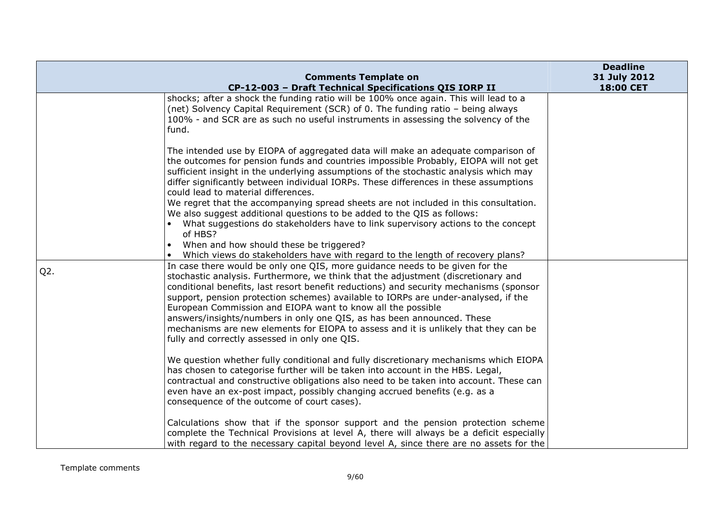|        | <b>Comments Template on</b>                                                                                                                                                                                                                                                                                                                                                                                                                                                                                                                                                                                                        | <b>Deadline</b><br>31 July 2012 |
|--------|------------------------------------------------------------------------------------------------------------------------------------------------------------------------------------------------------------------------------------------------------------------------------------------------------------------------------------------------------------------------------------------------------------------------------------------------------------------------------------------------------------------------------------------------------------------------------------------------------------------------------------|---------------------------------|
|        | CP-12-003 - Draft Technical Specifications QIS IORP II                                                                                                                                                                                                                                                                                                                                                                                                                                                                                                                                                                             | 18:00 CET                       |
|        | shocks; after a shock the funding ratio will be 100% once again. This will lead to a<br>(net) Solvency Capital Requirement (SCR) of 0. The funding ratio - being always<br>100% - and SCR are as such no useful instruments in assessing the solvency of the<br>fund.                                                                                                                                                                                                                                                                                                                                                              |                                 |
|        | The intended use by EIOPA of aggregated data will make an adequate comparison of<br>the outcomes for pension funds and countries impossible Probably, EIOPA will not get<br>sufficient insight in the underlying assumptions of the stochastic analysis which may<br>differ significantly between individual IORPs. These differences in these assumptions<br>could lead to material differences.                                                                                                                                                                                                                                  |                                 |
|        | We regret that the accompanying spread sheets are not included in this consultation.<br>We also suggest additional questions to be added to the QIS as follows:<br>What suggestions do stakeholders have to link supervisory actions to the concept<br>of HBS?<br>When and how should these be triggered?<br>Which views do stakeholders have with regard to the length of recovery plans?                                                                                                                                                                                                                                         |                                 |
| $Q2$ . | In case there would be only one QIS, more guidance needs to be given for the<br>stochastic analysis. Furthermore, we think that the adjustment (discretionary and<br>conditional benefits, last resort benefit reductions) and security mechanisms (sponsor<br>support, pension protection schemes) available to IORPs are under-analysed, if the<br>European Commission and EIOPA want to know all the possible<br>answers/insights/numbers in only one QIS, as has been announced. These<br>mechanisms are new elements for EIOPA to assess and it is unlikely that they can be<br>fully and correctly assessed in only one QIS. |                                 |
|        | We question whether fully conditional and fully discretionary mechanisms which EIOPA<br>has chosen to categorise further will be taken into account in the HBS. Legal,<br>contractual and constructive obligations also need to be taken into account. These can<br>even have an ex-post impact, possibly changing accrued benefits (e.g. as a<br>consequence of the outcome of court cases).                                                                                                                                                                                                                                      |                                 |
|        | Calculations show that if the sponsor support and the pension protection scheme<br>complete the Technical Provisions at level A, there will always be a deficit especially<br>with regard to the necessary capital beyond level A, since there are no assets for the                                                                                                                                                                                                                                                                                                                                                               |                                 |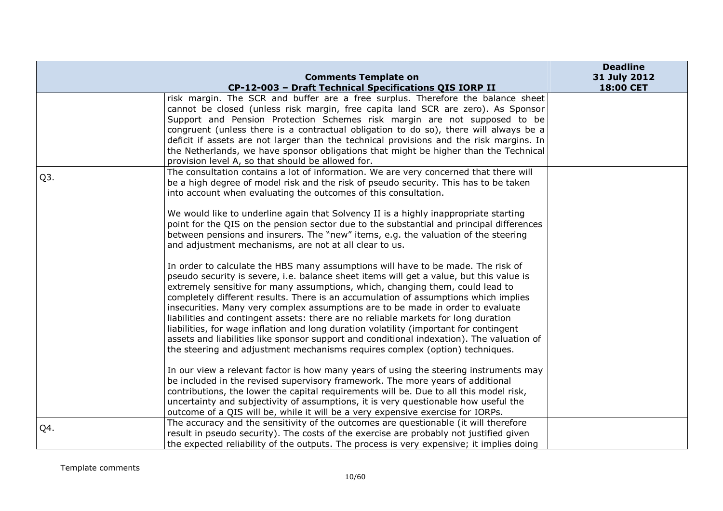|     |                                                                                           | <b>Deadline</b> |
|-----|-------------------------------------------------------------------------------------------|-----------------|
|     | <b>Comments Template on</b>                                                               | 31 July 2012    |
|     | CP-12-003 - Draft Technical Specifications QIS IORP II                                    | 18:00 CET       |
|     | risk margin. The SCR and buffer are a free surplus. Therefore the balance sheet           |                 |
|     | cannot be closed (unless risk margin, free capita land SCR are zero). As Sponsor          |                 |
|     | Support and Pension Protection Schemes risk margin are not supposed to be                 |                 |
|     | congruent (unless there is a contractual obligation to do so), there will always be a     |                 |
|     | deficit if assets are not larger than the technical provisions and the risk margins. In   |                 |
|     | the Netherlands, we have sponsor obligations that might be higher than the Technical      |                 |
|     | provision level A, so that should be allowed for.                                         |                 |
| Q3. | The consultation contains a lot of information. We are very concerned that there will     |                 |
|     | be a high degree of model risk and the risk of pseudo security. This has to be taken      |                 |
|     | into account when evaluating the outcomes of this consultation.                           |                 |
|     |                                                                                           |                 |
|     | We would like to underline again that Solvency II is a highly inappropriate starting      |                 |
|     | point for the QIS on the pension sector due to the substantial and principal differences  |                 |
|     | between pensions and insurers. The "new" items, e.g. the valuation of the steering        |                 |
|     | and adjustment mechanisms, are not at all clear to us.                                    |                 |
|     | In order to calculate the HBS many assumptions will have to be made. The risk of          |                 |
|     | pseudo security is severe, i.e. balance sheet items will get a value, but this value is   |                 |
|     | extremely sensitive for many assumptions, which, changing them, could lead to             |                 |
|     | completely different results. There is an accumulation of assumptions which implies       |                 |
|     | insecurities. Many very complex assumptions are to be made in order to evaluate           |                 |
|     | liabilities and contingent assets: there are no reliable markets for long duration        |                 |
|     | liabilities, for wage inflation and long duration volatility (important for contingent    |                 |
|     | assets and liabilities like sponsor support and conditional indexation). The valuation of |                 |
|     | the steering and adjustment mechanisms requires complex (option) techniques.              |                 |
|     |                                                                                           |                 |
|     | In our view a relevant factor is how many years of using the steering instruments may     |                 |
|     | be included in the revised supervisory framework. The more years of additional            |                 |
|     | contributions, the lower the capital requirements will be. Due to all this model risk,    |                 |
|     | uncertainty and subjectivity of assumptions, it is very questionable how useful the       |                 |
|     | outcome of a QIS will be, while it will be a very expensive exercise for IORPs.           |                 |
|     | The accuracy and the sensitivity of the outcomes are questionable (it will therefore      |                 |
| Q4. | result in pseudo security). The costs of the exercise are probably not justified given    |                 |
|     | the expected reliability of the outputs. The process is very expensive; it implies doing  |                 |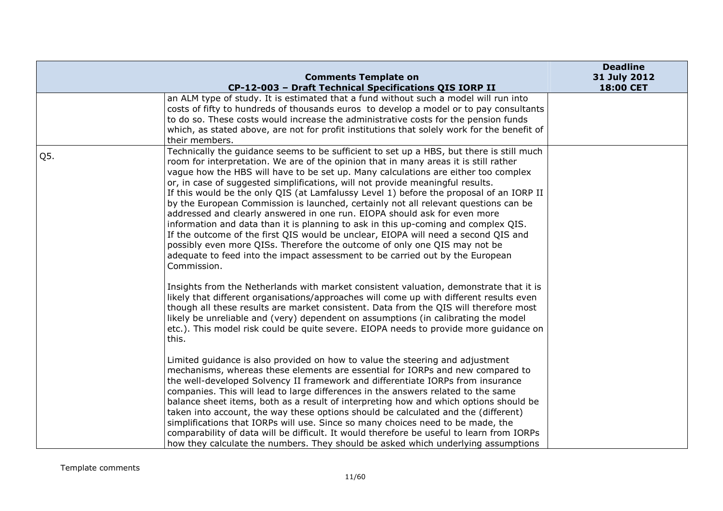|     | <b>Comments Template on</b>                                                                                                                                                                                                                                                                                                                                                                                                                                                                                                                                                                                                                                                                                                                                                                                                                                                                                                                                                      | <b>Deadline</b><br>31 July 2012 |
|-----|----------------------------------------------------------------------------------------------------------------------------------------------------------------------------------------------------------------------------------------------------------------------------------------------------------------------------------------------------------------------------------------------------------------------------------------------------------------------------------------------------------------------------------------------------------------------------------------------------------------------------------------------------------------------------------------------------------------------------------------------------------------------------------------------------------------------------------------------------------------------------------------------------------------------------------------------------------------------------------|---------------------------------|
|     | CP-12-003 - Draft Technical Specifications QIS IORP II<br>an ALM type of study. It is estimated that a fund without such a model will run into<br>costs of fifty to hundreds of thousands euros to develop a model or to pay consultants<br>to do so. These costs would increase the administrative costs for the pension funds<br>which, as stated above, are not for profit institutions that solely work for the benefit of<br>their members.                                                                                                                                                                                                                                                                                                                                                                                                                                                                                                                                 | 18:00 CET                       |
| Q5. | Technically the guidance seems to be sufficient to set up a HBS, but there is still much<br>room for interpretation. We are of the opinion that in many areas it is still rather<br>vague how the HBS will have to be set up. Many calculations are either too complex<br>or, in case of suggested simplifications, will not provide meaningful results.<br>If this would be the only QIS (at Lamfalussy Level 1) before the proposal of an IORP II<br>by the European Commission is launched, certainly not all relevant questions can be<br>addressed and clearly answered in one run. EIOPA should ask for even more<br>information and data than it is planning to ask in this up-coming and complex QIS.<br>If the outcome of the first QIS would be unclear, EIOPA will need a second QIS and<br>possibly even more QISs. Therefore the outcome of only one QIS may not be<br>adequate to feed into the impact assessment to be carried out by the European<br>Commission. |                                 |
|     | Insights from the Netherlands with market consistent valuation, demonstrate that it is<br>likely that different organisations/approaches will come up with different results even<br>though all these results are market consistent. Data from the QIS will therefore most<br>likely be unreliable and (very) dependent on assumptions (in calibrating the model<br>etc.). This model risk could be quite severe. EIOPA needs to provide more guidance on<br>this.                                                                                                                                                                                                                                                                                                                                                                                                                                                                                                               |                                 |
|     | Limited guidance is also provided on how to value the steering and adjustment<br>mechanisms, whereas these elements are essential for IORPs and new compared to<br>the well-developed Solvency II framework and differentiate IORPs from insurance<br>companies. This will lead to large differences in the answers related to the same<br>balance sheet items, both as a result of interpreting how and which options should be<br>taken into account, the way these options should be calculated and the (different)<br>simplifications that IORPs will use. Since so many choices need to be made, the<br>comparability of data will be difficult. It would therefore be useful to learn from IORPs<br>how they calculate the numbers. They should be asked which underlying assumptions                                                                                                                                                                                      |                                 |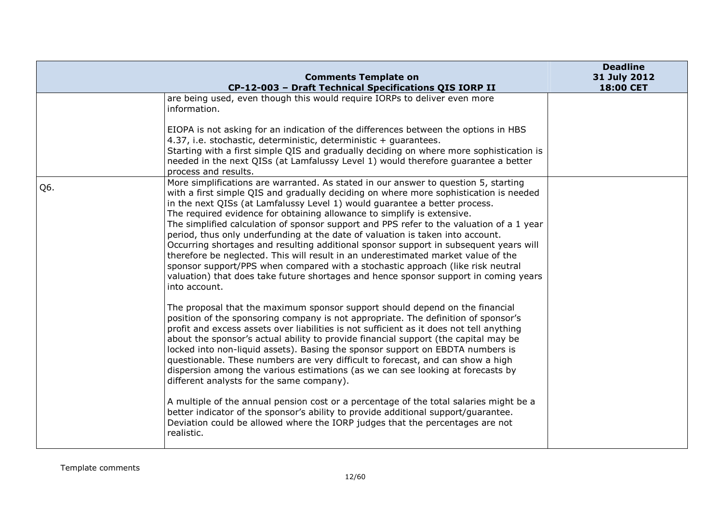|     | <b>Comments Template on</b><br>CP-12-003 - Draft Technical Specifications QIS IORP II                                                                                                                                                                                                                                                                                                                                                                                                                                                                                                                                                                                                                                                                                                                                                                                                         | <b>Deadline</b><br>31 July 2012<br>18:00 CET |
|-----|-----------------------------------------------------------------------------------------------------------------------------------------------------------------------------------------------------------------------------------------------------------------------------------------------------------------------------------------------------------------------------------------------------------------------------------------------------------------------------------------------------------------------------------------------------------------------------------------------------------------------------------------------------------------------------------------------------------------------------------------------------------------------------------------------------------------------------------------------------------------------------------------------|----------------------------------------------|
|     | are being used, even though this would require IORPs to deliver even more<br>information.                                                                                                                                                                                                                                                                                                                                                                                                                                                                                                                                                                                                                                                                                                                                                                                                     |                                              |
|     | EIOPA is not asking for an indication of the differences between the options in HBS<br>4.37, i.e. stochastic, deterministic, deterministic + quarantees.<br>Starting with a first simple QIS and gradually deciding on where more sophistication is<br>needed in the next QISs (at Lamfalussy Level 1) would therefore guarantee a better<br>process and results.                                                                                                                                                                                                                                                                                                                                                                                                                                                                                                                             |                                              |
| Q6. | More simplifications are warranted. As stated in our answer to question 5, starting<br>with a first simple QIS and gradually deciding on where more sophistication is needed<br>in the next QISs (at Lamfalussy Level 1) would guarantee a better process.<br>The required evidence for obtaining allowance to simplify is extensive.<br>The simplified calculation of sponsor support and PPS refer to the valuation of a 1 year<br>period, thus only underfunding at the date of valuation is taken into account.<br>Occurring shortages and resulting additional sponsor support in subsequent years will<br>therefore be neglected. This will result in an underestimated market value of the<br>sponsor support/PPS when compared with a stochastic approach (like risk neutral<br>valuation) that does take future shortages and hence sponsor support in coming years<br>into account. |                                              |
|     | The proposal that the maximum sponsor support should depend on the financial<br>position of the sponsoring company is not appropriate. The definition of sponsor's<br>profit and excess assets over liabilities is not sufficient as it does not tell anything<br>about the sponsor's actual ability to provide financial support (the capital may be<br>locked into non-liquid assets). Basing the sponsor support on EBDTA numbers is<br>questionable. These numbers are very difficult to forecast, and can show a high<br>dispersion among the various estimations (as we can see looking at forecasts by<br>different analysts for the same company).                                                                                                                                                                                                                                    |                                              |
|     | A multiple of the annual pension cost or a percentage of the total salaries might be a<br>better indicator of the sponsor's ability to provide additional support/guarantee.<br>Deviation could be allowed where the IORP judges that the percentages are not<br>realistic.                                                                                                                                                                                                                                                                                                                                                                                                                                                                                                                                                                                                                   |                                              |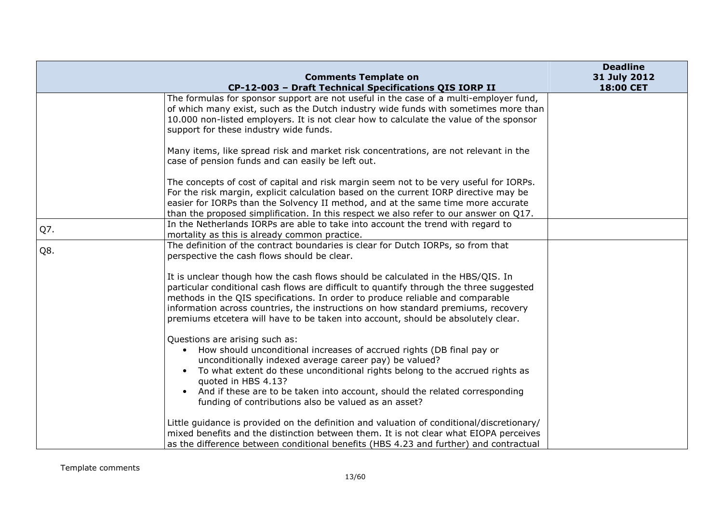|     | <b>Comments Template on</b>                                                                                                                                                                                                                                                                                                                                                                                                               | <b>Deadline</b><br>31 July 2012 |
|-----|-------------------------------------------------------------------------------------------------------------------------------------------------------------------------------------------------------------------------------------------------------------------------------------------------------------------------------------------------------------------------------------------------------------------------------------------|---------------------------------|
|     | CP-12-003 - Draft Technical Specifications QIS IORP II                                                                                                                                                                                                                                                                                                                                                                                    | 18:00 CET                       |
|     | The formulas for sponsor support are not useful in the case of a multi-employer fund,<br>of which many exist, such as the Dutch industry wide funds with sometimes more than<br>10.000 non-listed employers. It is not clear how to calculate the value of the sponsor<br>support for these industry wide funds.                                                                                                                          |                                 |
|     | Many items, like spread risk and market risk concentrations, are not relevant in the<br>case of pension funds and can easily be left out.                                                                                                                                                                                                                                                                                                 |                                 |
|     | The concepts of cost of capital and risk margin seem not to be very useful for IORPs.<br>For the risk margin, explicit calculation based on the current IORP directive may be<br>easier for IORPs than the Solvency II method, and at the same time more accurate<br>than the proposed simplification. In this respect we also refer to our answer on $Q17$ .                                                                             |                                 |
| Q7. | In the Netherlands IORPs are able to take into account the trend with regard to<br>mortality as this is already common practice.                                                                                                                                                                                                                                                                                                          |                                 |
| Q8. | The definition of the contract boundaries is clear for Dutch IORPs, so from that<br>perspective the cash flows should be clear.                                                                                                                                                                                                                                                                                                           |                                 |
|     | It is unclear though how the cash flows should be calculated in the HBS/QIS. In<br>particular conditional cash flows are difficult to quantify through the three suggested<br>methods in the QIS specifications. In order to produce reliable and comparable<br>information across countries, the instructions on how standard premiums, recovery<br>premiums etcetera will have to be taken into account, should be absolutely clear.    |                                 |
|     | Questions are arising such as:<br>How should unconditional increases of accrued rights (DB final pay or<br>$\bullet$<br>unconditionally indexed average career pay) be valued?<br>To what extent do these unconditional rights belong to the accrued rights as<br>$\bullet$<br>quoted in HBS 4.13?<br>And if these are to be taken into account, should the related corresponding<br>funding of contributions also be valued as an asset? |                                 |
|     | Little guidance is provided on the definition and valuation of conditional/discretionary/<br>mixed benefits and the distinction between them. It is not clear what EIOPA perceives<br>as the difference between conditional benefits (HBS 4.23 and further) and contractual                                                                                                                                                               |                                 |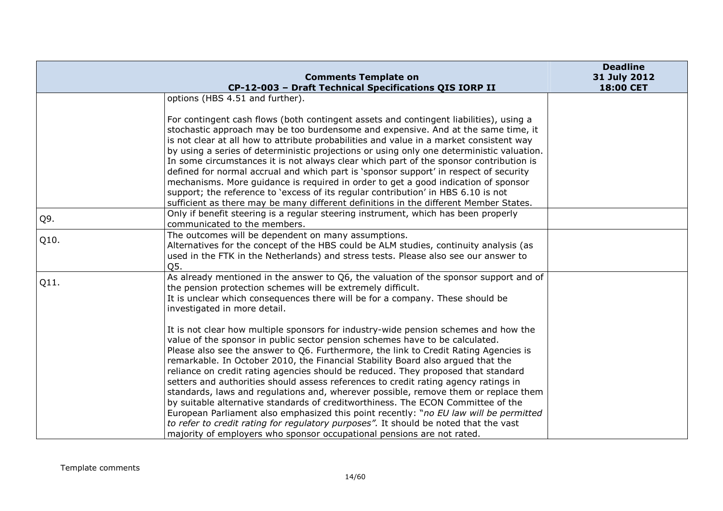|      | <b>Comments Template on</b>                                                                                                                                                                                                                                                                                                                                                                                                                                                                                                                                                                                                                                                                                                                                                                                                                                                                                                                                      | <b>Deadline</b><br>31 July 2012 |
|------|------------------------------------------------------------------------------------------------------------------------------------------------------------------------------------------------------------------------------------------------------------------------------------------------------------------------------------------------------------------------------------------------------------------------------------------------------------------------------------------------------------------------------------------------------------------------------------------------------------------------------------------------------------------------------------------------------------------------------------------------------------------------------------------------------------------------------------------------------------------------------------------------------------------------------------------------------------------|---------------------------------|
|      | CP-12-003 - Draft Technical Specifications QIS IORP II                                                                                                                                                                                                                                                                                                                                                                                                                                                                                                                                                                                                                                                                                                                                                                                                                                                                                                           | 18:00 CET                       |
|      | options (HBS 4.51 and further).                                                                                                                                                                                                                                                                                                                                                                                                                                                                                                                                                                                                                                                                                                                                                                                                                                                                                                                                  |                                 |
|      | For contingent cash flows (both contingent assets and contingent liabilities), using a<br>stochastic approach may be too burdensome and expensive. And at the same time, it<br>is not clear at all how to attribute probabilities and value in a market consistent way<br>by using a series of deterministic projections or using only one deterministic valuation.<br>In some circumstances it is not always clear which part of the sponsor contribution is<br>defined for normal accrual and which part is 'sponsor support' in respect of security<br>mechanisms. More guidance is required in order to get a good indication of sponsor<br>support; the reference to 'excess of its regular contribution' in HBS 6.10 is not<br>sufficient as there may be many different definitions in the different Member States.                                                                                                                                       |                                 |
| Q9.  | Only if benefit steering is a regular steering instrument, which has been properly<br>communicated to the members.                                                                                                                                                                                                                                                                                                                                                                                                                                                                                                                                                                                                                                                                                                                                                                                                                                               |                                 |
| Q10. | The outcomes will be dependent on many assumptions.<br>Alternatives for the concept of the HBS could be ALM studies, continuity analysis (as<br>used in the FTK in the Netherlands) and stress tests. Please also see our answer to<br>Q5.                                                                                                                                                                                                                                                                                                                                                                                                                                                                                                                                                                                                                                                                                                                       |                                 |
| Q11. | As already mentioned in the answer to Q6, the valuation of the sponsor support and of<br>the pension protection schemes will be extremely difficult.<br>It is unclear which consequences there will be for a company. These should be<br>investigated in more detail.                                                                                                                                                                                                                                                                                                                                                                                                                                                                                                                                                                                                                                                                                            |                                 |
|      | It is not clear how multiple sponsors for industry-wide pension schemes and how the<br>value of the sponsor in public sector pension schemes have to be calculated.<br>Please also see the answer to Q6. Furthermore, the link to Credit Rating Agencies is<br>remarkable. In October 2010, the Financial Stability Board also argued that the<br>reliance on credit rating agencies should be reduced. They proposed that standard<br>setters and authorities should assess references to credit rating agency ratings in<br>standards, laws and regulations and, wherever possible, remove them or replace them<br>by suitable alternative standards of creditworthiness. The ECON Committee of the<br>European Parliament also emphasized this point recently: "no EU law will be permitted<br>to refer to credit rating for regulatory purposes". It should be noted that the vast<br>majority of employers who sponsor occupational pensions are not rated. |                                 |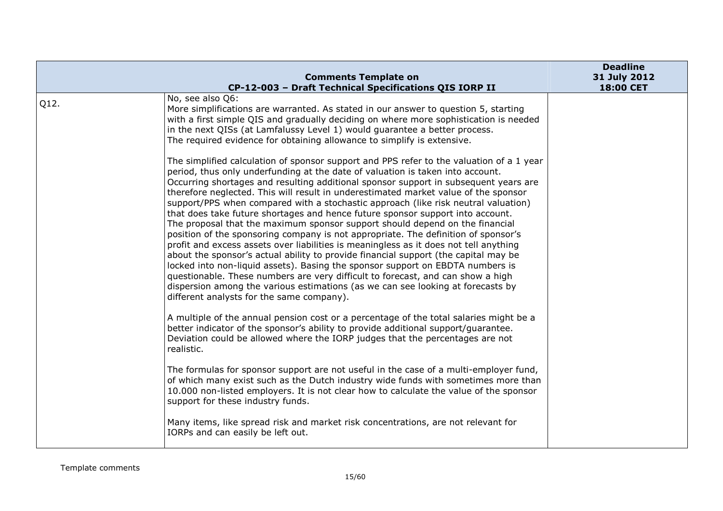|      | <b>Comments Template on</b><br>CP-12-003 - Draft Technical Specifications QIS IORP II                                                                                                                                                                                                                                                                                                                                                                                                                                                                                                                                                                                                                                                                                                                                                                                                                                                                                                                                                                                                                                                                                                        | <b>Deadline</b><br>31 July 2012<br>18:00 CET |
|------|----------------------------------------------------------------------------------------------------------------------------------------------------------------------------------------------------------------------------------------------------------------------------------------------------------------------------------------------------------------------------------------------------------------------------------------------------------------------------------------------------------------------------------------------------------------------------------------------------------------------------------------------------------------------------------------------------------------------------------------------------------------------------------------------------------------------------------------------------------------------------------------------------------------------------------------------------------------------------------------------------------------------------------------------------------------------------------------------------------------------------------------------------------------------------------------------|----------------------------------------------|
| Q12. | No, see also Q6:<br>More simplifications are warranted. As stated in our answer to question 5, starting<br>with a first simple QIS and gradually deciding on where more sophistication is needed<br>in the next QISs (at Lamfalussy Level 1) would guarantee a better process.<br>The required evidence for obtaining allowance to simplify is extensive.                                                                                                                                                                                                                                                                                                                                                                                                                                                                                                                                                                                                                                                                                                                                                                                                                                    |                                              |
|      | The simplified calculation of sponsor support and PPS refer to the valuation of a 1 year<br>period, thus only underfunding at the date of valuation is taken into account.<br>Occurring shortages and resulting additional sponsor support in subsequent years are<br>therefore neglected. This will result in underestimated market value of the sponsor<br>support/PPS when compared with a stochastic approach (like risk neutral valuation)<br>that does take future shortages and hence future sponsor support into account.<br>The proposal that the maximum sponsor support should depend on the financial<br>position of the sponsoring company is not appropriate. The definition of sponsor's<br>profit and excess assets over liabilities is meaningless as it does not tell anything<br>about the sponsor's actual ability to provide financial support (the capital may be<br>locked into non-liquid assets). Basing the sponsor support on EBDTA numbers is<br>questionable. These numbers are very difficult to forecast, and can show a high<br>dispersion among the various estimations (as we can see looking at forecasts by<br>different analysts for the same company). |                                              |
|      | A multiple of the annual pension cost or a percentage of the total salaries might be a<br>better indicator of the sponsor's ability to provide additional support/guarantee.<br>Deviation could be allowed where the IORP judges that the percentages are not<br>realistic.                                                                                                                                                                                                                                                                                                                                                                                                                                                                                                                                                                                                                                                                                                                                                                                                                                                                                                                  |                                              |
|      | The formulas for sponsor support are not useful in the case of a multi-employer fund,<br>of which many exist such as the Dutch industry wide funds with sometimes more than<br>10.000 non-listed employers. It is not clear how to calculate the value of the sponsor<br>support for these industry funds.                                                                                                                                                                                                                                                                                                                                                                                                                                                                                                                                                                                                                                                                                                                                                                                                                                                                                   |                                              |
|      | Many items, like spread risk and market risk concentrations, are not relevant for<br>IORPs and can easily be left out.                                                                                                                                                                                                                                                                                                                                                                                                                                                                                                                                                                                                                                                                                                                                                                                                                                                                                                                                                                                                                                                                       |                                              |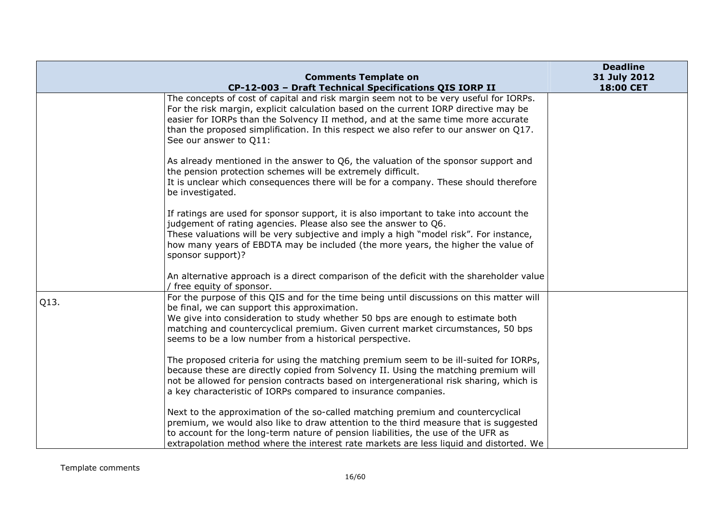|      | <b>Comments Template on</b>                                                                                                                                                                                                                                                                                                                                                             | <b>Deadline</b><br>31 July 2012 |
|------|-----------------------------------------------------------------------------------------------------------------------------------------------------------------------------------------------------------------------------------------------------------------------------------------------------------------------------------------------------------------------------------------|---------------------------------|
|      | CP-12-003 - Draft Technical Specifications QIS IORP II                                                                                                                                                                                                                                                                                                                                  | 18:00 CET                       |
|      | The concepts of cost of capital and risk margin seem not to be very useful for IORPs.<br>For the risk margin, explicit calculation based on the current IORP directive may be<br>easier for IORPs than the Solvency II method, and at the same time more accurate<br>than the proposed simplification. In this respect we also refer to our answer on $Q17$ .<br>See our answer to Q11: |                                 |
|      | As already mentioned in the answer to Q6, the valuation of the sponsor support and<br>the pension protection schemes will be extremely difficult.<br>It is unclear which consequences there will be for a company. These should therefore<br>be investigated.                                                                                                                           |                                 |
|      | If ratings are used for sponsor support, it is also important to take into account the<br>judgement of rating agencies. Please also see the answer to Q6.<br>These valuations will be very subjective and imply a high "model risk". For instance,<br>how many years of EBDTA may be included (the more years, the higher the value of<br>sponsor support)?                             |                                 |
|      | An alternative approach is a direct comparison of the deficit with the shareholder value<br>/ free equity of sponsor.                                                                                                                                                                                                                                                                   |                                 |
| Q13. | For the purpose of this QIS and for the time being until discussions on this matter will<br>be final, we can support this approximation.<br>We give into consideration to study whether 50 bps are enough to estimate both<br>matching and countercyclical premium. Given current market circumstances, 50 bps<br>seems to be a low number from a historical perspective.               |                                 |
|      | The proposed criteria for using the matching premium seem to be ill-suited for IORPs,<br>because these are directly copied from Solvency II. Using the matching premium will<br>not be allowed for pension contracts based on intergenerational risk sharing, which is<br>a key characteristic of IORPs compared to insurance companies.                                                |                                 |
|      | Next to the approximation of the so-called matching premium and countercyclical<br>premium, we would also like to draw attention to the third measure that is suggested<br>to account for the long-term nature of pension liabilities, the use of the UFR as<br>extrapolation method where the interest rate markets are less liquid and distorted. We                                  |                                 |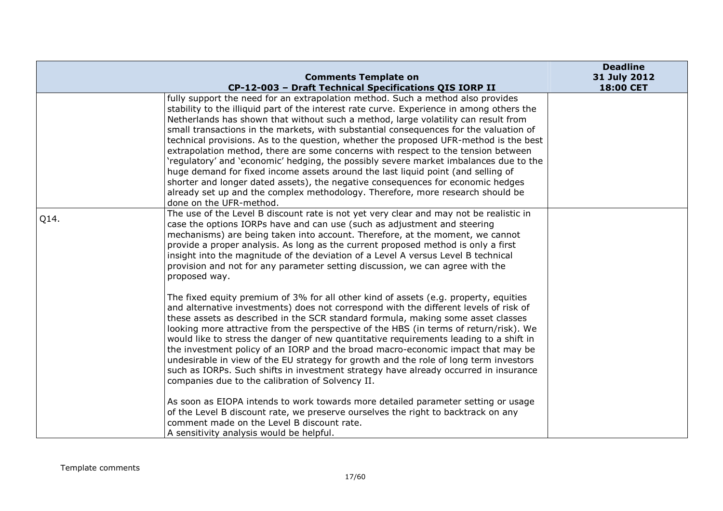|      | <b>Comments Template on</b>                                                                                                                                                                                                                                                                                                                                                                                                                                                                                                                                                                                                                                                                                                                                                                                                                                                                                                                           | <b>Deadline</b><br>31 July 2012 |
|------|-------------------------------------------------------------------------------------------------------------------------------------------------------------------------------------------------------------------------------------------------------------------------------------------------------------------------------------------------------------------------------------------------------------------------------------------------------------------------------------------------------------------------------------------------------------------------------------------------------------------------------------------------------------------------------------------------------------------------------------------------------------------------------------------------------------------------------------------------------------------------------------------------------------------------------------------------------|---------------------------------|
|      | CP-12-003 - Draft Technical Specifications QIS IORP II<br>fully support the need for an extrapolation method. Such a method also provides<br>stability to the illiquid part of the interest rate curve. Experience in among others the<br>Netherlands has shown that without such a method, large volatility can result from<br>small transactions in the markets, with substantial consequences for the valuation of<br>technical provisions. As to the question, whether the proposed UFR-method is the best<br>extrapolation method, there are some concerns with respect to the tension between<br>'regulatory' and 'economic' hedging, the possibly severe market imbalances due to the<br>huge demand for fixed income assets around the last liquid point (and selling of<br>shorter and longer dated assets), the negative consequences for economic hedges<br>already set up and the complex methodology. Therefore, more research should be | <b>18:00 CET</b>                |
| Q14. | done on the UFR-method.<br>The use of the Level B discount rate is not yet very clear and may not be realistic in<br>case the options IORPs have and can use (such as adjustment and steering<br>mechanisms) are being taken into account. Therefore, at the moment, we cannot<br>provide a proper analysis. As long as the current proposed method is only a first<br>insight into the magnitude of the deviation of a Level A versus Level B technical<br>provision and not for any parameter setting discussion, we can agree with the<br>proposed way.                                                                                                                                                                                                                                                                                                                                                                                            |                                 |
|      | The fixed equity premium of 3% for all other kind of assets (e.g. property, equities<br>and alternative investments) does not correspond with the different levels of risk of<br>these assets as described in the SCR standard formula, making some asset classes<br>looking more attractive from the perspective of the HBS (in terms of return/risk). We<br>would like to stress the danger of new quantitative requirements leading to a shift in<br>the investment policy of an IORP and the broad macro-economic impact that may be<br>undesirable in view of the EU strategy for growth and the role of long term investors<br>such as IORPs. Such shifts in investment strategy have already occurred in insurance<br>companies due to the calibration of Solvency II.                                                                                                                                                                         |                                 |
|      | As soon as EIOPA intends to work towards more detailed parameter setting or usage<br>of the Level B discount rate, we preserve ourselves the right to backtrack on any<br>comment made on the Level B discount rate.<br>A sensitivity analysis would be helpful.                                                                                                                                                                                                                                                                                                                                                                                                                                                                                                                                                                                                                                                                                      |                                 |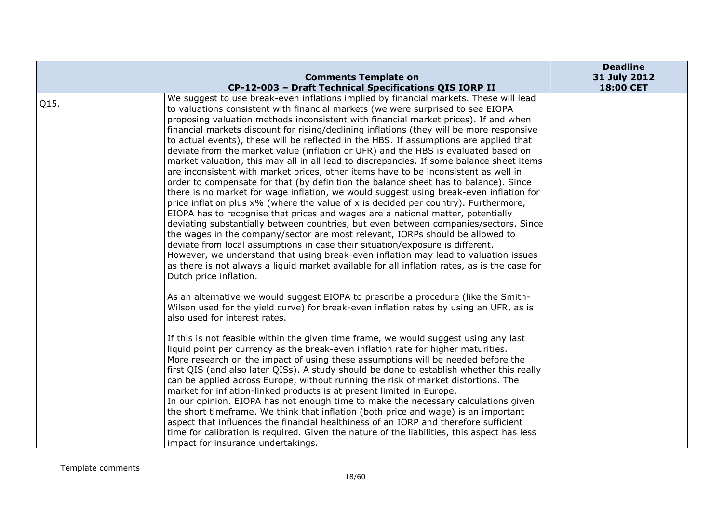|      |                                                                                                                                                                                                                                                                                                                                                                                                                                                                                                                                                                                                                                                                                                                                                                                                                                                                                                                                                                                                                                                                                                                                                                                                                                                                                                                                                                                                                                                                                                                                                                                                       | <b>Deadline</b> |
|------|-------------------------------------------------------------------------------------------------------------------------------------------------------------------------------------------------------------------------------------------------------------------------------------------------------------------------------------------------------------------------------------------------------------------------------------------------------------------------------------------------------------------------------------------------------------------------------------------------------------------------------------------------------------------------------------------------------------------------------------------------------------------------------------------------------------------------------------------------------------------------------------------------------------------------------------------------------------------------------------------------------------------------------------------------------------------------------------------------------------------------------------------------------------------------------------------------------------------------------------------------------------------------------------------------------------------------------------------------------------------------------------------------------------------------------------------------------------------------------------------------------------------------------------------------------------------------------------------------------|-----------------|
|      | <b>Comments Template on</b>                                                                                                                                                                                                                                                                                                                                                                                                                                                                                                                                                                                                                                                                                                                                                                                                                                                                                                                                                                                                                                                                                                                                                                                                                                                                                                                                                                                                                                                                                                                                                                           | 31 July 2012    |
| Q15. | CP-12-003 - Draft Technical Specifications QIS IORP II<br>We suggest to use break-even inflations implied by financial markets. These will lead<br>to valuations consistent with financial markets (we were surprised to see EIOPA<br>proposing valuation methods inconsistent with financial market prices). If and when<br>financial markets discount for rising/declining inflations (they will be more responsive<br>to actual events), these will be reflected in the HBS. If assumptions are applied that<br>deviate from the market value (inflation or UFR) and the HBS is evaluated based on<br>market valuation, this may all in all lead to discrepancies. If some balance sheet items<br>are inconsistent with market prices, other items have to be inconsistent as well in<br>order to compensate for that (by definition the balance sheet has to balance). Since<br>there is no market for wage inflation, we would suggest using break-even inflation for<br>price inflation plus x% (where the value of x is decided per country). Furthermore,<br>EIOPA has to recognise that prices and wages are a national matter, potentially<br>deviating substantially between countries, but even between companies/sectors. Since<br>the wages in the company/sector are most relevant, IORPs should be allowed to<br>deviate from local assumptions in case their situation/exposure is different.<br>However, we understand that using break-even inflation may lead to valuation issues<br>as there is not always a liquid market available for all inflation rates, as is the case for | 18:00 CET       |
|      | Dutch price inflation.<br>As an alternative we would suggest EIOPA to prescribe a procedure (like the Smith-<br>Wilson used for the yield curve) for break-even inflation rates by using an UFR, as is<br>also used for interest rates.<br>If this is not feasible within the given time frame, we would suggest using any last<br>liquid point per currency as the break-even inflation rate for higher maturities.<br>More research on the impact of using these assumptions will be needed before the<br>first QIS (and also later QISs). A study should be done to establish whether this really<br>can be applied across Europe, without running the risk of market distortions. The<br>market for inflation-linked products is at present limited in Europe.<br>In our opinion. EIOPA has not enough time to make the necessary calculations given<br>the short timeframe. We think that inflation (both price and wage) is an important<br>aspect that influences the financial healthiness of an IORP and therefore sufficient                                                                                                                                                                                                                                                                                                                                                                                                                                                                                                                                                                |                 |
|      | time for calibration is required. Given the nature of the liabilities, this aspect has less<br>impact for insurance undertakings.                                                                                                                                                                                                                                                                                                                                                                                                                                                                                                                                                                                                                                                                                                                                                                                                                                                                                                                                                                                                                                                                                                                                                                                                                                                                                                                                                                                                                                                                     |                 |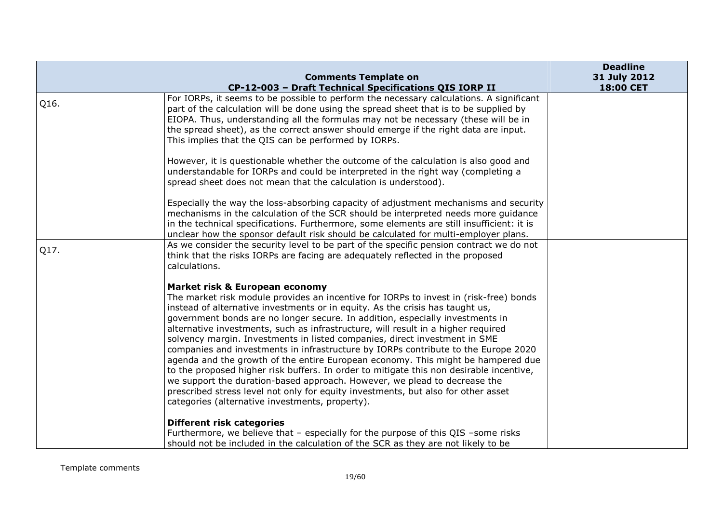|      |                                                                                                                                                                                  | <b>Deadline</b> |
|------|----------------------------------------------------------------------------------------------------------------------------------------------------------------------------------|-----------------|
|      | <b>Comments Template on</b>                                                                                                                                                      | 31 July 2012    |
|      | CP-12-003 - Draft Technical Specifications QIS IORP II                                                                                                                           | 18:00 CET       |
| Q16. | For IORPs, it seems to be possible to perform the necessary calculations. A significant<br>part of the calculation will be done using the spread sheet that is to be supplied by |                 |
|      | EIOPA. Thus, understanding all the formulas may not be necessary (these will be in<br>the spread sheet), as the correct answer should emerge if the right data are input.        |                 |
|      | This implies that the QIS can be performed by IORPs.                                                                                                                             |                 |
|      | However, it is questionable whether the outcome of the calculation is also good and<br>understandable for IORPs and could be interpreted in the right way (completing a          |                 |
|      | spread sheet does not mean that the calculation is understood).                                                                                                                  |                 |
|      | Especially the way the loss-absorbing capacity of adjustment mechanisms and security                                                                                             |                 |
|      | mechanisms in the calculation of the SCR should be interpreted needs more guidance                                                                                               |                 |
|      | in the technical specifications. Furthermore, some elements are still insufficient: it is<br>unclear how the sponsor default risk should be calculated for multi-employer plans. |                 |
| Q17. | As we consider the security level to be part of the specific pension contract we do not<br>think that the risks IORPs are facing are adequately reflected in the proposed        |                 |
|      | calculations.                                                                                                                                                                    |                 |
|      | Market risk & European economy                                                                                                                                                   |                 |
|      | The market risk module provides an incentive for IORPs to invest in (risk-free) bonds                                                                                            |                 |
|      | instead of alternative investments or in equity. As the crisis has taught us,<br>government bonds are no longer secure. In addition, especially investments in                   |                 |
|      | alternative investments, such as infrastructure, will result in a higher required                                                                                                |                 |
|      | solvency margin. Investments in listed companies, direct investment in SME<br>companies and investments in infrastructure by IORPs contribute to the Europe 2020                 |                 |
|      | agenda and the growth of the entire European economy. This might be hampered due                                                                                                 |                 |
|      | to the proposed higher risk buffers. In order to mitigate this non desirable incentive,<br>we support the duration-based approach. However, we plead to decrease the             |                 |
|      | prescribed stress level not only for equity investments, but also for other asset                                                                                                |                 |
|      | categories (alternative investments, property).                                                                                                                                  |                 |
|      | <b>Different risk categories</b>                                                                                                                                                 |                 |
|      | Furthermore, we believe that - especially for the purpose of this QIS -some risks                                                                                                |                 |
|      | should not be included in the calculation of the SCR as they are not likely to be                                                                                                |                 |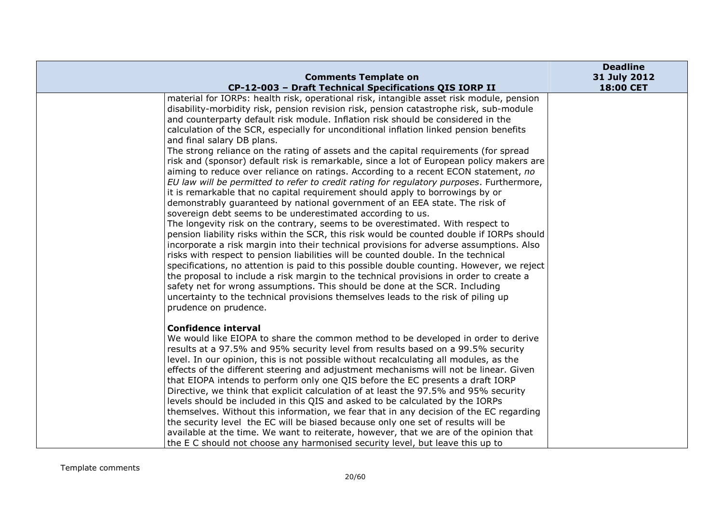|                                                                                                                                                                                                                                                                                                                                                                                                                                                                                                                                                                                                                                                                                                                                                                                                                                                                                                                                                                                                                                                                                                                                                                                                                                                                                                                                                                                                                                                                                                                                                                                                                                                                                                                                                         | <b>Deadline</b>           |
|---------------------------------------------------------------------------------------------------------------------------------------------------------------------------------------------------------------------------------------------------------------------------------------------------------------------------------------------------------------------------------------------------------------------------------------------------------------------------------------------------------------------------------------------------------------------------------------------------------------------------------------------------------------------------------------------------------------------------------------------------------------------------------------------------------------------------------------------------------------------------------------------------------------------------------------------------------------------------------------------------------------------------------------------------------------------------------------------------------------------------------------------------------------------------------------------------------------------------------------------------------------------------------------------------------------------------------------------------------------------------------------------------------------------------------------------------------------------------------------------------------------------------------------------------------------------------------------------------------------------------------------------------------------------------------------------------------------------------------------------------------|---------------------------|
| <b>Comments Template on</b><br>CP-12-003 - Draft Technical Specifications QIS IORP II                                                                                                                                                                                                                                                                                                                                                                                                                                                                                                                                                                                                                                                                                                                                                                                                                                                                                                                                                                                                                                                                                                                                                                                                                                                                                                                                                                                                                                                                                                                                                                                                                                                                   | 31 July 2012<br>18:00 CET |
| material for IORPs: health risk, operational risk, intangible asset risk module, pension<br>disability-morbidity risk, pension revision risk, pension catastrophe risk, sub-module<br>and counterparty default risk module. Inflation risk should be considered in the<br>calculation of the SCR, especially for unconditional inflation linked pension benefits<br>and final salary DB plans.<br>The strong reliance on the rating of assets and the capital requirements (for spread<br>risk and (sponsor) default risk is remarkable, since a lot of European policy makers are<br>aiming to reduce over reliance on ratings. According to a recent ECON statement, no<br>EU law will be permitted to refer to credit rating for regulatory purposes. Furthermore,<br>it is remarkable that no capital requirement should apply to borrowings by or<br>demonstrably guaranteed by national government of an EEA state. The risk of<br>sovereign debt seems to be underestimated according to us.<br>The longevity risk on the contrary, seems to be overestimated. With respect to<br>pension liability risks within the SCR, this risk would be counted double if IORPs should<br>incorporate a risk margin into their technical provisions for adverse assumptions. Also<br>risks with respect to pension liabilities will be counted double. In the technical<br>specifications, no attention is paid to this possible double counting. However, we reject<br>the proposal to include a risk margin to the technical provisions in order to create a<br>safety net for wrong assumptions. This should be done at the SCR. Including<br>uncertainty to the technical provisions themselves leads to the risk of piling up<br>prudence on prudence. |                           |
| <b>Confidence interval</b><br>We would like EIOPA to share the common method to be developed in order to derive<br>results at a 97.5% and 95% security level from results based on a 99.5% security<br>level. In our opinion, this is not possible without recalculating all modules, as the<br>effects of the different steering and adjustment mechanisms will not be linear. Given<br>that EIOPA intends to perform only one QIS before the EC presents a draft IORP<br>Directive, we think that explicit calculation of at least the 97.5% and 95% security<br>levels should be included in this QIS and asked to be calculated by the IORPs<br>themselves. Without this information, we fear that in any decision of the EC regarding<br>the security level the EC will be biased because only one set of results will be<br>available at the time. We want to reiterate, however, that we are of the opinion that<br>the E C should not choose any harmonised security level, but leave this up to                                                                                                                                                                                                                                                                                                                                                                                                                                                                                                                                                                                                                                                                                                                                                |                           |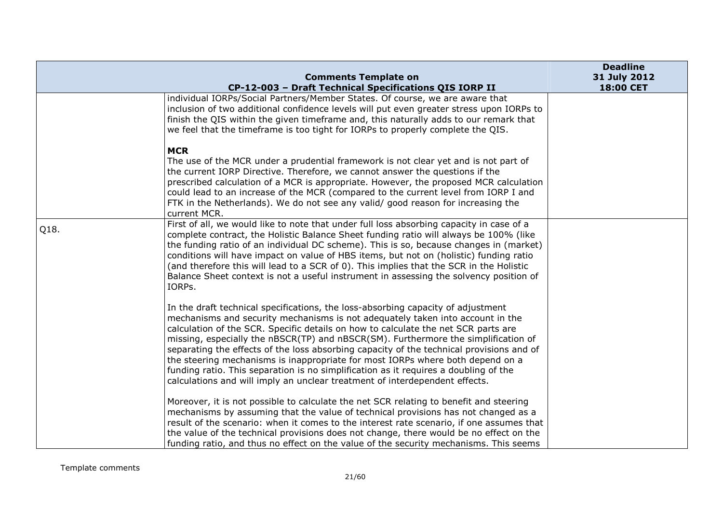|      | <b>Comments Template on</b>                                                                                                                                                                                                                                                                                                                                                                                                                                                                                                                                                                                                                                                                         | <b>Deadline</b><br>31 July 2012 |
|------|-----------------------------------------------------------------------------------------------------------------------------------------------------------------------------------------------------------------------------------------------------------------------------------------------------------------------------------------------------------------------------------------------------------------------------------------------------------------------------------------------------------------------------------------------------------------------------------------------------------------------------------------------------------------------------------------------------|---------------------------------|
|      | CP-12-003 - Draft Technical Specifications QIS IORP II                                                                                                                                                                                                                                                                                                                                                                                                                                                                                                                                                                                                                                              | 18:00 CET                       |
|      | individual IORPs/Social Partners/Member States. Of course, we are aware that<br>inclusion of two additional confidence levels will put even greater stress upon IORPs to<br>finish the QIS within the given timeframe and, this naturally adds to our remark that<br>we feel that the timeframe is too tight for IORPs to properly complete the QIS.                                                                                                                                                                                                                                                                                                                                                |                                 |
|      | <b>MCR</b><br>The use of the MCR under a prudential framework is not clear yet and is not part of<br>the current IORP Directive. Therefore, we cannot answer the questions if the<br>prescribed calculation of a MCR is appropriate. However, the proposed MCR calculation<br>could lead to an increase of the MCR (compared to the current level from IORP I and<br>FTK in the Netherlands). We do not see any valid/ good reason for increasing the<br>current MCR.                                                                                                                                                                                                                               |                                 |
| Q18. | First of all, we would like to note that under full loss absorbing capacity in case of a<br>complete contract, the Holistic Balance Sheet funding ratio will always be 100% (like<br>the funding ratio of an individual DC scheme). This is so, because changes in (market)<br>conditions will have impact on value of HBS items, but not on (holistic) funding ratio<br>(and therefore this will lead to a SCR of 0). This implies that the SCR in the Holistic<br>Balance Sheet context is not a useful instrument in assessing the solvency position of<br>IORPs.                                                                                                                                |                                 |
|      | In the draft technical specifications, the loss-absorbing capacity of adjustment<br>mechanisms and security mechanisms is not adequately taken into account in the<br>calculation of the SCR. Specific details on how to calculate the net SCR parts are<br>missing, especially the nBSCR(TP) and nBSCR(SM). Furthermore the simplification of<br>separating the effects of the loss absorbing capacity of the technical provisions and of<br>the steering mechanisms is inappropriate for most IORPs where both depend on a<br>funding ratio. This separation is no simplification as it requires a doubling of the<br>calculations and will imply an unclear treatment of interdependent effects. |                                 |
|      | Moreover, it is not possible to calculate the net SCR relating to benefit and steering<br>mechanisms by assuming that the value of technical provisions has not changed as a<br>result of the scenario: when it comes to the interest rate scenario, if one assumes that<br>the value of the technical provisions does not change, there would be no effect on the<br>funding ratio, and thus no effect on the value of the security mechanisms. This seems                                                                                                                                                                                                                                         |                                 |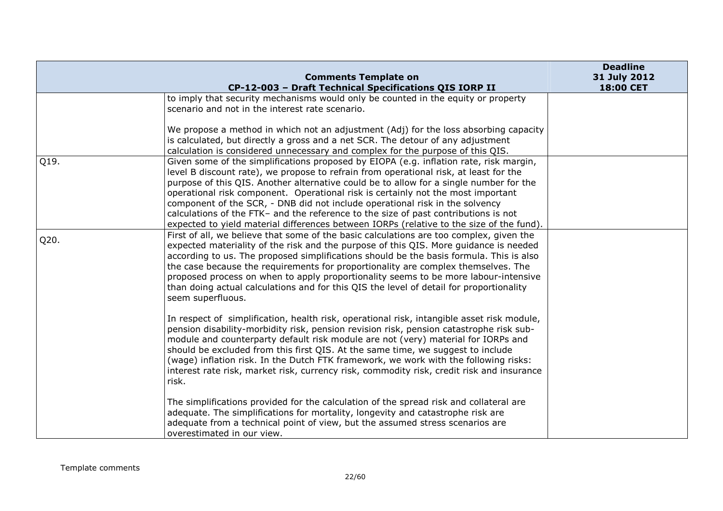|      | <b>Comments Template on</b>                                                                                                                                                                                                                                                                                                                                                                                                                                                                                                                                                                                                      | <b>Deadline</b><br>31 July 2012 |
|------|----------------------------------------------------------------------------------------------------------------------------------------------------------------------------------------------------------------------------------------------------------------------------------------------------------------------------------------------------------------------------------------------------------------------------------------------------------------------------------------------------------------------------------------------------------------------------------------------------------------------------------|---------------------------------|
|      | CP-12-003 - Draft Technical Specifications QIS IORP II                                                                                                                                                                                                                                                                                                                                                                                                                                                                                                                                                                           | 18:00 CET                       |
|      | to imply that security mechanisms would only be counted in the equity or property<br>scenario and not in the interest rate scenario.                                                                                                                                                                                                                                                                                                                                                                                                                                                                                             |                                 |
|      | We propose a method in which not an adjustment (Adj) for the loss absorbing capacity<br>is calculated, but directly a gross and a net SCR. The detour of any adjustment<br>calculation is considered unnecessary and complex for the purpose of this QIS.                                                                                                                                                                                                                                                                                                                                                                        |                                 |
| Q19. | Given some of the simplifications proposed by EIOPA (e.g. inflation rate, risk margin,<br>level B discount rate), we propose to refrain from operational risk, at least for the<br>purpose of this QIS. Another alternative could be to allow for a single number for the<br>operational risk component. Operational risk is certainly not the most important<br>component of the SCR, - DNB did not include operational risk in the solvency<br>calculations of the FTK- and the reference to the size of past contributions is not<br>expected to yield material differences between IORPs (relative to the size of the fund). |                                 |
| Q20. | First of all, we believe that some of the basic calculations are too complex, given the<br>expected materiality of the risk and the purpose of this QIS. More guidance is needed<br>according to us. The proposed simplifications should be the basis formula. This is also<br>the case because the requirements for proportionality are complex themselves. The<br>proposed process on when to apply proportionality seems to be more labour-intensive<br>than doing actual calculations and for this QIS the level of detail for proportionality<br>seem superfluous.                                                          |                                 |
|      | In respect of simplification, health risk, operational risk, intangible asset risk module,<br>pension disability-morbidity risk, pension revision risk, pension catastrophe risk sub-<br>module and counterparty default risk module are not (very) material for IORPs and<br>should be excluded from this first QIS. At the same time, we suggest to include<br>(wage) inflation risk. In the Dutch FTK framework, we work with the following risks:<br>interest rate risk, market risk, currency risk, commodity risk, credit risk and insurance<br>risk.                                                                      |                                 |
|      | The simplifications provided for the calculation of the spread risk and collateral are<br>adequate. The simplifications for mortality, longevity and catastrophe risk are<br>adequate from a technical point of view, but the assumed stress scenarios are<br>overestimated in our view.                                                                                                                                                                                                                                                                                                                                         |                                 |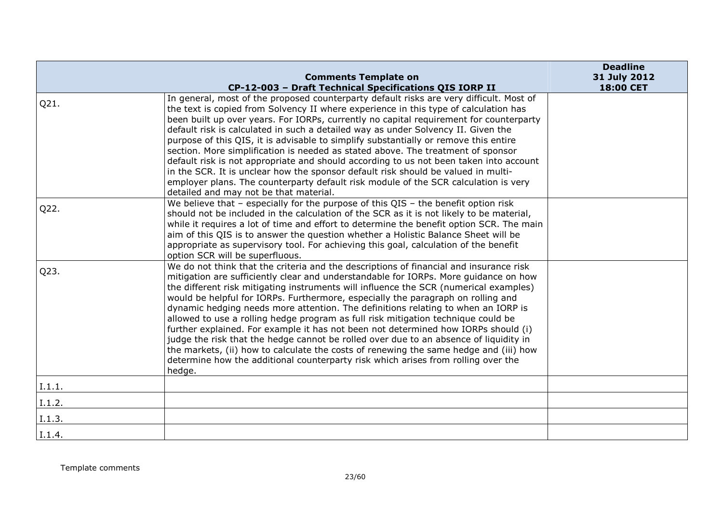|        |                                                                                                                                                                                                                                                                                                                                                                                                                                                                                                                                                                                                                                                                                                                                                                                                                                                                                                              | <b>Deadline</b> |
|--------|--------------------------------------------------------------------------------------------------------------------------------------------------------------------------------------------------------------------------------------------------------------------------------------------------------------------------------------------------------------------------------------------------------------------------------------------------------------------------------------------------------------------------------------------------------------------------------------------------------------------------------------------------------------------------------------------------------------------------------------------------------------------------------------------------------------------------------------------------------------------------------------------------------------|-----------------|
|        | <b>Comments Template on</b>                                                                                                                                                                                                                                                                                                                                                                                                                                                                                                                                                                                                                                                                                                                                                                                                                                                                                  | 31 July 2012    |
|        | CP-12-003 - Draft Technical Specifications QIS IORP II                                                                                                                                                                                                                                                                                                                                                                                                                                                                                                                                                                                                                                                                                                                                                                                                                                                       | 18:00 CET       |
| Q21.   | In general, most of the proposed counterparty default risks are very difficult. Most of<br>the text is copied from Solvency II where experience in this type of calculation has<br>been built up over years. For IORPs, currently no capital requirement for counterparty<br>default risk is calculated in such a detailed way as under Solvency II. Given the<br>purpose of this QIS, it is advisable to simplify substantially or remove this entire<br>section. More simplification is needed as stated above. The treatment of sponsor<br>default risk is not appropriate and should according to us not been taken into account<br>in the SCR. It is unclear how the sponsor default risk should be valued in multi-<br>employer plans. The counterparty default risk module of the SCR calculation is very<br>detailed and may not be that material.                                                   |                 |
| Q22.   | We believe that $-$ especially for the purpose of this QIS $-$ the benefit option risk<br>should not be included in the calculation of the SCR as it is not likely to be material,<br>while it requires a lot of time and effort to determine the benefit option SCR. The main<br>aim of this QIS is to answer the question whether a Holistic Balance Sheet will be<br>appropriate as supervisory tool. For achieving this goal, calculation of the benefit<br>option SCR will be superfluous.                                                                                                                                                                                                                                                                                                                                                                                                              |                 |
| Q23.   | We do not think that the criteria and the descriptions of financial and insurance risk<br>mitigation are sufficiently clear and understandable for IORPs. More guidance on how<br>the different risk mitigating instruments will influence the SCR (numerical examples)<br>would be helpful for IORPs. Furthermore, especially the paragraph on rolling and<br>dynamic hedging needs more attention. The definitions relating to when an IORP is<br>allowed to use a rolling hedge program as full risk mitigation technique could be<br>further explained. For example it has not been not determined how IORPs should (i)<br>judge the risk that the hedge cannot be rolled over due to an absence of liquidity in<br>the markets, (ii) how to calculate the costs of renewing the same hedge and (iii) how<br>determine how the additional counterparty risk which arises from rolling over the<br>hedge. |                 |
| I.1.1. |                                                                                                                                                                                                                                                                                                                                                                                                                                                                                                                                                                                                                                                                                                                                                                                                                                                                                                              |                 |
| I.1.2. |                                                                                                                                                                                                                                                                                                                                                                                                                                                                                                                                                                                                                                                                                                                                                                                                                                                                                                              |                 |
| I.1.3. |                                                                                                                                                                                                                                                                                                                                                                                                                                                                                                                                                                                                                                                                                                                                                                                                                                                                                                              |                 |
| I.1.4. |                                                                                                                                                                                                                                                                                                                                                                                                                                                                                                                                                                                                                                                                                                                                                                                                                                                                                                              |                 |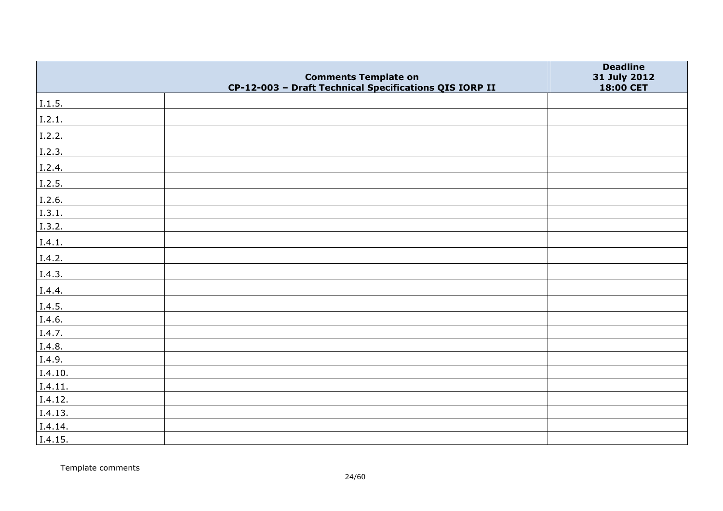|         | <b>Comments Template on</b>                            | <b>Deadline</b><br>31 July 2012 |
|---------|--------------------------------------------------------|---------------------------------|
|         | CP-12-003 - Draft Technical Specifications QIS IORP II | 18:00 CET                       |
| I.1.5.  |                                                        |                                 |
| I.2.1.  |                                                        |                                 |
| I.2.2.  |                                                        |                                 |
| I.2.3.  |                                                        |                                 |
| I.2.4.  |                                                        |                                 |
| I.2.5.  |                                                        |                                 |
| I.2.6.  |                                                        |                                 |
| 1.3.1.  |                                                        |                                 |
| I.3.2.  |                                                        |                                 |
| I.4.1.  |                                                        |                                 |
| I.4.2.  |                                                        |                                 |
| I.4.3.  |                                                        |                                 |
| I.4.4.  |                                                        |                                 |
| I.4.5.  |                                                        |                                 |
| I.4.6.  |                                                        |                                 |
| I.4.7.  |                                                        |                                 |
| I.4.8.  |                                                        |                                 |
| I.4.9.  |                                                        |                                 |
| I.4.10. |                                                        |                                 |
| I.4.11. |                                                        |                                 |
| I.4.12. |                                                        |                                 |
| I.4.13. |                                                        |                                 |
| I.4.14. |                                                        |                                 |
| I.4.15. |                                                        |                                 |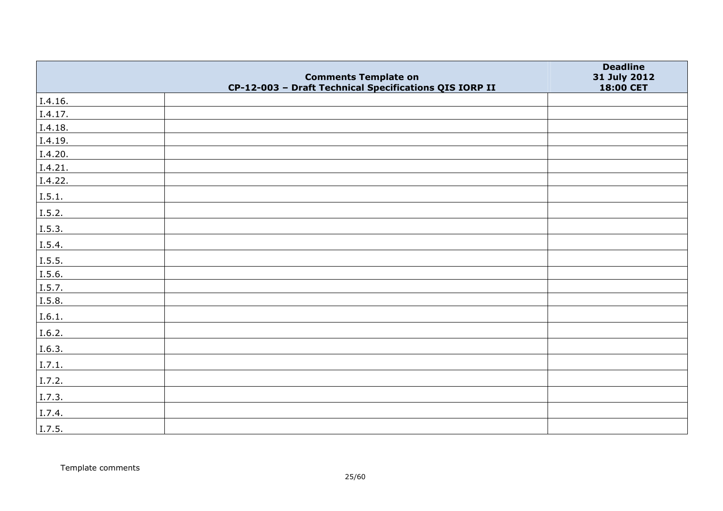|         |                                                                                       | <b>Deadline</b>           |
|---------|---------------------------------------------------------------------------------------|---------------------------|
|         | <b>Comments Template on</b><br>CP-12-003 - Draft Technical Specifications QIS IORP II | 31 July 2012<br>18:00 CET |
| I.4.16. |                                                                                       |                           |
| I.4.17. |                                                                                       |                           |
| I.4.18. |                                                                                       |                           |
| I.4.19. |                                                                                       |                           |
| I.4.20. |                                                                                       |                           |
| I.4.21. |                                                                                       |                           |
| I.4.22. |                                                                                       |                           |
| I.5.1.  |                                                                                       |                           |
| I.5.2.  |                                                                                       |                           |
| I.5.3.  |                                                                                       |                           |
| I.5.4.  |                                                                                       |                           |
| I.5.5.  |                                                                                       |                           |
| I.5.6.  |                                                                                       |                           |
| I.5.7.  |                                                                                       |                           |
| I.5.8.  |                                                                                       |                           |
| I.6.1.  |                                                                                       |                           |
| I.6.2.  |                                                                                       |                           |
| I.6.3.  |                                                                                       |                           |
| I.7.1.  |                                                                                       |                           |
| I.7.2.  |                                                                                       |                           |
| I.7.3.  |                                                                                       |                           |
| I.7.4.  |                                                                                       |                           |
| I.7.5.  |                                                                                       |                           |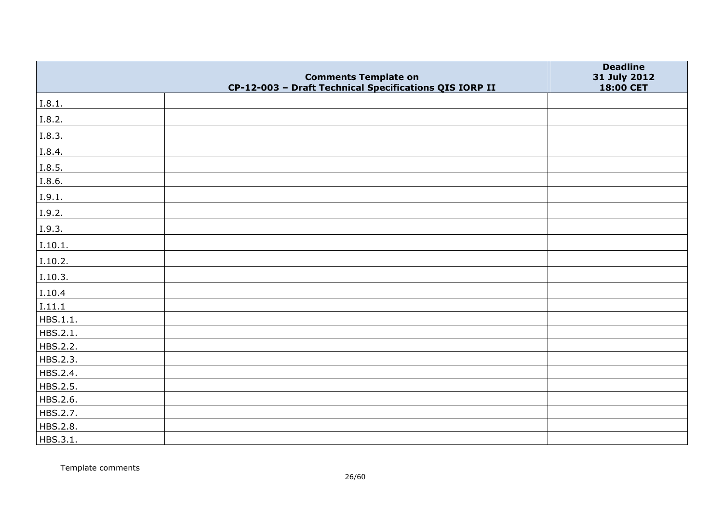|          |                                                                                       | <b>Deadline</b>           |
|----------|---------------------------------------------------------------------------------------|---------------------------|
|          | <b>Comments Template on</b><br>CP-12-003 - Draft Technical Specifications QIS IORP II | 31 July 2012<br>18:00 CET |
| I.8.1.   |                                                                                       |                           |
| I.8.2.   |                                                                                       |                           |
| I.8.3.   |                                                                                       |                           |
| I.8.4.   |                                                                                       |                           |
| I.8.5.   |                                                                                       |                           |
| I.8.6.   |                                                                                       |                           |
| I.9.1.   |                                                                                       |                           |
| I.9.2.   |                                                                                       |                           |
| I.9.3.   |                                                                                       |                           |
| I.10.1.  |                                                                                       |                           |
| I.10.2.  |                                                                                       |                           |
| I.10.3.  |                                                                                       |                           |
| I.10.4   |                                                                                       |                           |
| I.11.1   |                                                                                       |                           |
| HBS.1.1. |                                                                                       |                           |
| HBS.2.1. |                                                                                       |                           |
| HBS.2.2. |                                                                                       |                           |
| HBS.2.3. |                                                                                       |                           |
| HBS.2.4. |                                                                                       |                           |
| HBS.2.5. |                                                                                       |                           |
| HBS.2.6. |                                                                                       |                           |
| HBS.2.7. |                                                                                       |                           |
| HBS.2.8. |                                                                                       |                           |
| HBS.3.1. |                                                                                       |                           |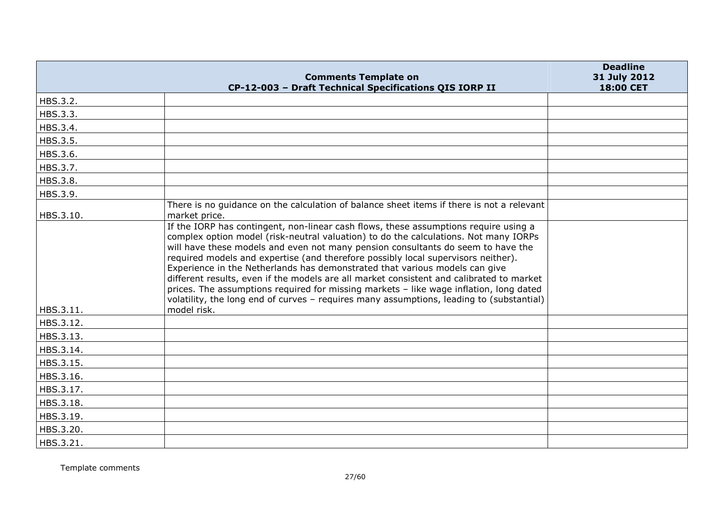|           | <b>Comments Template on</b><br>CP-12-003 - Draft Technical Specifications QIS IORP II                                                                                                                                                                                                                                                                                                                                                                                                                                                                                                                                                                                                                                                 | <b>Deadline</b><br>31 July 2012<br>18:00 CET |
|-----------|---------------------------------------------------------------------------------------------------------------------------------------------------------------------------------------------------------------------------------------------------------------------------------------------------------------------------------------------------------------------------------------------------------------------------------------------------------------------------------------------------------------------------------------------------------------------------------------------------------------------------------------------------------------------------------------------------------------------------------------|----------------------------------------------|
| HBS.3.2.  |                                                                                                                                                                                                                                                                                                                                                                                                                                                                                                                                                                                                                                                                                                                                       |                                              |
| HBS.3.3.  |                                                                                                                                                                                                                                                                                                                                                                                                                                                                                                                                                                                                                                                                                                                                       |                                              |
| HBS.3.4.  |                                                                                                                                                                                                                                                                                                                                                                                                                                                                                                                                                                                                                                                                                                                                       |                                              |
| HBS.3.5.  |                                                                                                                                                                                                                                                                                                                                                                                                                                                                                                                                                                                                                                                                                                                                       |                                              |
| HBS.3.6.  |                                                                                                                                                                                                                                                                                                                                                                                                                                                                                                                                                                                                                                                                                                                                       |                                              |
| HBS.3.7.  |                                                                                                                                                                                                                                                                                                                                                                                                                                                                                                                                                                                                                                                                                                                                       |                                              |
| HBS.3.8.  |                                                                                                                                                                                                                                                                                                                                                                                                                                                                                                                                                                                                                                                                                                                                       |                                              |
| HBS.3.9.  |                                                                                                                                                                                                                                                                                                                                                                                                                                                                                                                                                                                                                                                                                                                                       |                                              |
| HBS.3.10. | There is no guidance on the calculation of balance sheet items if there is not a relevant<br>market price.                                                                                                                                                                                                                                                                                                                                                                                                                                                                                                                                                                                                                            |                                              |
| HBS.3.11. | If the IORP has contingent, non-linear cash flows, these assumptions require using a<br>complex option model (risk-neutral valuation) to do the calculations. Not many IORPs<br>will have these models and even not many pension consultants do seem to have the<br>required models and expertise (and therefore possibly local supervisors neither).<br>Experience in the Netherlands has demonstrated that various models can give<br>different results, even if the models are all market consistent and calibrated to market<br>prices. The assumptions required for missing markets - like wage inflation, long dated<br>volatility, the long end of curves - requires many assumptions, leading to (substantial)<br>model risk. |                                              |
| HBS.3.12. |                                                                                                                                                                                                                                                                                                                                                                                                                                                                                                                                                                                                                                                                                                                                       |                                              |
| HBS.3.13. |                                                                                                                                                                                                                                                                                                                                                                                                                                                                                                                                                                                                                                                                                                                                       |                                              |
| HBS.3.14. |                                                                                                                                                                                                                                                                                                                                                                                                                                                                                                                                                                                                                                                                                                                                       |                                              |
| HBS.3.15. |                                                                                                                                                                                                                                                                                                                                                                                                                                                                                                                                                                                                                                                                                                                                       |                                              |
| HBS.3.16. |                                                                                                                                                                                                                                                                                                                                                                                                                                                                                                                                                                                                                                                                                                                                       |                                              |
| HBS.3.17. |                                                                                                                                                                                                                                                                                                                                                                                                                                                                                                                                                                                                                                                                                                                                       |                                              |
| HBS.3.18. |                                                                                                                                                                                                                                                                                                                                                                                                                                                                                                                                                                                                                                                                                                                                       |                                              |
| HBS.3.19. |                                                                                                                                                                                                                                                                                                                                                                                                                                                                                                                                                                                                                                                                                                                                       |                                              |
| HBS.3.20. |                                                                                                                                                                                                                                                                                                                                                                                                                                                                                                                                                                                                                                                                                                                                       |                                              |
| HBS.3.21. |                                                                                                                                                                                                                                                                                                                                                                                                                                                                                                                                                                                                                                                                                                                                       |                                              |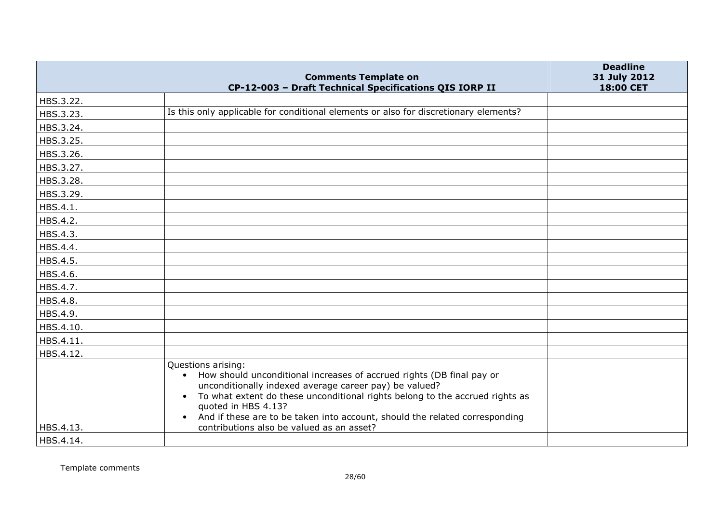| CP-12-003 - Draft Technical Specifications QIS IORP II<br>18:00 CET<br>HBS.3.22.<br>Is this only applicable for conditional elements or also for discretionary elements?<br>HBS.3.23.<br>HBS.3.24.<br>HBS.3.25.<br>HBS.3.26.<br>HBS.3.27.                                                                                                                                                                                       |
|---------------------------------------------------------------------------------------------------------------------------------------------------------------------------------------------------------------------------------------------------------------------------------------------------------------------------------------------------------------------------------------------------------------------------------|
|                                                                                                                                                                                                                                                                                                                                                                                                                                 |
|                                                                                                                                                                                                                                                                                                                                                                                                                                 |
|                                                                                                                                                                                                                                                                                                                                                                                                                                 |
|                                                                                                                                                                                                                                                                                                                                                                                                                                 |
|                                                                                                                                                                                                                                                                                                                                                                                                                                 |
|                                                                                                                                                                                                                                                                                                                                                                                                                                 |
| HBS.3.28.                                                                                                                                                                                                                                                                                                                                                                                                                       |
| HBS.3.29.                                                                                                                                                                                                                                                                                                                                                                                                                       |
| HBS.4.1.                                                                                                                                                                                                                                                                                                                                                                                                                        |
| HBS.4.2.                                                                                                                                                                                                                                                                                                                                                                                                                        |
| HBS.4.3.                                                                                                                                                                                                                                                                                                                                                                                                                        |
| HBS.4.4.                                                                                                                                                                                                                                                                                                                                                                                                                        |
| HBS.4.5.                                                                                                                                                                                                                                                                                                                                                                                                                        |
| HBS.4.6.                                                                                                                                                                                                                                                                                                                                                                                                                        |
| HBS.4.7.                                                                                                                                                                                                                                                                                                                                                                                                                        |
| HBS.4.8.                                                                                                                                                                                                                                                                                                                                                                                                                        |
| HBS.4.9.                                                                                                                                                                                                                                                                                                                                                                                                                        |
| HBS.4.10.                                                                                                                                                                                                                                                                                                                                                                                                                       |
| HBS.4.11.                                                                                                                                                                                                                                                                                                                                                                                                                       |
| HBS.4.12.                                                                                                                                                                                                                                                                                                                                                                                                                       |
| Questions arising:<br>How should unconditional increases of accrued rights (DB final pay or<br>$\bullet$<br>unconditionally indexed average career pay) be valued?<br>To what extent do these unconditional rights belong to the accrued rights as<br>$\bullet$<br>quoted in HBS 4.13?<br>And if these are to be taken into account, should the related corresponding<br>HBS.4.13.<br>contributions also be valued as an asset? |
| HBS.4.14.                                                                                                                                                                                                                                                                                                                                                                                                                       |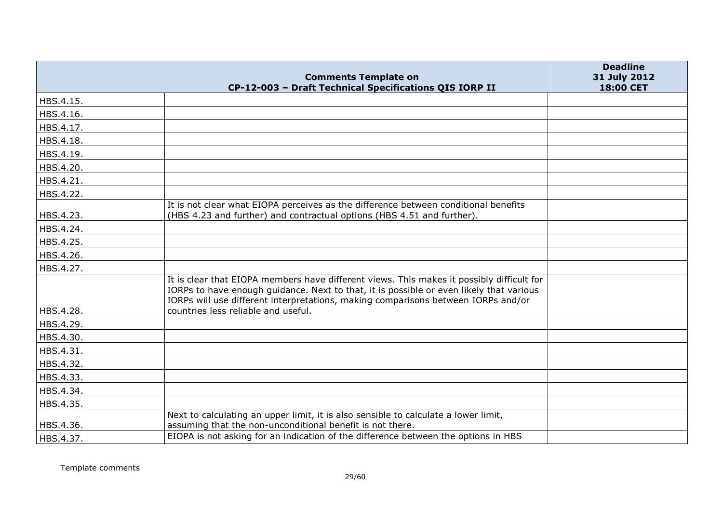|           | <b>Comments Template on</b>                                                                                                                                                                                                                                               | <b>Deadline</b><br>31 July 2012 |
|-----------|---------------------------------------------------------------------------------------------------------------------------------------------------------------------------------------------------------------------------------------------------------------------------|---------------------------------|
|           | CP-12-003 - Draft Technical Specifications QIS IORP II                                                                                                                                                                                                                    | 18:00 CET                       |
| HBS.4.15. |                                                                                                                                                                                                                                                                           |                                 |
| HBS.4.16. |                                                                                                                                                                                                                                                                           |                                 |
| HBS.4.17. |                                                                                                                                                                                                                                                                           |                                 |
| HBS.4.18. |                                                                                                                                                                                                                                                                           |                                 |
| HBS.4.19. |                                                                                                                                                                                                                                                                           |                                 |
| HBS.4.20. |                                                                                                                                                                                                                                                                           |                                 |
| HBS.4.21. |                                                                                                                                                                                                                                                                           |                                 |
| HBS.4.22. |                                                                                                                                                                                                                                                                           |                                 |
| HBS.4.23. | It is not clear what EIOPA perceives as the difference between conditional benefits<br>(HBS 4.23 and further) and contractual options (HBS 4.51 and further).                                                                                                             |                                 |
| HBS.4.24. |                                                                                                                                                                                                                                                                           |                                 |
| HBS.4.25. |                                                                                                                                                                                                                                                                           |                                 |
| HBS.4.26. |                                                                                                                                                                                                                                                                           |                                 |
| HBS.4.27. |                                                                                                                                                                                                                                                                           |                                 |
|           | It is clear that EIOPA members have different views. This makes it possibly difficult for<br>IORPs to have enough guidance. Next to that, it is possible or even likely that various<br>IORPs will use different interpretations, making comparisons between IORPs and/or |                                 |
| HBS.4.28. | countries less reliable and useful.                                                                                                                                                                                                                                       |                                 |
| HBS.4.29. |                                                                                                                                                                                                                                                                           |                                 |
| HBS.4.30. |                                                                                                                                                                                                                                                                           |                                 |
| HBS.4.31. |                                                                                                                                                                                                                                                                           |                                 |
| HBS.4.32. |                                                                                                                                                                                                                                                                           |                                 |
| HBS.4.33. |                                                                                                                                                                                                                                                                           |                                 |
| HBS.4.34. |                                                                                                                                                                                                                                                                           |                                 |
| HBS.4.35. |                                                                                                                                                                                                                                                                           |                                 |
| HBS.4.36. | Next to calculating an upper limit, it is also sensible to calculate a lower limit,<br>assuming that the non-unconditional benefit is not there.                                                                                                                          |                                 |
| HBS.4.37. | EIOPA is not asking for an indication of the difference between the options in HBS                                                                                                                                                                                        |                                 |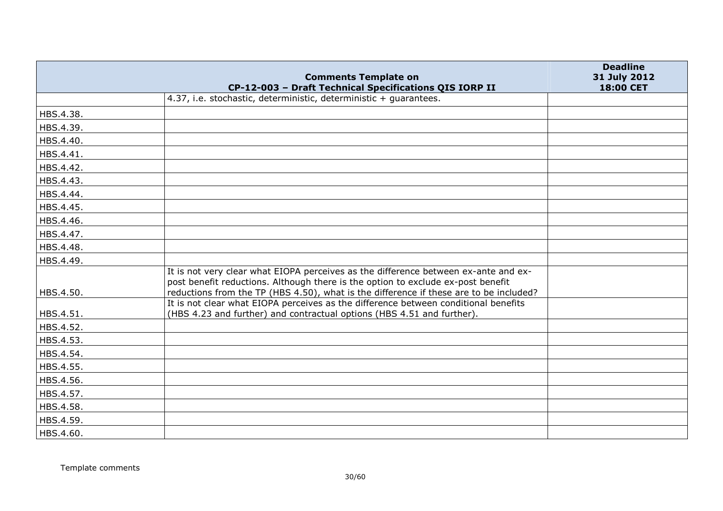|           | <b>Comments Template on</b>                                                                                                                                             | <b>Deadline</b><br>31 July 2012 |
|-----------|-------------------------------------------------------------------------------------------------------------------------------------------------------------------------|---------------------------------|
|           | CP-12-003 - Draft Technical Specifications QIS IORP II                                                                                                                  | 18:00 CET                       |
|           | 4.37, i.e. stochastic, deterministic, deterministic + guarantees.                                                                                                       |                                 |
| HBS.4.38. |                                                                                                                                                                         |                                 |
| HBS.4.39. |                                                                                                                                                                         |                                 |
| HBS.4.40. |                                                                                                                                                                         |                                 |
| HBS.4.41. |                                                                                                                                                                         |                                 |
| HBS.4.42. |                                                                                                                                                                         |                                 |
| HBS.4.43. |                                                                                                                                                                         |                                 |
| HBS.4.44. |                                                                                                                                                                         |                                 |
| HBS.4.45. |                                                                                                                                                                         |                                 |
| HBS.4.46. |                                                                                                                                                                         |                                 |
| HBS.4.47. |                                                                                                                                                                         |                                 |
| HBS.4.48. |                                                                                                                                                                         |                                 |
| HBS.4.49. |                                                                                                                                                                         |                                 |
|           | It is not very clear what EIOPA perceives as the difference between ex-ante and ex-<br>post benefit reductions. Although there is the option to exclude ex-post benefit |                                 |
| HBS.4.50. | reductions from the TP (HBS 4.50), what is the difference if these are to be included?                                                                                  |                                 |
| HBS.4.51. | It is not clear what EIOPA perceives as the difference between conditional benefits<br>(HBS 4.23 and further) and contractual options (HBS 4.51 and further).           |                                 |
| HBS.4.52. |                                                                                                                                                                         |                                 |
| HBS.4.53. |                                                                                                                                                                         |                                 |
| HBS.4.54. |                                                                                                                                                                         |                                 |
| HBS.4.55. |                                                                                                                                                                         |                                 |
| HBS.4.56. |                                                                                                                                                                         |                                 |
| HBS.4.57. |                                                                                                                                                                         |                                 |
| HBS.4.58. |                                                                                                                                                                         |                                 |
| HBS.4.59. |                                                                                                                                                                         |                                 |
| HBS.4.60. |                                                                                                                                                                         |                                 |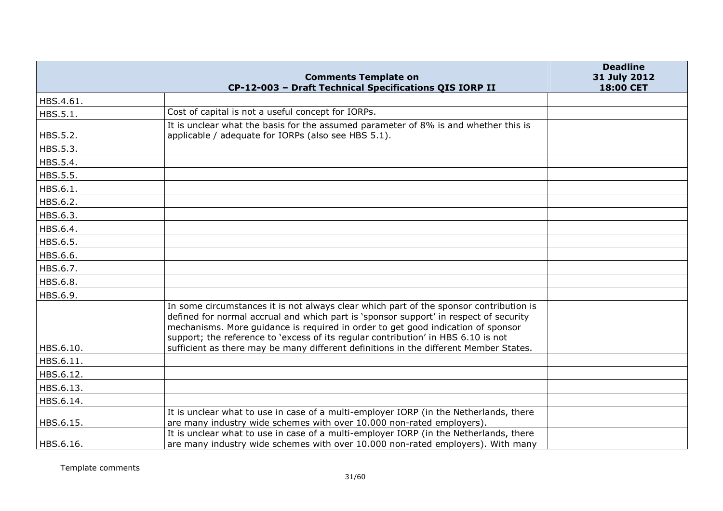|           | <b>Comments Template on</b>                                                                                                                                                                                                                                                                                                                                                                                                                       | <b>Deadline</b><br>31 July 2012 |
|-----------|---------------------------------------------------------------------------------------------------------------------------------------------------------------------------------------------------------------------------------------------------------------------------------------------------------------------------------------------------------------------------------------------------------------------------------------------------|---------------------------------|
|           | CP-12-003 - Draft Technical Specifications QIS IORP II                                                                                                                                                                                                                                                                                                                                                                                            | 18:00 CET                       |
| HBS.4.61. |                                                                                                                                                                                                                                                                                                                                                                                                                                                   |                                 |
| HBS.5.1.  | Cost of capital is not a useful concept for IORPs.                                                                                                                                                                                                                                                                                                                                                                                                |                                 |
| HBS.5.2.  | It is unclear what the basis for the assumed parameter of 8% is and whether this is<br>applicable / adequate for IORPs (also see HBS 5.1).                                                                                                                                                                                                                                                                                                        |                                 |
| HBS.5.3.  |                                                                                                                                                                                                                                                                                                                                                                                                                                                   |                                 |
| HBS.5.4.  |                                                                                                                                                                                                                                                                                                                                                                                                                                                   |                                 |
| HBS.5.5.  |                                                                                                                                                                                                                                                                                                                                                                                                                                                   |                                 |
| HBS.6.1.  |                                                                                                                                                                                                                                                                                                                                                                                                                                                   |                                 |
| HBS.6.2.  |                                                                                                                                                                                                                                                                                                                                                                                                                                                   |                                 |
| HBS.6.3.  |                                                                                                                                                                                                                                                                                                                                                                                                                                                   |                                 |
| HBS.6.4.  |                                                                                                                                                                                                                                                                                                                                                                                                                                                   |                                 |
| HBS.6.5.  |                                                                                                                                                                                                                                                                                                                                                                                                                                                   |                                 |
| HBS.6.6.  |                                                                                                                                                                                                                                                                                                                                                                                                                                                   |                                 |
| HBS.6.7.  |                                                                                                                                                                                                                                                                                                                                                                                                                                                   |                                 |
| HBS.6.8.  |                                                                                                                                                                                                                                                                                                                                                                                                                                                   |                                 |
| HBS.6.9.  |                                                                                                                                                                                                                                                                                                                                                                                                                                                   |                                 |
| HBS.6.10. | In some circumstances it is not always clear which part of the sponsor contribution is<br>defined for normal accrual and which part is 'sponsor support' in respect of security<br>mechanisms. More guidance is required in order to get good indication of sponsor<br>support; the reference to 'excess of its regular contribution' in HBS 6.10 is not<br>sufficient as there may be many different definitions in the different Member States. |                                 |
| HBS.6.11. |                                                                                                                                                                                                                                                                                                                                                                                                                                                   |                                 |
| HBS.6.12. |                                                                                                                                                                                                                                                                                                                                                                                                                                                   |                                 |
| HBS.6.13. |                                                                                                                                                                                                                                                                                                                                                                                                                                                   |                                 |
| HBS.6.14. |                                                                                                                                                                                                                                                                                                                                                                                                                                                   |                                 |
| HBS.6.15. | It is unclear what to use in case of a multi-employer IORP (in the Netherlands, there<br>are many industry wide schemes with over 10.000 non-rated employers).                                                                                                                                                                                                                                                                                    |                                 |
| HBS.6.16. | It is unclear what to use in case of a multi-employer IORP (in the Netherlands, there<br>are many industry wide schemes with over 10.000 non-rated employers). With many                                                                                                                                                                                                                                                                          |                                 |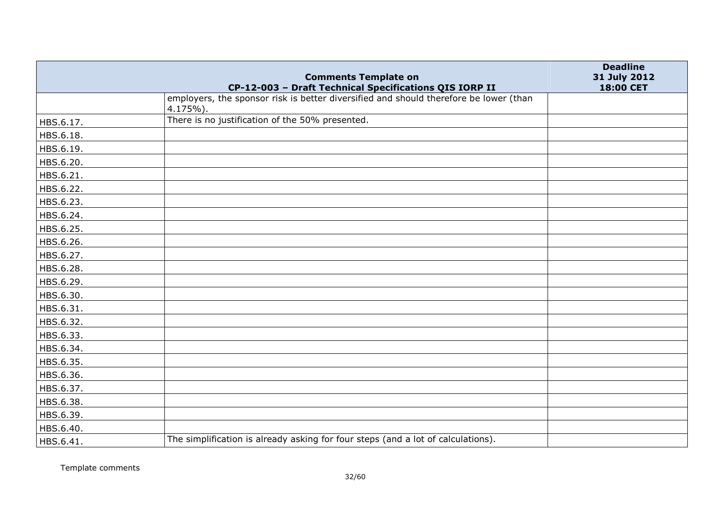|           | <b>Comments Template on</b>                                                                       | <b>Deadline</b><br>31 July 2012 |
|-----------|---------------------------------------------------------------------------------------------------|---------------------------------|
|           | CP-12-003 - Draft Technical Specifications QIS IORP II                                            | 18:00 CET                       |
|           | employers, the sponsor risk is better diversified and should therefore be lower (than<br>4.175%). |                                 |
| HBS.6.17. | There is no justification of the 50% presented.                                                   |                                 |
| HBS.6.18. |                                                                                                   |                                 |
| HBS.6.19. |                                                                                                   |                                 |
| HBS.6.20. |                                                                                                   |                                 |
| HBS.6.21. |                                                                                                   |                                 |
| HBS.6.22. |                                                                                                   |                                 |
| HBS.6.23. |                                                                                                   |                                 |
| HBS.6.24. |                                                                                                   |                                 |
| HBS.6.25. |                                                                                                   |                                 |
| HBS.6.26. |                                                                                                   |                                 |
| HBS.6.27. |                                                                                                   |                                 |
| HBS.6.28. |                                                                                                   |                                 |
| HBS.6.29. |                                                                                                   |                                 |
| HBS.6.30. |                                                                                                   |                                 |
| HBS.6.31. |                                                                                                   |                                 |
| HBS.6.32. |                                                                                                   |                                 |
| HBS.6.33. |                                                                                                   |                                 |
| HBS.6.34. |                                                                                                   |                                 |
| HBS.6.35. |                                                                                                   |                                 |
| HBS.6.36. |                                                                                                   |                                 |
| HBS.6.37. |                                                                                                   |                                 |
| HBS.6.38. |                                                                                                   |                                 |
| HBS.6.39. |                                                                                                   |                                 |
| HBS.6.40. |                                                                                                   |                                 |
| HBS.6.41. | The simplification is already asking for four steps (and a lot of calculations).                  |                                 |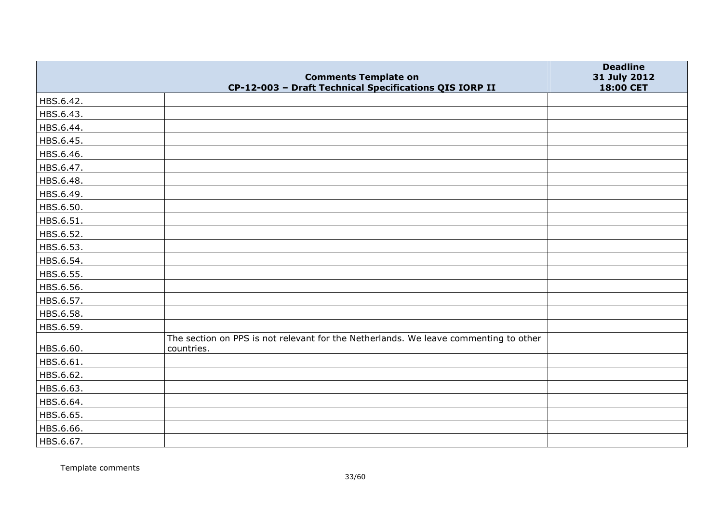|           | <b>Comments Template on</b>                                                                        | <b>Deadline</b><br>31 July 2012 |
|-----------|----------------------------------------------------------------------------------------------------|---------------------------------|
|           | CP-12-003 - Draft Technical Specifications QIS IORP II                                             | 18:00 CET                       |
| HBS.6.42. |                                                                                                    |                                 |
| HBS.6.43. |                                                                                                    |                                 |
| HBS.6.44. |                                                                                                    |                                 |
| HBS.6.45. |                                                                                                    |                                 |
| HBS.6.46. |                                                                                                    |                                 |
| HBS.6.47. |                                                                                                    |                                 |
| HBS.6.48. |                                                                                                    |                                 |
| HBS.6.49. |                                                                                                    |                                 |
| HBS.6.50. |                                                                                                    |                                 |
| HBS.6.51. |                                                                                                    |                                 |
| HBS.6.52. |                                                                                                    |                                 |
| HBS.6.53. |                                                                                                    |                                 |
| HBS.6.54. |                                                                                                    |                                 |
| HBS.6.55. |                                                                                                    |                                 |
| HBS.6.56. |                                                                                                    |                                 |
| HBS.6.57. |                                                                                                    |                                 |
| HBS.6.58. |                                                                                                    |                                 |
| HBS.6.59. |                                                                                                    |                                 |
| HBS.6.60. | The section on PPS is not relevant for the Netherlands. We leave commenting to other<br>countries. |                                 |
| HBS.6.61. |                                                                                                    |                                 |
| HBS.6.62. |                                                                                                    |                                 |
| HBS.6.63. |                                                                                                    |                                 |
| HBS.6.64. |                                                                                                    |                                 |
| HBS.6.65. |                                                                                                    |                                 |
| HBS.6.66. |                                                                                                    |                                 |
| HBS.6.67. |                                                                                                    |                                 |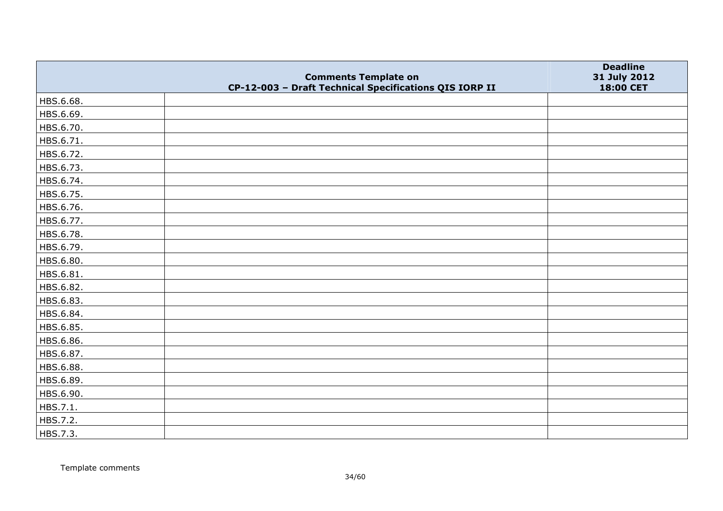|           | <b>Comments Template on</b>                            | <b>Deadline</b><br>31 July 2012 |
|-----------|--------------------------------------------------------|---------------------------------|
|           | CP-12-003 - Draft Technical Specifications QIS IORP II | 18:00 CET                       |
| HBS.6.68. |                                                        |                                 |
| HBS.6.69. |                                                        |                                 |
| HBS.6.70. |                                                        |                                 |
| HBS.6.71. |                                                        |                                 |
| HBS.6.72. |                                                        |                                 |
| HBS.6.73. |                                                        |                                 |
| HBS.6.74. |                                                        |                                 |
| HBS.6.75. |                                                        |                                 |
| HBS.6.76. |                                                        |                                 |
| HBS.6.77. |                                                        |                                 |
| HBS.6.78. |                                                        |                                 |
| HBS.6.79. |                                                        |                                 |
| HBS.6.80. |                                                        |                                 |
| HBS.6.81. |                                                        |                                 |
| HBS.6.82. |                                                        |                                 |
| HBS.6.83. |                                                        |                                 |
| HBS.6.84. |                                                        |                                 |
| HBS.6.85. |                                                        |                                 |
| HBS.6.86. |                                                        |                                 |
| HBS.6.87. |                                                        |                                 |
| HBS.6.88. |                                                        |                                 |
| HBS.6.89. |                                                        |                                 |
| HBS.6.90. |                                                        |                                 |
| HBS.7.1.  |                                                        |                                 |
| HBS.7.2.  |                                                        |                                 |
| HBS.7.3.  |                                                        |                                 |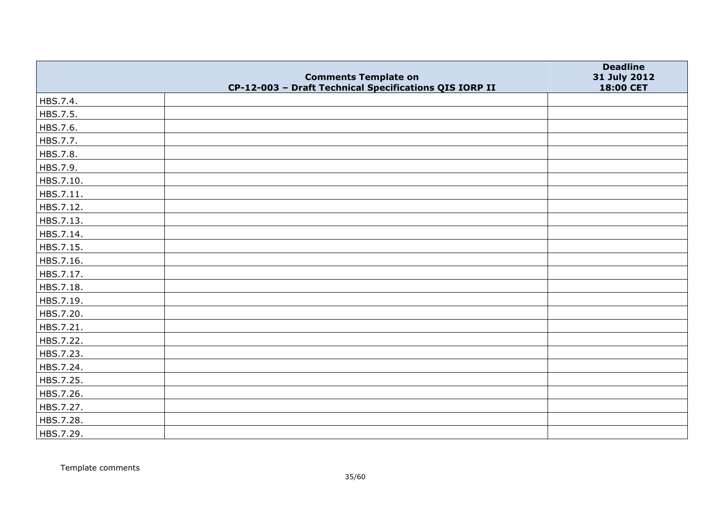|           | <b>Comments Template on</b>                            | <b>Deadline</b><br>31 July 2012 |
|-----------|--------------------------------------------------------|---------------------------------|
|           | CP-12-003 - Draft Technical Specifications QIS IORP II | 18:00 CET                       |
| HBS.7.4.  |                                                        |                                 |
| HBS.7.5.  |                                                        |                                 |
| HBS.7.6.  |                                                        |                                 |
| HBS.7.7.  |                                                        |                                 |
| HBS.7.8.  |                                                        |                                 |
| HBS.7.9.  |                                                        |                                 |
| HBS.7.10. |                                                        |                                 |
| HBS.7.11. |                                                        |                                 |
| HBS.7.12. |                                                        |                                 |
| HBS.7.13. |                                                        |                                 |
| HBS.7.14. |                                                        |                                 |
| HBS.7.15. |                                                        |                                 |
| HBS.7.16. |                                                        |                                 |
| HBS.7.17. |                                                        |                                 |
| HBS.7.18. |                                                        |                                 |
| HBS.7.19. |                                                        |                                 |
| HBS.7.20. |                                                        |                                 |
| HBS.7.21. |                                                        |                                 |
| HBS.7.22. |                                                        |                                 |
| HBS.7.23. |                                                        |                                 |
| HBS.7.24. |                                                        |                                 |
| HBS.7.25. |                                                        |                                 |
| HBS.7.26. |                                                        |                                 |
| HBS.7.27. |                                                        |                                 |
| HBS.7.28. |                                                        |                                 |
| HBS.7.29. |                                                        |                                 |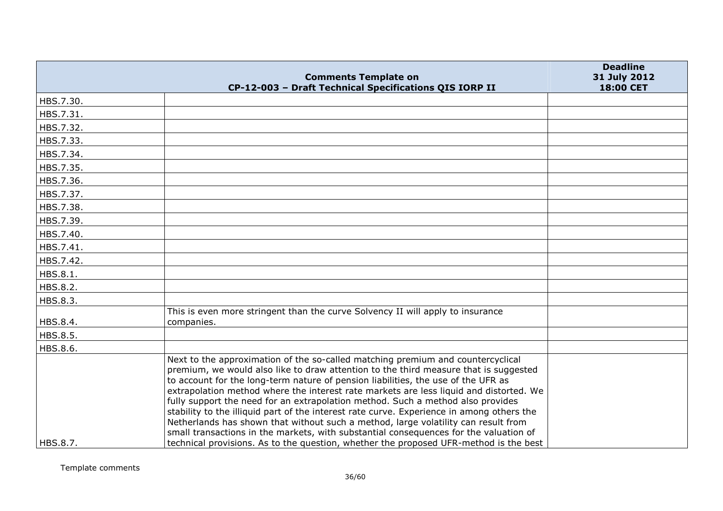|           | <b>Comments Template on</b>                                                                                                                                               | <b>Deadline</b><br>31 July 2012 |
|-----------|---------------------------------------------------------------------------------------------------------------------------------------------------------------------------|---------------------------------|
|           | CP-12-003 - Draft Technical Specifications QIS IORP II                                                                                                                    | 18:00 CET                       |
| HBS.7.30. |                                                                                                                                                                           |                                 |
| HBS.7.31. |                                                                                                                                                                           |                                 |
| HBS.7.32. |                                                                                                                                                                           |                                 |
| HBS.7.33. |                                                                                                                                                                           |                                 |
| HBS.7.34. |                                                                                                                                                                           |                                 |
| HBS.7.35. |                                                                                                                                                                           |                                 |
| HBS.7.36. |                                                                                                                                                                           |                                 |
| HBS.7.37. |                                                                                                                                                                           |                                 |
| HBS.7.38. |                                                                                                                                                                           |                                 |
| HBS.7.39. |                                                                                                                                                                           |                                 |
| HBS.7.40. |                                                                                                                                                                           |                                 |
| HBS.7.41. |                                                                                                                                                                           |                                 |
| HBS.7.42. |                                                                                                                                                                           |                                 |
| HBS.8.1.  |                                                                                                                                                                           |                                 |
| HBS.8.2.  |                                                                                                                                                                           |                                 |
| HBS.8.3.  |                                                                                                                                                                           |                                 |
|           | This is even more stringent than the curve Solvency II will apply to insurance                                                                                            |                                 |
| HBS.8.4.  | companies.                                                                                                                                                                |                                 |
| HBS.8.5.  |                                                                                                                                                                           |                                 |
| HBS.8.6.  | Next to the approximation of the so-called matching premium and countercyclical                                                                                           |                                 |
|           | premium, we would also like to draw attention to the third measure that is suggested<br>to account for the long-term nature of pension liabilities, the use of the UFR as |                                 |
|           | extrapolation method where the interest rate markets are less liquid and distorted. We<br>fully support the need for an extrapolation method. Such a method also provides |                                 |
|           | stability to the illiquid part of the interest rate curve. Experience in among others the                                                                                 |                                 |
|           | Netherlands has shown that without such a method, large volatility can result from                                                                                        |                                 |
|           | small transactions in the markets, with substantial consequences for the valuation of                                                                                     |                                 |
| HBS.8.7.  | technical provisions. As to the question, whether the proposed UFR-method is the best                                                                                     |                                 |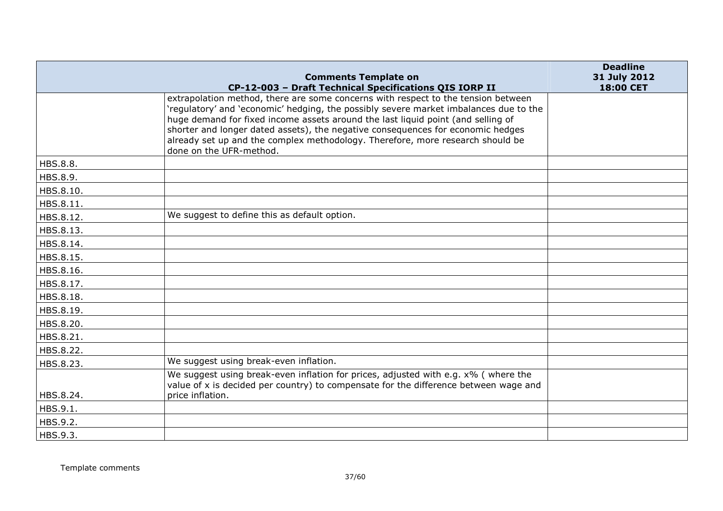|           |                                                                                                                                                                                                                                                              | <b>Deadline</b> |
|-----------|--------------------------------------------------------------------------------------------------------------------------------------------------------------------------------------------------------------------------------------------------------------|-----------------|
|           | <b>Comments Template on</b>                                                                                                                                                                                                                                  | 31 July 2012    |
|           | CP-12-003 - Draft Technical Specifications QIS IORP II<br>extrapolation method, there are some concerns with respect to the tension between                                                                                                                  | 18:00 CET       |
|           | 'regulatory' and 'economic' hedging, the possibly severe market imbalances due to the<br>huge demand for fixed income assets around the last liquid point (and selling of<br>shorter and longer dated assets), the negative consequences for economic hedges |                 |
|           | already set up and the complex methodology. Therefore, more research should be<br>done on the UFR-method.                                                                                                                                                    |                 |
| HBS.8.8.  |                                                                                                                                                                                                                                                              |                 |
| HBS.8.9.  |                                                                                                                                                                                                                                                              |                 |
| HBS.8.10. |                                                                                                                                                                                                                                                              |                 |
| HBS.8.11. |                                                                                                                                                                                                                                                              |                 |
| HBS.8.12. | We suggest to define this as default option.                                                                                                                                                                                                                 |                 |
| HBS.8.13. |                                                                                                                                                                                                                                                              |                 |
| HBS.8.14. |                                                                                                                                                                                                                                                              |                 |
| HBS.8.15. |                                                                                                                                                                                                                                                              |                 |
| HBS.8.16. |                                                                                                                                                                                                                                                              |                 |
| HBS.8.17. |                                                                                                                                                                                                                                                              |                 |
| HBS.8.18. |                                                                                                                                                                                                                                                              |                 |
| HBS.8.19. |                                                                                                                                                                                                                                                              |                 |
| HBS.8.20. |                                                                                                                                                                                                                                                              |                 |
| HBS.8.21. |                                                                                                                                                                                                                                                              |                 |
| HBS.8.22. |                                                                                                                                                                                                                                                              |                 |
| HBS.8.23. | We suggest using break-even inflation.                                                                                                                                                                                                                       |                 |
|           | We suggest using break-even inflation for prices, adjusted with e.g. x% ( where the<br>value of x is decided per country) to compensate for the difference between wage and                                                                                  |                 |
| HBS.8.24. | price inflation.                                                                                                                                                                                                                                             |                 |
| HBS.9.1.  |                                                                                                                                                                                                                                                              |                 |
| HBS.9.2.  |                                                                                                                                                                                                                                                              |                 |
| HBS.9.3.  |                                                                                                                                                                                                                                                              |                 |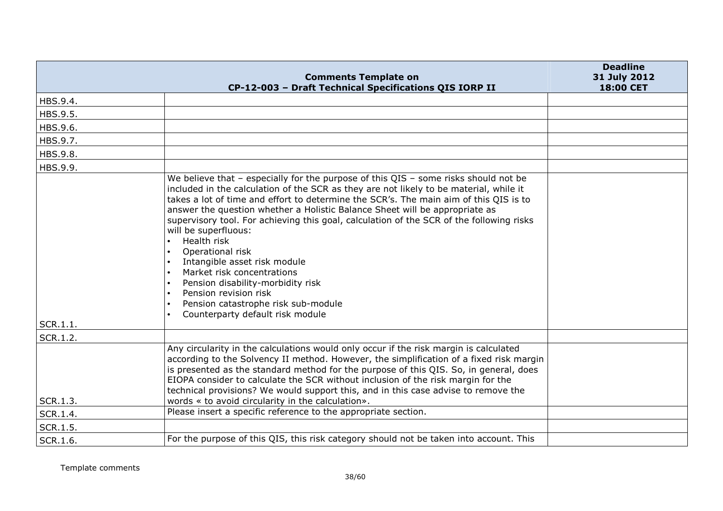|                      | <b>Comments Template on</b>                                                                                                                                                                                                                                                                                                                                                                                                                                                                                                                                                                                                                                                                                             | <b>Deadline</b><br>31 July 2012 |
|----------------------|-------------------------------------------------------------------------------------------------------------------------------------------------------------------------------------------------------------------------------------------------------------------------------------------------------------------------------------------------------------------------------------------------------------------------------------------------------------------------------------------------------------------------------------------------------------------------------------------------------------------------------------------------------------------------------------------------------------------------|---------------------------------|
|                      | CP-12-003 - Draft Technical Specifications QIS IORP II                                                                                                                                                                                                                                                                                                                                                                                                                                                                                                                                                                                                                                                                  | 18:00 CET                       |
| HBS.9.4.             |                                                                                                                                                                                                                                                                                                                                                                                                                                                                                                                                                                                                                                                                                                                         |                                 |
| HBS.9.5.             |                                                                                                                                                                                                                                                                                                                                                                                                                                                                                                                                                                                                                                                                                                                         |                                 |
| HBS.9.6.             |                                                                                                                                                                                                                                                                                                                                                                                                                                                                                                                                                                                                                                                                                                                         |                                 |
| HBS.9.7.             |                                                                                                                                                                                                                                                                                                                                                                                                                                                                                                                                                                                                                                                                                                                         |                                 |
| HBS.9.8.             |                                                                                                                                                                                                                                                                                                                                                                                                                                                                                                                                                                                                                                                                                                                         |                                 |
| HBS.9.9.             |                                                                                                                                                                                                                                                                                                                                                                                                                                                                                                                                                                                                                                                                                                                         |                                 |
|                      | We believe that $-$ especially for the purpose of this QIS $-$ some risks should not be<br>included in the calculation of the SCR as they are not likely to be material, while it<br>takes a lot of time and effort to determine the SCR's. The main aim of this QIS is to<br>answer the question whether a Holistic Balance Sheet will be appropriate as<br>supervisory tool. For achieving this goal, calculation of the SCR of the following risks<br>will be superfluous:<br>Health risk<br>Operational risk<br>Intangible asset risk module<br>Market risk concentrations<br>Pension disability-morbidity risk<br>Pension revision risk<br>Pension catastrophe risk sub-module<br>Counterparty default risk module |                                 |
| SCR.1.1.<br>SCR.1.2. |                                                                                                                                                                                                                                                                                                                                                                                                                                                                                                                                                                                                                                                                                                                         |                                 |
|                      | Any circularity in the calculations would only occur if the risk margin is calculated                                                                                                                                                                                                                                                                                                                                                                                                                                                                                                                                                                                                                                   |                                 |
|                      | according to the Solvency II method. However, the simplification of a fixed risk margin<br>is presented as the standard method for the purpose of this QIS. So, in general, does<br>EIOPA consider to calculate the SCR without inclusion of the risk margin for the<br>technical provisions? We would support this, and in this case advise to remove the                                                                                                                                                                                                                                                                                                                                                              |                                 |
| SCR.1.3.             | words « to avoid circularity in the calculation».<br>Please insert a specific reference to the appropriate section.                                                                                                                                                                                                                                                                                                                                                                                                                                                                                                                                                                                                     |                                 |
| SCR.1.4.             |                                                                                                                                                                                                                                                                                                                                                                                                                                                                                                                                                                                                                                                                                                                         |                                 |
| SCR.1.5.             |                                                                                                                                                                                                                                                                                                                                                                                                                                                                                                                                                                                                                                                                                                                         |                                 |
| SCR.1.6.             | For the purpose of this QIS, this risk category should not be taken into account. This                                                                                                                                                                                                                                                                                                                                                                                                                                                                                                                                                                                                                                  |                                 |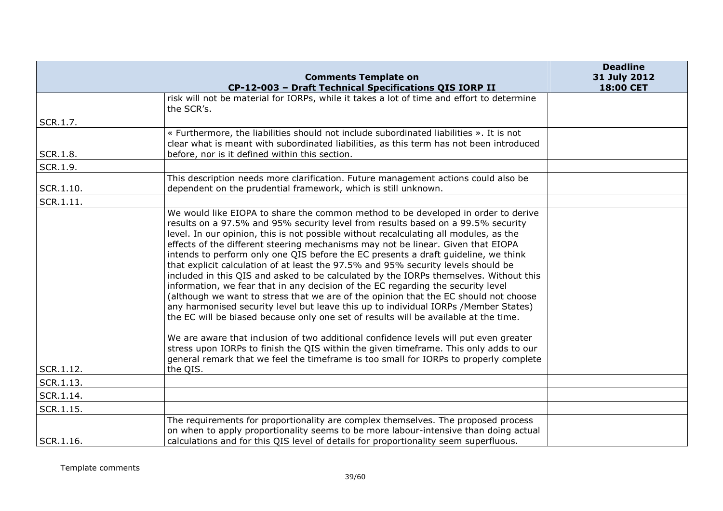|           | <b>Comments Template on</b>                                                                                                                                                                                                                                                                                                                                                                                                                                                                                                                                                                                                                                                                                                                                                                                                                                                                                                                                                                                                                                                                                                                                                                                                                                              | <b>Deadline</b><br>31 July 2012 |
|-----------|--------------------------------------------------------------------------------------------------------------------------------------------------------------------------------------------------------------------------------------------------------------------------------------------------------------------------------------------------------------------------------------------------------------------------------------------------------------------------------------------------------------------------------------------------------------------------------------------------------------------------------------------------------------------------------------------------------------------------------------------------------------------------------------------------------------------------------------------------------------------------------------------------------------------------------------------------------------------------------------------------------------------------------------------------------------------------------------------------------------------------------------------------------------------------------------------------------------------------------------------------------------------------|---------------------------------|
|           | CP-12-003 - Draft Technical Specifications QIS IORP II                                                                                                                                                                                                                                                                                                                                                                                                                                                                                                                                                                                                                                                                                                                                                                                                                                                                                                                                                                                                                                                                                                                                                                                                                   | 18:00 CET                       |
|           | risk will not be material for IORPs, while it takes a lot of time and effort to determine<br>the SCR's.                                                                                                                                                                                                                                                                                                                                                                                                                                                                                                                                                                                                                                                                                                                                                                                                                                                                                                                                                                                                                                                                                                                                                                  |                                 |
| SCR.1.7.  |                                                                                                                                                                                                                                                                                                                                                                                                                                                                                                                                                                                                                                                                                                                                                                                                                                                                                                                                                                                                                                                                                                                                                                                                                                                                          |                                 |
| SCR.1.8.  | « Furthermore, the liabilities should not include subordinated liabilities ». It is not<br>clear what is meant with subordinated liabilities, as this term has not been introduced<br>before, nor is it defined within this section.                                                                                                                                                                                                                                                                                                                                                                                                                                                                                                                                                                                                                                                                                                                                                                                                                                                                                                                                                                                                                                     |                                 |
| SCR.1.9.  |                                                                                                                                                                                                                                                                                                                                                                                                                                                                                                                                                                                                                                                                                                                                                                                                                                                                                                                                                                                                                                                                                                                                                                                                                                                                          |                                 |
| SCR.1.10. | This description needs more clarification. Future management actions could also be<br>dependent on the prudential framework, which is still unknown.                                                                                                                                                                                                                                                                                                                                                                                                                                                                                                                                                                                                                                                                                                                                                                                                                                                                                                                                                                                                                                                                                                                     |                                 |
| SCR.1.11. |                                                                                                                                                                                                                                                                                                                                                                                                                                                                                                                                                                                                                                                                                                                                                                                                                                                                                                                                                                                                                                                                                                                                                                                                                                                                          |                                 |
| SCR.1.12. | We would like EIOPA to share the common method to be developed in order to derive<br>results on a 97.5% and 95% security level from results based on a 99.5% security<br>level. In our opinion, this is not possible without recalculating all modules, as the<br>effects of the different steering mechanisms may not be linear. Given that EIOPA<br>intends to perform only one QIS before the EC presents a draft guideline, we think<br>that explicit calculation of at least the 97.5% and 95% security levels should be<br>included in this QIS and asked to be calculated by the IORPs themselves. Without this<br>information, we fear that in any decision of the EC regarding the security level<br>(although we want to stress that we are of the opinion that the EC should not choose<br>any harmonised security level but leave this up to individual IORPs /Member States)<br>the EC will be biased because only one set of results will be available at the time.<br>We are aware that inclusion of two additional confidence levels will put even greater<br>stress upon IORPs to finish the QIS within the given timeframe. This only adds to our<br>general remark that we feel the timeframe is too small for IORPs to properly complete<br>the QIS. |                                 |
| SCR.1.13. |                                                                                                                                                                                                                                                                                                                                                                                                                                                                                                                                                                                                                                                                                                                                                                                                                                                                                                                                                                                                                                                                                                                                                                                                                                                                          |                                 |
| SCR.1.14. |                                                                                                                                                                                                                                                                                                                                                                                                                                                                                                                                                                                                                                                                                                                                                                                                                                                                                                                                                                                                                                                                                                                                                                                                                                                                          |                                 |
| SCR.1.15. |                                                                                                                                                                                                                                                                                                                                                                                                                                                                                                                                                                                                                                                                                                                                                                                                                                                                                                                                                                                                                                                                                                                                                                                                                                                                          |                                 |
| SCR.1.16. | The requirements for proportionality are complex themselves. The proposed process<br>on when to apply proportionality seems to be more labour-intensive than doing actual<br>calculations and for this QIS level of details for proportionality seem superfluous.                                                                                                                                                                                                                                                                                                                                                                                                                                                                                                                                                                                                                                                                                                                                                                                                                                                                                                                                                                                                        |                                 |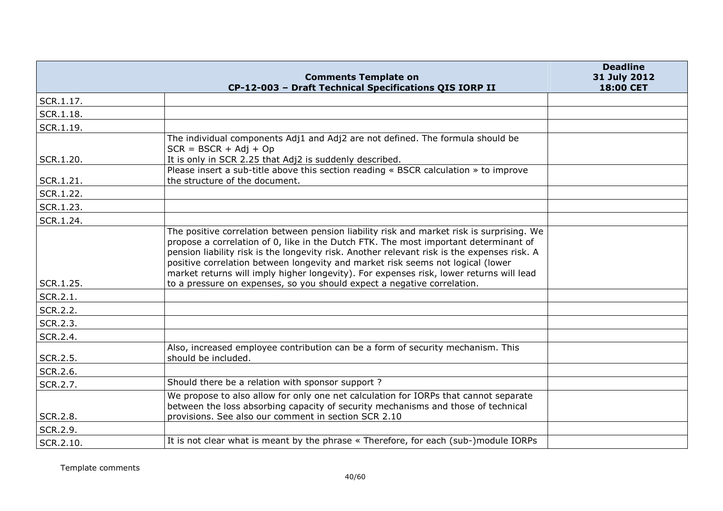|           | <b>Comments Template on</b><br>CP-12-003 - Draft Technical Specifications QIS IORP II                                                                                                                                                                                                                                                                                                                                                                          | <b>Deadline</b><br>31 July 2012<br>18:00 CET |
|-----------|----------------------------------------------------------------------------------------------------------------------------------------------------------------------------------------------------------------------------------------------------------------------------------------------------------------------------------------------------------------------------------------------------------------------------------------------------------------|----------------------------------------------|
| SCR.1.17. |                                                                                                                                                                                                                                                                                                                                                                                                                                                                |                                              |
| SCR.1.18. |                                                                                                                                                                                                                                                                                                                                                                                                                                                                |                                              |
| SCR.1.19. |                                                                                                                                                                                                                                                                                                                                                                                                                                                                |                                              |
|           | The individual components Adj1 and Adj2 are not defined. The formula should be<br>$SCR = BSCR + Adj + Op$                                                                                                                                                                                                                                                                                                                                                      |                                              |
| SCR.1.20. | It is only in SCR 2.25 that Adj2 is suddenly described.                                                                                                                                                                                                                                                                                                                                                                                                        |                                              |
| SCR.1.21. | Please insert a sub-title above this section reading « BSCR calculation » to improve<br>the structure of the document.                                                                                                                                                                                                                                                                                                                                         |                                              |
| SCR.1.22. |                                                                                                                                                                                                                                                                                                                                                                                                                                                                |                                              |
| SCR.1.23. |                                                                                                                                                                                                                                                                                                                                                                                                                                                                |                                              |
| SCR.1.24. |                                                                                                                                                                                                                                                                                                                                                                                                                                                                |                                              |
|           | The positive correlation between pension liability risk and market risk is surprising. We<br>propose a correlation of 0, like in the Dutch FTK. The most important determinant of<br>pension liability risk is the longevity risk. Another relevant risk is the expenses risk. A<br>positive correlation between longevity and market risk seems not logical (lower<br>market returns will imply higher longevity). For expenses risk, lower returns will lead |                                              |
| SCR.1.25. | to a pressure on expenses, so you should expect a negative correlation.                                                                                                                                                                                                                                                                                                                                                                                        |                                              |
| SCR.2.1.  |                                                                                                                                                                                                                                                                                                                                                                                                                                                                |                                              |
| SCR.2.2.  |                                                                                                                                                                                                                                                                                                                                                                                                                                                                |                                              |
| SCR.2.3.  |                                                                                                                                                                                                                                                                                                                                                                                                                                                                |                                              |
| SCR.2.4.  |                                                                                                                                                                                                                                                                                                                                                                                                                                                                |                                              |
| SCR.2.5.  | Also, increased employee contribution can be a form of security mechanism. This<br>should be included.                                                                                                                                                                                                                                                                                                                                                         |                                              |
| SCR.2.6.  |                                                                                                                                                                                                                                                                                                                                                                                                                                                                |                                              |
| SCR.2.7.  | Should there be a relation with sponsor support?                                                                                                                                                                                                                                                                                                                                                                                                               |                                              |
| SCR.2.8.  | We propose to also allow for only one net calculation for IORPs that cannot separate<br>between the loss absorbing capacity of security mechanisms and those of technical<br>provisions. See also our comment in section SCR 2.10                                                                                                                                                                                                                              |                                              |
| SCR.2.9.  |                                                                                                                                                                                                                                                                                                                                                                                                                                                                |                                              |
| SCR.2.10. | It is not clear what is meant by the phrase « Therefore, for each (sub-)module IORPs                                                                                                                                                                                                                                                                                                                                                                           |                                              |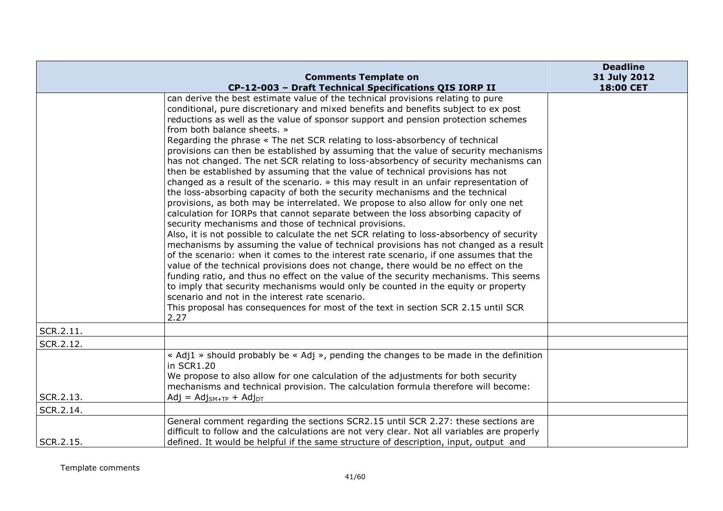|           |                                                                                                                                                                                                                                                                                                                                                                                                                                                                                                                                                                                                                                                                                                                                                                                                                                                                                                                                                                                                                                                                                                                                                                                                                                                                                                                                                                                                                                                                                                                                                                                                                                                                                                                                                                                                                      | <b>Deadline</b> |
|-----------|----------------------------------------------------------------------------------------------------------------------------------------------------------------------------------------------------------------------------------------------------------------------------------------------------------------------------------------------------------------------------------------------------------------------------------------------------------------------------------------------------------------------------------------------------------------------------------------------------------------------------------------------------------------------------------------------------------------------------------------------------------------------------------------------------------------------------------------------------------------------------------------------------------------------------------------------------------------------------------------------------------------------------------------------------------------------------------------------------------------------------------------------------------------------------------------------------------------------------------------------------------------------------------------------------------------------------------------------------------------------------------------------------------------------------------------------------------------------------------------------------------------------------------------------------------------------------------------------------------------------------------------------------------------------------------------------------------------------------------------------------------------------------------------------------------------------|-----------------|
|           | <b>Comments Template on</b>                                                                                                                                                                                                                                                                                                                                                                                                                                                                                                                                                                                                                                                                                                                                                                                                                                                                                                                                                                                                                                                                                                                                                                                                                                                                                                                                                                                                                                                                                                                                                                                                                                                                                                                                                                                          | 31 July 2012    |
|           | CP-12-003 - Draft Technical Specifications QIS IORP II<br>can derive the best estimate value of the technical provisions relating to pure<br>conditional, pure discretionary and mixed benefits and benefits subject to ex post<br>reductions as well as the value of sponsor support and pension protection schemes<br>from both balance sheets. »<br>Regarding the phrase « The net SCR relating to loss-absorbency of technical<br>provisions can then be established by assuming that the value of security mechanisms<br>has not changed. The net SCR relating to loss-absorbency of security mechanisms can<br>then be established by assuming that the value of technical provisions has not<br>changed as a result of the scenario. » this may result in an unfair representation of<br>the loss-absorbing capacity of both the security mechanisms and the technical<br>provisions, as both may be interrelated. We propose to also allow for only one net<br>calculation for IORPs that cannot separate between the loss absorbing capacity of<br>security mechanisms and those of technical provisions.<br>Also, it is not possible to calculate the net SCR relating to loss-absorbency of security<br>mechanisms by assuming the value of technical provisions has not changed as a result<br>of the scenario: when it comes to the interest rate scenario, if one assumes that the<br>value of the technical provisions does not change, there would be no effect on the<br>funding ratio, and thus no effect on the value of the security mechanisms. This seems<br>to imply that security mechanisms would only be counted in the equity or property<br>scenario and not in the interest rate scenario.<br>This proposal has consequences for most of the text in section SCR 2.15 until SCR<br>2.27 | 18:00 CET       |
| SCR.2.11. |                                                                                                                                                                                                                                                                                                                                                                                                                                                                                                                                                                                                                                                                                                                                                                                                                                                                                                                                                                                                                                                                                                                                                                                                                                                                                                                                                                                                                                                                                                                                                                                                                                                                                                                                                                                                                      |                 |
| SCR.2.12. |                                                                                                                                                                                                                                                                                                                                                                                                                                                                                                                                                                                                                                                                                                                                                                                                                                                                                                                                                                                                                                                                                                                                                                                                                                                                                                                                                                                                                                                                                                                                                                                                                                                                                                                                                                                                                      |                 |
|           | « Adj1 » should probably be « Adj », pending the changes to be made in the definition<br>in SCR1.20<br>We propose to also allow for one calculation of the adjustments for both security<br>mechanisms and technical provision. The calculation formula therefore will become:                                                                                                                                                                                                                                                                                                                                                                                                                                                                                                                                                                                                                                                                                                                                                                                                                                                                                                                                                                                                                                                                                                                                                                                                                                                                                                                                                                                                                                                                                                                                       |                 |
| SCR.2.13. | $Adj = Adj_{SM+TP} + Adj_{DT}$                                                                                                                                                                                                                                                                                                                                                                                                                                                                                                                                                                                                                                                                                                                                                                                                                                                                                                                                                                                                                                                                                                                                                                                                                                                                                                                                                                                                                                                                                                                                                                                                                                                                                                                                                                                       |                 |
| SCR.2.14. |                                                                                                                                                                                                                                                                                                                                                                                                                                                                                                                                                                                                                                                                                                                                                                                                                                                                                                                                                                                                                                                                                                                                                                                                                                                                                                                                                                                                                                                                                                                                                                                                                                                                                                                                                                                                                      |                 |
| SCR.2.15. | General comment regarding the sections SCR2.15 until SCR 2.27: these sections are<br>difficult to follow and the calculations are not very clear. Not all variables are properly<br>defined. It would be helpful if the same structure of description, input, output and                                                                                                                                                                                                                                                                                                                                                                                                                                                                                                                                                                                                                                                                                                                                                                                                                                                                                                                                                                                                                                                                                                                                                                                                                                                                                                                                                                                                                                                                                                                                             |                 |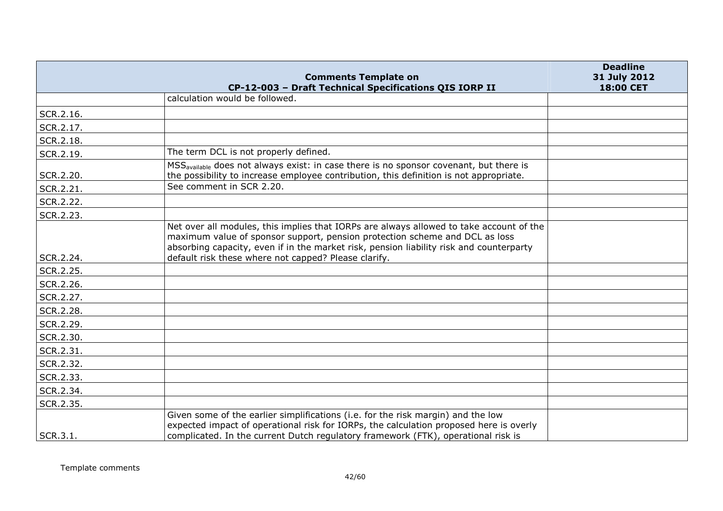|                        | <b>Comments Template on</b><br>CP-12-003 - Draft Technical Specifications QIS IORP II                                                                                                                                                                             | <b>Deadline</b><br>31 July 2012<br>18:00 CET |
|------------------------|-------------------------------------------------------------------------------------------------------------------------------------------------------------------------------------------------------------------------------------------------------------------|----------------------------------------------|
|                        | calculation would be followed.                                                                                                                                                                                                                                    |                                              |
| SCR.2.16.              |                                                                                                                                                                                                                                                                   |                                              |
| SCR.2.17.              |                                                                                                                                                                                                                                                                   |                                              |
| SCR.2.18.              |                                                                                                                                                                                                                                                                   |                                              |
| SCR.2.19.              | The term DCL is not properly defined.                                                                                                                                                                                                                             |                                              |
| SCR.2.20.              | MSS <sub>available</sub> does not always exist: in case there is no sponsor covenant, but there is<br>the possibility to increase employee contribution, this definition is not appropriate.                                                                      |                                              |
| SCR.2.21.              | See comment in SCR 2.20.                                                                                                                                                                                                                                          |                                              |
| SCR.2.22.              |                                                                                                                                                                                                                                                                   |                                              |
| SCR.2.23.              |                                                                                                                                                                                                                                                                   |                                              |
|                        | Net over all modules, this implies that IORPs are always allowed to take account of the<br>maximum value of sponsor support, pension protection scheme and DCL as loss<br>absorbing capacity, even if in the market risk, pension liability risk and counterparty |                                              |
| SCR.2.24.              | default risk these where not capped? Please clarify.                                                                                                                                                                                                              |                                              |
| SCR.2.25.              |                                                                                                                                                                                                                                                                   |                                              |
| SCR.2.26.              |                                                                                                                                                                                                                                                                   |                                              |
| SCR.2.27.              |                                                                                                                                                                                                                                                                   |                                              |
| SCR.2.28.              |                                                                                                                                                                                                                                                                   |                                              |
| SCR.2.29.              |                                                                                                                                                                                                                                                                   |                                              |
| SCR.2.30.<br>SCR.2.31. |                                                                                                                                                                                                                                                                   |                                              |
| SCR.2.32.              |                                                                                                                                                                                                                                                                   |                                              |
| SCR.2.33.              |                                                                                                                                                                                                                                                                   |                                              |
|                        |                                                                                                                                                                                                                                                                   |                                              |
| SCR.2.34.              |                                                                                                                                                                                                                                                                   |                                              |
| SCR.2.35.              | Given some of the earlier simplifications (i.e. for the risk margin) and the low                                                                                                                                                                                  |                                              |
| SCR.3.1.               | expected impact of operational risk for IORPs, the calculation proposed here is overly<br>complicated. In the current Dutch regulatory framework (FTK), operational risk is                                                                                       |                                              |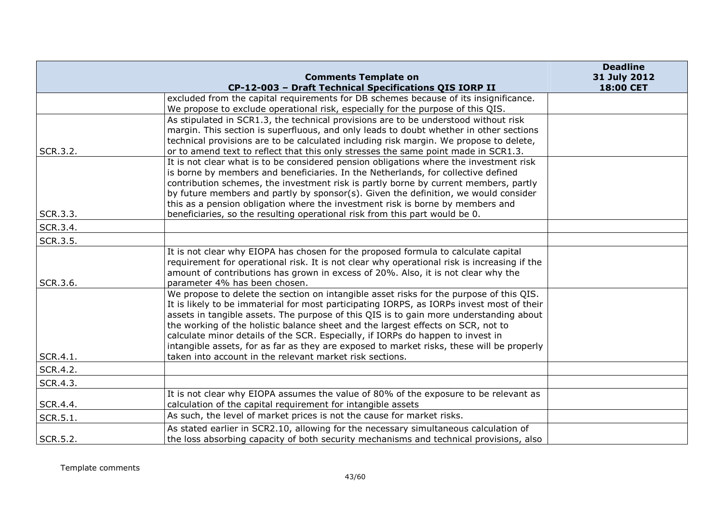|          |                                                                                                                                                                                  | <b>Deadline</b>           |
|----------|----------------------------------------------------------------------------------------------------------------------------------------------------------------------------------|---------------------------|
|          | <b>Comments Template on</b><br>CP-12-003 - Draft Technical Specifications QIS IORP II                                                                                            | 31 July 2012<br>18:00 CET |
|          | excluded from the capital requirements for DB schemes because of its insignificance.                                                                                             |                           |
|          | We propose to exclude operational risk, especially for the purpose of this QIS.                                                                                                  |                           |
|          | As stipulated in SCR1.3, the technical provisions are to be understood without risk                                                                                              |                           |
|          | margin. This section is superfluous, and only leads to doubt whether in other sections                                                                                           |                           |
|          | technical provisions are to be calculated including risk margin. We propose to delete,                                                                                           |                           |
| SCR.3.2. | or to amend text to reflect that this only stresses the same point made in SCR1.3.                                                                                               |                           |
|          | It is not clear what is to be considered pension obligations where the investment risk                                                                                           |                           |
|          | is borne by members and beneficiaries. In the Netherlands, for collective defined                                                                                                |                           |
|          | contribution schemes, the investment risk is partly borne by current members, partly                                                                                             |                           |
|          | by future members and partly by sponsor(s). Given the definition, we would consider<br>this as a pension obligation where the investment risk is borne by members and            |                           |
| SCR.3.3. | beneficiaries, so the resulting operational risk from this part would be 0.                                                                                                      |                           |
| SCR.3.4. |                                                                                                                                                                                  |                           |
|          |                                                                                                                                                                                  |                           |
| SCR.3.5. |                                                                                                                                                                                  |                           |
|          | It is not clear why EIOPA has chosen for the proposed formula to calculate capital                                                                                               |                           |
|          | requirement for operational risk. It is not clear why operational risk is increasing if the<br>amount of contributions has grown in excess of 20%. Also, it is not clear why the |                           |
| SCR.3.6. | parameter 4% has been chosen.                                                                                                                                                    |                           |
|          | We propose to delete the section on intangible asset risks for the purpose of this QIS.                                                                                          |                           |
|          | It is likely to be immaterial for most participating IORPS, as IORPs invest most of their                                                                                        |                           |
|          | assets in tangible assets. The purpose of this QIS is to gain more understanding about                                                                                           |                           |
|          | the working of the holistic balance sheet and the largest effects on SCR, not to                                                                                                 |                           |
|          | calculate minor details of the SCR. Especially, if IORPs do happen to invest in                                                                                                  |                           |
|          | intangible assets, for as far as they are exposed to market risks, these will be properly                                                                                        |                           |
| SCR.4.1. | taken into account in the relevant market risk sections.                                                                                                                         |                           |
| SCR.4.2. |                                                                                                                                                                                  |                           |
| SCR.4.3. |                                                                                                                                                                                  |                           |
|          | It is not clear why EIOPA assumes the value of 80% of the exposure to be relevant as                                                                                             |                           |
| SCR.4.4. | calculation of the capital requirement for intangible assets                                                                                                                     |                           |
| SCR.5.1. | As such, the level of market prices is not the cause for market risks.                                                                                                           |                           |
|          | As stated earlier in SCR2.10, allowing for the necessary simultaneous calculation of                                                                                             |                           |
| SCR.5.2. | the loss absorbing capacity of both security mechanisms and technical provisions, also                                                                                           |                           |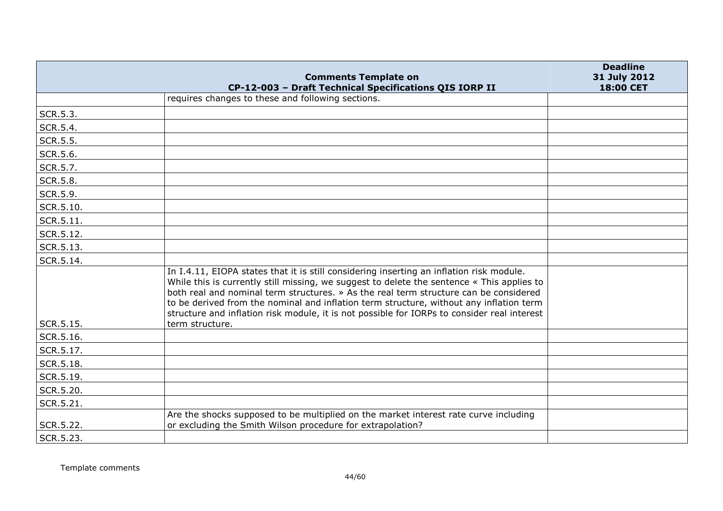|                 | <b>Comments Template on</b>                                                                                                                                                                                                                                                                                                                                                                                                                                               | <b>Deadline</b><br>31 July 2012 |
|-----------------|---------------------------------------------------------------------------------------------------------------------------------------------------------------------------------------------------------------------------------------------------------------------------------------------------------------------------------------------------------------------------------------------------------------------------------------------------------------------------|---------------------------------|
|                 | CP-12-003 - Draft Technical Specifications QIS IORP II                                                                                                                                                                                                                                                                                                                                                                                                                    | 18:00 CET                       |
|                 | requires changes to these and following sections.                                                                                                                                                                                                                                                                                                                                                                                                                         |                                 |
| SCR.5.3.        |                                                                                                                                                                                                                                                                                                                                                                                                                                                                           |                                 |
| SCR.5.4.        |                                                                                                                                                                                                                                                                                                                                                                                                                                                                           |                                 |
| <b>SCR.5.5.</b> |                                                                                                                                                                                                                                                                                                                                                                                                                                                                           |                                 |
| SCR.5.6.        |                                                                                                                                                                                                                                                                                                                                                                                                                                                                           |                                 |
| SCR.5.7.        |                                                                                                                                                                                                                                                                                                                                                                                                                                                                           |                                 |
| SCR.5.8.        |                                                                                                                                                                                                                                                                                                                                                                                                                                                                           |                                 |
| SCR.5.9.        |                                                                                                                                                                                                                                                                                                                                                                                                                                                                           |                                 |
| SCR.5.10.       |                                                                                                                                                                                                                                                                                                                                                                                                                                                                           |                                 |
| SCR.5.11.       |                                                                                                                                                                                                                                                                                                                                                                                                                                                                           |                                 |
| SCR.5.12.       |                                                                                                                                                                                                                                                                                                                                                                                                                                                                           |                                 |
| SCR.5.13.       |                                                                                                                                                                                                                                                                                                                                                                                                                                                                           |                                 |
| SCR.5.14.       |                                                                                                                                                                                                                                                                                                                                                                                                                                                                           |                                 |
|                 | In I.4.11, EIOPA states that it is still considering inserting an inflation risk module.<br>While this is currently still missing, we suggest to delete the sentence « This applies to<br>both real and nominal term structures. » As the real term structure can be considered<br>to be derived from the nominal and inflation term structure, without any inflation term<br>structure and inflation risk module, it is not possible for IORPs to consider real interest |                                 |
| SCR.5.15.       | term structure.                                                                                                                                                                                                                                                                                                                                                                                                                                                           |                                 |
| SCR.5.16.       |                                                                                                                                                                                                                                                                                                                                                                                                                                                                           |                                 |
| SCR.5.17.       |                                                                                                                                                                                                                                                                                                                                                                                                                                                                           |                                 |
| SCR.5.18.       |                                                                                                                                                                                                                                                                                                                                                                                                                                                                           |                                 |
| SCR.5.19.       |                                                                                                                                                                                                                                                                                                                                                                                                                                                                           |                                 |
| SCR.5.20.       |                                                                                                                                                                                                                                                                                                                                                                                                                                                                           |                                 |
| SCR.5.21.       |                                                                                                                                                                                                                                                                                                                                                                                                                                                                           |                                 |
| SCR.5.22.       | Are the shocks supposed to be multiplied on the market interest rate curve including<br>or excluding the Smith Wilson procedure for extrapolation?                                                                                                                                                                                                                                                                                                                        |                                 |
| SCR.5.23.       |                                                                                                                                                                                                                                                                                                                                                                                                                                                                           |                                 |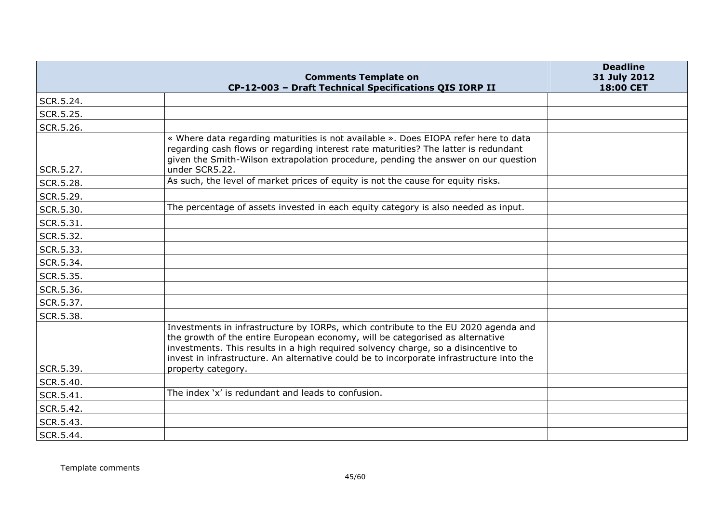|           | <b>Comments Template on</b>                                                                                                                                                                                                                                                                                                                           | <b>Deadline</b><br>31 July 2012 |
|-----------|-------------------------------------------------------------------------------------------------------------------------------------------------------------------------------------------------------------------------------------------------------------------------------------------------------------------------------------------------------|---------------------------------|
|           | CP-12-003 - Draft Technical Specifications QIS IORP II                                                                                                                                                                                                                                                                                                | 18:00 CET                       |
| SCR.5.24. |                                                                                                                                                                                                                                                                                                                                                       |                                 |
| SCR.5.25. |                                                                                                                                                                                                                                                                                                                                                       |                                 |
| SCR.5.26. |                                                                                                                                                                                                                                                                                                                                                       |                                 |
|           | « Where data regarding maturities is not available ». Does EIOPA refer here to data<br>regarding cash flows or regarding interest rate maturities? The latter is redundant<br>given the Smith-Wilson extrapolation procedure, pending the answer on our question                                                                                      |                                 |
| SCR.5.27. | under SCR5.22.<br>As such, the level of market prices of equity is not the cause for equity risks.                                                                                                                                                                                                                                                    |                                 |
| SCR.5.28. |                                                                                                                                                                                                                                                                                                                                                       |                                 |
| SCR.5.29. |                                                                                                                                                                                                                                                                                                                                                       |                                 |
| SCR.5.30. | The percentage of assets invested in each equity category is also needed as input.                                                                                                                                                                                                                                                                    |                                 |
| SCR.5.31. |                                                                                                                                                                                                                                                                                                                                                       |                                 |
| SCR.5.32. |                                                                                                                                                                                                                                                                                                                                                       |                                 |
| SCR.5.33. |                                                                                                                                                                                                                                                                                                                                                       |                                 |
| SCR.5.34. |                                                                                                                                                                                                                                                                                                                                                       |                                 |
| SCR.5.35. |                                                                                                                                                                                                                                                                                                                                                       |                                 |
| SCR.5.36. |                                                                                                                                                                                                                                                                                                                                                       |                                 |
| SCR.5.37. |                                                                                                                                                                                                                                                                                                                                                       |                                 |
| SCR.5.38. |                                                                                                                                                                                                                                                                                                                                                       |                                 |
|           | Investments in infrastructure by IORPs, which contribute to the EU 2020 agenda and<br>the growth of the entire European economy, will be categorised as alternative<br>investments. This results in a high required solvency charge, so a disincentive to<br>invest in infrastructure. An alternative could be to incorporate infrastructure into the |                                 |
| SCR.5.39. | property category.                                                                                                                                                                                                                                                                                                                                    |                                 |
| SCR.5.40. |                                                                                                                                                                                                                                                                                                                                                       |                                 |
| SCR.5.41. | The index 'x' is redundant and leads to confusion.                                                                                                                                                                                                                                                                                                    |                                 |
| SCR.5.42. |                                                                                                                                                                                                                                                                                                                                                       |                                 |
| SCR.5.43. |                                                                                                                                                                                                                                                                                                                                                       |                                 |
| SCR.5.44. |                                                                                                                                                                                                                                                                                                                                                       |                                 |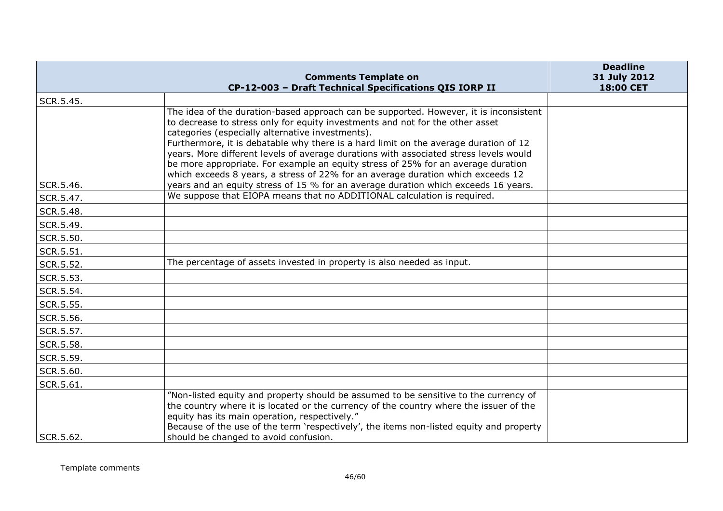|           |                                                                                                                                                                                                                                                                                                                                                                                                                                                                                                                                                                                    | <b>Deadline</b>           |
|-----------|------------------------------------------------------------------------------------------------------------------------------------------------------------------------------------------------------------------------------------------------------------------------------------------------------------------------------------------------------------------------------------------------------------------------------------------------------------------------------------------------------------------------------------------------------------------------------------|---------------------------|
|           | <b>Comments Template on</b><br>CP-12-003 - Draft Technical Specifications QIS IORP II                                                                                                                                                                                                                                                                                                                                                                                                                                                                                              | 31 July 2012<br>18:00 CET |
| SCR.5.45. |                                                                                                                                                                                                                                                                                                                                                                                                                                                                                                                                                                                    |                           |
|           | The idea of the duration-based approach can be supported. However, it is inconsistent<br>to decrease to stress only for equity investments and not for the other asset<br>categories (especially alternative investments).<br>Furthermore, it is debatable why there is a hard limit on the average duration of 12<br>years. More different levels of average durations with associated stress levels would<br>be more appropriate. For example an equity stress of 25% for an average duration<br>which exceeds 8 years, a stress of 22% for an average duration which exceeds 12 |                           |
| SCR.5.46. | years and an equity stress of 15 % for an average duration which exceeds 16 years.                                                                                                                                                                                                                                                                                                                                                                                                                                                                                                 |                           |
| SCR.5.47. | We suppose that EIOPA means that no ADDITIONAL calculation is required.                                                                                                                                                                                                                                                                                                                                                                                                                                                                                                            |                           |
| SCR.5.48. |                                                                                                                                                                                                                                                                                                                                                                                                                                                                                                                                                                                    |                           |
| SCR.5.49. |                                                                                                                                                                                                                                                                                                                                                                                                                                                                                                                                                                                    |                           |
| SCR.5.50. |                                                                                                                                                                                                                                                                                                                                                                                                                                                                                                                                                                                    |                           |
| SCR.5.51. |                                                                                                                                                                                                                                                                                                                                                                                                                                                                                                                                                                                    |                           |
| SCR.5.52. | The percentage of assets invested in property is also needed as input.                                                                                                                                                                                                                                                                                                                                                                                                                                                                                                             |                           |
| SCR.5.53. |                                                                                                                                                                                                                                                                                                                                                                                                                                                                                                                                                                                    |                           |
| SCR.5.54. |                                                                                                                                                                                                                                                                                                                                                                                                                                                                                                                                                                                    |                           |
| SCR.5.55. |                                                                                                                                                                                                                                                                                                                                                                                                                                                                                                                                                                                    |                           |
| SCR.5.56. |                                                                                                                                                                                                                                                                                                                                                                                                                                                                                                                                                                                    |                           |
| SCR.5.57. |                                                                                                                                                                                                                                                                                                                                                                                                                                                                                                                                                                                    |                           |
| SCR.5.58. |                                                                                                                                                                                                                                                                                                                                                                                                                                                                                                                                                                                    |                           |
| SCR.5.59. |                                                                                                                                                                                                                                                                                                                                                                                                                                                                                                                                                                                    |                           |
| SCR.5.60. |                                                                                                                                                                                                                                                                                                                                                                                                                                                                                                                                                                                    |                           |
| SCR.5.61. |                                                                                                                                                                                                                                                                                                                                                                                                                                                                                                                                                                                    |                           |
| SCR.5.62. | "Non-listed equity and property should be assumed to be sensitive to the currency of<br>the country where it is located or the currency of the country where the issuer of the<br>equity has its main operation, respectively."<br>Because of the use of the term 'respectively', the items non-listed equity and property<br>should be changed to avoid confusion.                                                                                                                                                                                                                |                           |
|           |                                                                                                                                                                                                                                                                                                                                                                                                                                                                                                                                                                                    |                           |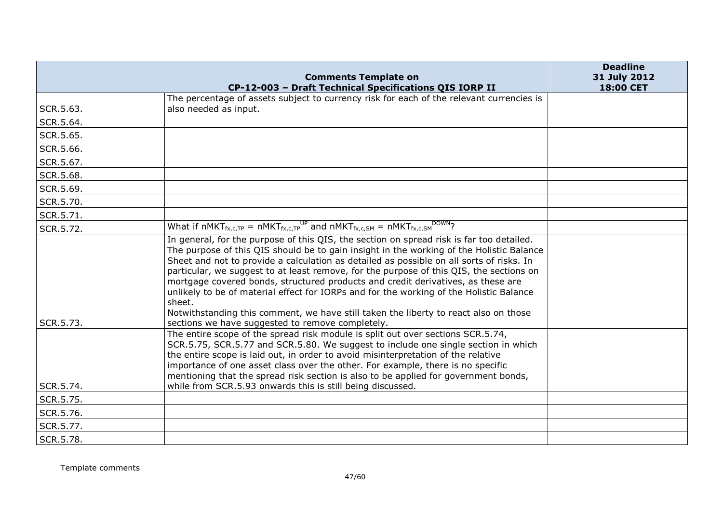|           | <b>Comments Template on</b>                                                                                                                                                                                                                                                                                                                                                                                                                                                                                                                                                                                                                                                                                      | <b>Deadline</b><br>31 July 2012 |
|-----------|------------------------------------------------------------------------------------------------------------------------------------------------------------------------------------------------------------------------------------------------------------------------------------------------------------------------------------------------------------------------------------------------------------------------------------------------------------------------------------------------------------------------------------------------------------------------------------------------------------------------------------------------------------------------------------------------------------------|---------------------------------|
|           | CP-12-003 - Draft Technical Specifications QIS IORP II                                                                                                                                                                                                                                                                                                                                                                                                                                                                                                                                                                                                                                                           | 18:00 CET                       |
|           | The percentage of assets subject to currency risk for each of the relevant currencies is                                                                                                                                                                                                                                                                                                                                                                                                                                                                                                                                                                                                                         |                                 |
| SCR.5.63. | also needed as input.                                                                                                                                                                                                                                                                                                                                                                                                                                                                                                                                                                                                                                                                                            |                                 |
| SCR.5.64. |                                                                                                                                                                                                                                                                                                                                                                                                                                                                                                                                                                                                                                                                                                                  |                                 |
| SCR.5.65. |                                                                                                                                                                                                                                                                                                                                                                                                                                                                                                                                                                                                                                                                                                                  |                                 |
| SCR.5.66. |                                                                                                                                                                                                                                                                                                                                                                                                                                                                                                                                                                                                                                                                                                                  |                                 |
| SCR.5.67. |                                                                                                                                                                                                                                                                                                                                                                                                                                                                                                                                                                                                                                                                                                                  |                                 |
| SCR.5.68. |                                                                                                                                                                                                                                                                                                                                                                                                                                                                                                                                                                                                                                                                                                                  |                                 |
| SCR.5.69. |                                                                                                                                                                                                                                                                                                                                                                                                                                                                                                                                                                                                                                                                                                                  |                                 |
| SCR.5.70. |                                                                                                                                                                                                                                                                                                                                                                                                                                                                                                                                                                                                                                                                                                                  |                                 |
| SCR.5.71. |                                                                                                                                                                                                                                                                                                                                                                                                                                                                                                                                                                                                                                                                                                                  |                                 |
| SCR.5.72. | What if nMKT <sub>fx,c,TP</sub> = nMKT <sub>fx,c,TP</sub> <sup>UP</sup> and nMKT <sub>fx,c,SM</sub> = nMKT <sub>fx,c,SM</sub> DOWN?                                                                                                                                                                                                                                                                                                                                                                                                                                                                                                                                                                              |                                 |
| SCR.5.73. | In general, for the purpose of this QIS, the section on spread risk is far too detailed.<br>The purpose of this QIS should be to gain insight in the working of the Holistic Balance<br>Sheet and not to provide a calculation as detailed as possible on all sorts of risks. In<br>particular, we suggest to at least remove, for the purpose of this QIS, the sections on<br>mortgage covered bonds, structured products and credit derivatives, as these are<br>unlikely to be of material effect for IORPs and for the working of the Holistic Balance<br>sheet.<br>Notwithstanding this comment, we have still taken the liberty to react also on those<br>sections we have suggested to remove completely. |                                 |
|           | The entire scope of the spread risk module is split out over sections SCR.5.74,<br>SCR.5.75, SCR.5.77 and SCR.5.80. We suggest to include one single section in which<br>the entire scope is laid out, in order to avoid misinterpretation of the relative<br>importance of one asset class over the other. For example, there is no specific<br>mentioning that the spread risk section is also to be applied for government bonds,                                                                                                                                                                                                                                                                             |                                 |
| SCR.5.74. | while from SCR.5.93 onwards this is still being discussed.                                                                                                                                                                                                                                                                                                                                                                                                                                                                                                                                                                                                                                                       |                                 |
| SCR.5.75. |                                                                                                                                                                                                                                                                                                                                                                                                                                                                                                                                                                                                                                                                                                                  |                                 |
| SCR.5.76. |                                                                                                                                                                                                                                                                                                                                                                                                                                                                                                                                                                                                                                                                                                                  |                                 |
| SCR.5.77. |                                                                                                                                                                                                                                                                                                                                                                                                                                                                                                                                                                                                                                                                                                                  |                                 |
| SCR.5.78. |                                                                                                                                                                                                                                                                                                                                                                                                                                                                                                                                                                                                                                                                                                                  |                                 |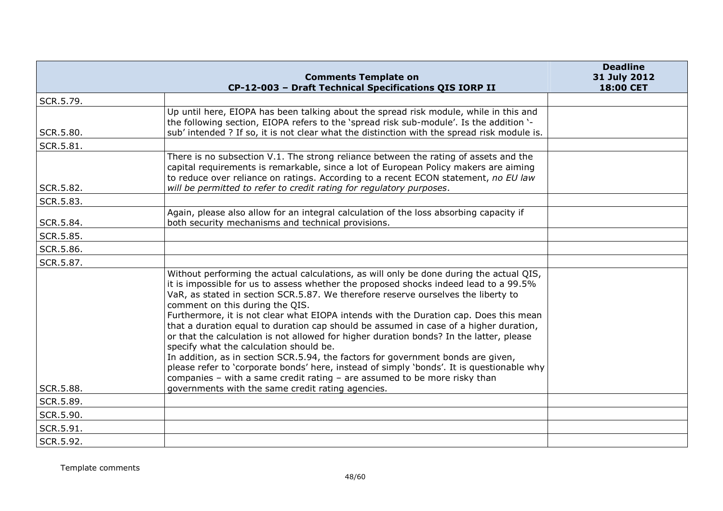|           | <b>Comments Template on</b>                                                                                                                                                                                                                                                                                                                                                                                                                                                                                                                                                                                                                                                                                                                                                                                                                                                                                                                        | <b>Deadline</b><br>31 July 2012 |
|-----------|----------------------------------------------------------------------------------------------------------------------------------------------------------------------------------------------------------------------------------------------------------------------------------------------------------------------------------------------------------------------------------------------------------------------------------------------------------------------------------------------------------------------------------------------------------------------------------------------------------------------------------------------------------------------------------------------------------------------------------------------------------------------------------------------------------------------------------------------------------------------------------------------------------------------------------------------------|---------------------------------|
|           | CP-12-003 - Draft Technical Specifications QIS IORP II                                                                                                                                                                                                                                                                                                                                                                                                                                                                                                                                                                                                                                                                                                                                                                                                                                                                                             | 18:00 CET                       |
| SCR.5.79. |                                                                                                                                                                                                                                                                                                                                                                                                                                                                                                                                                                                                                                                                                                                                                                                                                                                                                                                                                    |                                 |
| SCR.5.80. | Up until here, EIOPA has been talking about the spread risk module, while in this and<br>the following section, EIOPA refers to the 'spread risk sub-module'. Is the addition '-<br>sub' intended ? If so, it is not clear what the distinction with the spread risk module is.                                                                                                                                                                                                                                                                                                                                                                                                                                                                                                                                                                                                                                                                    |                                 |
| SCR.5.81. |                                                                                                                                                                                                                                                                                                                                                                                                                                                                                                                                                                                                                                                                                                                                                                                                                                                                                                                                                    |                                 |
| SCR.5.82. | There is no subsection V.1. The strong reliance between the rating of assets and the<br>capital requirements is remarkable, since a lot of European Policy makers are aiming<br>to reduce over reliance on ratings. According to a recent ECON statement, no EU law<br>will be permitted to refer to credit rating for regulatory purposes.                                                                                                                                                                                                                                                                                                                                                                                                                                                                                                                                                                                                        |                                 |
| SCR.5.83. |                                                                                                                                                                                                                                                                                                                                                                                                                                                                                                                                                                                                                                                                                                                                                                                                                                                                                                                                                    |                                 |
| SCR.5.84. | Again, please also allow for an integral calculation of the loss absorbing capacity if<br>both security mechanisms and technical provisions.                                                                                                                                                                                                                                                                                                                                                                                                                                                                                                                                                                                                                                                                                                                                                                                                       |                                 |
| SCR.5.85. |                                                                                                                                                                                                                                                                                                                                                                                                                                                                                                                                                                                                                                                                                                                                                                                                                                                                                                                                                    |                                 |
| SCR.5.86. |                                                                                                                                                                                                                                                                                                                                                                                                                                                                                                                                                                                                                                                                                                                                                                                                                                                                                                                                                    |                                 |
| SCR.5.87. |                                                                                                                                                                                                                                                                                                                                                                                                                                                                                                                                                                                                                                                                                                                                                                                                                                                                                                                                                    |                                 |
| SCR.5.88. | Without performing the actual calculations, as will only be done during the actual QIS,<br>it is impossible for us to assess whether the proposed shocks indeed lead to a 99.5%<br>VaR, as stated in section SCR.5.87. We therefore reserve ourselves the liberty to<br>comment on this during the QIS.<br>Furthermore, it is not clear what EIOPA intends with the Duration cap. Does this mean<br>that a duration equal to duration cap should be assumed in case of a higher duration,<br>or that the calculation is not allowed for higher duration bonds? In the latter, please<br>specify what the calculation should be.<br>In addition, as in section SCR.5.94, the factors for government bonds are given,<br>please refer to 'corporate bonds' here, instead of simply 'bonds'. It is questionable why<br>companies - with a same credit rating - are assumed to be more risky than<br>governments with the same credit rating agencies. |                                 |
| SCR.5.89. |                                                                                                                                                                                                                                                                                                                                                                                                                                                                                                                                                                                                                                                                                                                                                                                                                                                                                                                                                    |                                 |
| SCR.5.90. |                                                                                                                                                                                                                                                                                                                                                                                                                                                                                                                                                                                                                                                                                                                                                                                                                                                                                                                                                    |                                 |
| SCR.5.91. |                                                                                                                                                                                                                                                                                                                                                                                                                                                                                                                                                                                                                                                                                                                                                                                                                                                                                                                                                    |                                 |
| SCR.5.92. |                                                                                                                                                                                                                                                                                                                                                                                                                                                                                                                                                                                                                                                                                                                                                                                                                                                                                                                                                    |                                 |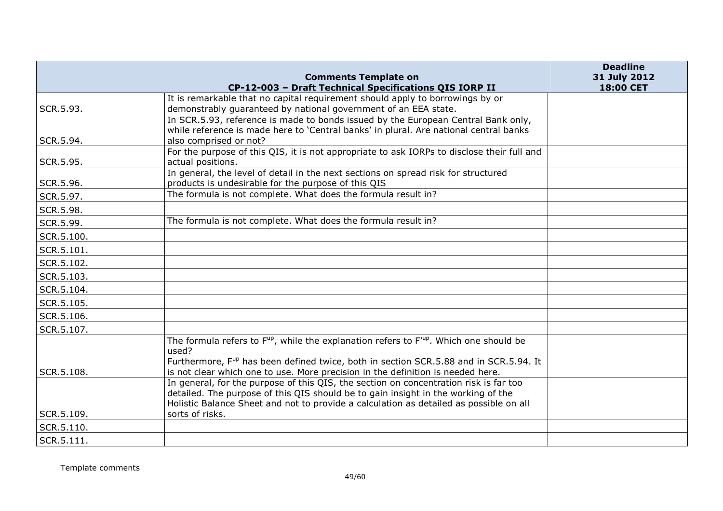|            |                                                                                                                        | <b>Deadline</b>           |
|------------|------------------------------------------------------------------------------------------------------------------------|---------------------------|
|            | <b>Comments Template on</b><br>CP-12-003 - Draft Technical Specifications QIS IORP II                                  | 31 July 2012<br>18:00 CET |
|            | It is remarkable that no capital requirement should apply to borrowings by or                                          |                           |
| SCR.5.93.  | demonstrably guaranteed by national government of an EEA state.                                                        |                           |
|            | In SCR.5.93, reference is made to bonds issued by the European Central Bank only,                                      |                           |
|            | while reference is made here to 'Central banks' in plural. Are national central banks                                  |                           |
| SCR.5.94.  | also comprised or not?                                                                                                 |                           |
|            | For the purpose of this QIS, it is not appropriate to ask IORPs to disclose their full and                             |                           |
| SCR.5.95.  | actual positions.<br>In general, the level of detail in the next sections on spread risk for structured                |                           |
| SCR.5.96.  | products is undesirable for the purpose of this QIS                                                                    |                           |
| SCR.5.97.  | The formula is not complete. What does the formula result in?                                                          |                           |
| SCR.5.98.  |                                                                                                                        |                           |
| SCR.5.99.  | The formula is not complete. What does the formula result in?                                                          |                           |
| SCR.5.100. |                                                                                                                        |                           |
| SCR.5.101. |                                                                                                                        |                           |
| SCR.5.102. |                                                                                                                        |                           |
| SCR.5.103. |                                                                                                                        |                           |
| SCR.5.104. |                                                                                                                        |                           |
| SCR.5.105. |                                                                                                                        |                           |
| SCR.5.106. |                                                                                                                        |                           |
| SCR.5.107. |                                                                                                                        |                           |
|            | The formula refers to F <sup>up</sup> , while the explanation refers to F <sup>up</sup> . Which one should be<br>used? |                           |
|            | Furthermore, F <sup>up</sup> has been defined twice, both in section SCR.5.88 and in SCR.5.94. It                      |                           |
| SCR.5.108. | is not clear which one to use. More precision in the definition is needed here.                                        |                           |
|            | In general, for the purpose of this QIS, the section on concentration risk is far too                                  |                           |
|            | detailed. The purpose of this QIS should be to gain insight in the working of the                                      |                           |
| SCR.5.109. | Holistic Balance Sheet and not to provide a calculation as detailed as possible on all<br>sorts of risks.              |                           |
| SCR.5.110. |                                                                                                                        |                           |
|            |                                                                                                                        |                           |
| SCR.5.111. |                                                                                                                        |                           |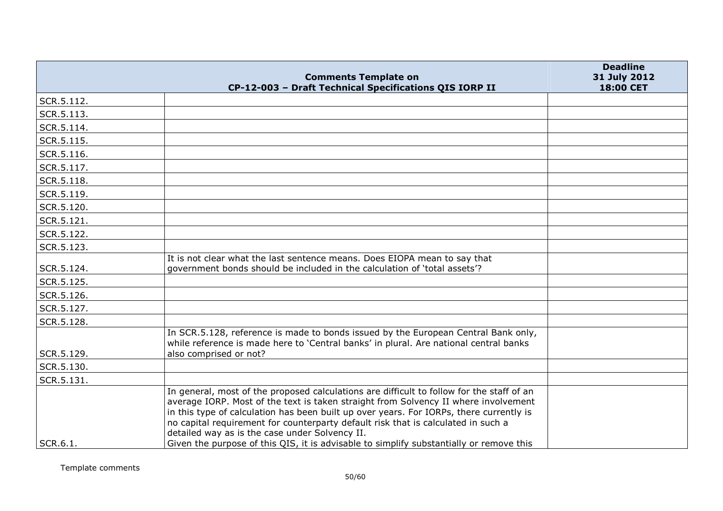|            | <b>Comments Template on</b>                                                                                                                                                                                                                                                                                                                                                                                                                                                                                   | <b>Deadline</b><br>31 July 2012 |
|------------|---------------------------------------------------------------------------------------------------------------------------------------------------------------------------------------------------------------------------------------------------------------------------------------------------------------------------------------------------------------------------------------------------------------------------------------------------------------------------------------------------------------|---------------------------------|
|            | CP-12-003 - Draft Technical Specifications QIS IORP II                                                                                                                                                                                                                                                                                                                                                                                                                                                        | 18:00 CET                       |
| SCR.5.112. |                                                                                                                                                                                                                                                                                                                                                                                                                                                                                                               |                                 |
| SCR.5.113. |                                                                                                                                                                                                                                                                                                                                                                                                                                                                                                               |                                 |
| SCR.5.114. |                                                                                                                                                                                                                                                                                                                                                                                                                                                                                                               |                                 |
| SCR.5.115. |                                                                                                                                                                                                                                                                                                                                                                                                                                                                                                               |                                 |
| SCR.5.116. |                                                                                                                                                                                                                                                                                                                                                                                                                                                                                                               |                                 |
| SCR.5.117. |                                                                                                                                                                                                                                                                                                                                                                                                                                                                                                               |                                 |
| SCR.5.118. |                                                                                                                                                                                                                                                                                                                                                                                                                                                                                                               |                                 |
| SCR.5.119. |                                                                                                                                                                                                                                                                                                                                                                                                                                                                                                               |                                 |
| SCR.5.120. |                                                                                                                                                                                                                                                                                                                                                                                                                                                                                                               |                                 |
| SCR.5.121. |                                                                                                                                                                                                                                                                                                                                                                                                                                                                                                               |                                 |
| SCR.5.122. |                                                                                                                                                                                                                                                                                                                                                                                                                                                                                                               |                                 |
| SCR.5.123. |                                                                                                                                                                                                                                                                                                                                                                                                                                                                                                               |                                 |
| SCR.5.124. | It is not clear what the last sentence means. Does EIOPA mean to say that<br>government bonds should be included in the calculation of 'total assets'?                                                                                                                                                                                                                                                                                                                                                        |                                 |
| SCR.5.125. |                                                                                                                                                                                                                                                                                                                                                                                                                                                                                                               |                                 |
| SCR.5.126. |                                                                                                                                                                                                                                                                                                                                                                                                                                                                                                               |                                 |
| SCR.5.127. |                                                                                                                                                                                                                                                                                                                                                                                                                                                                                                               |                                 |
| SCR.5.128. |                                                                                                                                                                                                                                                                                                                                                                                                                                                                                                               |                                 |
| SCR.5.129. | In SCR.5.128, reference is made to bonds issued by the European Central Bank only,<br>while reference is made here to 'Central banks' in plural. Are national central banks<br>also comprised or not?                                                                                                                                                                                                                                                                                                         |                                 |
| SCR.5.130. |                                                                                                                                                                                                                                                                                                                                                                                                                                                                                                               |                                 |
| SCR.5.131. |                                                                                                                                                                                                                                                                                                                                                                                                                                                                                                               |                                 |
| SCR.6.1.   | In general, most of the proposed calculations are difficult to follow for the staff of an<br>average IORP. Most of the text is taken straight from Solvency II where involvement<br>in this type of calculation has been built up over years. For IORPs, there currently is<br>no capital requirement for counterparty default risk that is calculated in such a<br>detailed way as is the case under Solvency II.<br>Given the purpose of this QIS, it is advisable to simplify substantially or remove this |                                 |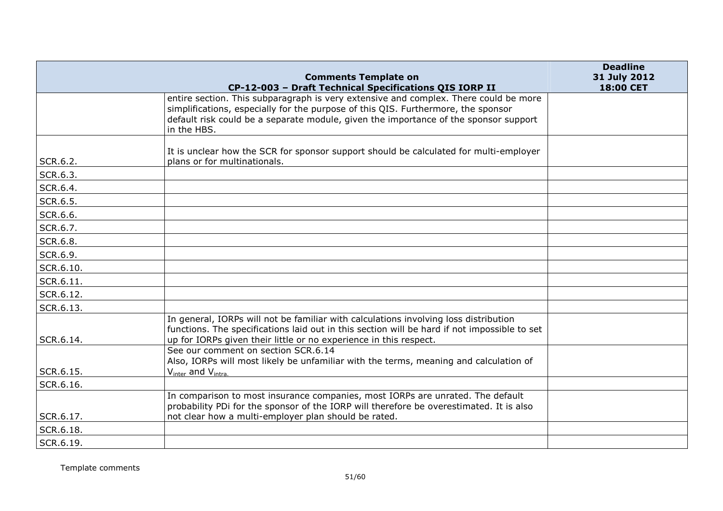|           |                                                                                                                                                                   | <b>Deadline</b>           |
|-----------|-------------------------------------------------------------------------------------------------------------------------------------------------------------------|---------------------------|
|           | <b>Comments Template on</b><br>CP-12-003 - Draft Technical Specifications QIS IORP II                                                                             | 31 July 2012<br>18:00 CET |
|           | entire section. This subparagraph is very extensive and complex. There could be more                                                                              |                           |
|           | simplifications, especially for the purpose of this QIS. Furthermore, the sponsor                                                                                 |                           |
|           | default risk could be a separate module, given the importance of the sponsor support<br>in the HBS.                                                               |                           |
|           | It is unclear how the SCR for sponsor support should be calculated for multi-employer                                                                             |                           |
| SCR.6.2.  | plans or for multinationals.                                                                                                                                      |                           |
| SCR.6.3.  |                                                                                                                                                                   |                           |
| SCR.6.4.  |                                                                                                                                                                   |                           |
| SCR.6.5.  |                                                                                                                                                                   |                           |
| SCR.6.6.  |                                                                                                                                                                   |                           |
| SCR.6.7.  |                                                                                                                                                                   |                           |
| SCR.6.8.  |                                                                                                                                                                   |                           |
| SCR.6.9.  |                                                                                                                                                                   |                           |
| SCR.6.10. |                                                                                                                                                                   |                           |
| SCR.6.11. |                                                                                                                                                                   |                           |
| SCR.6.12. |                                                                                                                                                                   |                           |
| SCR.6.13. |                                                                                                                                                                   |                           |
|           | In general, IORPs will not be familiar with calculations involving loss distribution                                                                              |                           |
| SCR.6.14. | functions. The specifications laid out in this section will be hard if not impossible to set<br>up for IORPs given their little or no experience in this respect. |                           |
|           | See our comment on section SCR.6.14                                                                                                                               |                           |
| SCR.6.15. | Also, IORPs will most likely be unfamiliar with the terms, meaning and calculation of                                                                             |                           |
| SCR.6.16. | $V_{inter}$ and $V_{intra}$ .                                                                                                                                     |                           |
|           | In comparison to most insurance companies, most IORPs are unrated. The default                                                                                    |                           |
|           | probability PDi for the sponsor of the IORP will therefore be overestimated. It is also                                                                           |                           |
| SCR.6.17. | not clear how a multi-employer plan should be rated.                                                                                                              |                           |
| SCR.6.18. |                                                                                                                                                                   |                           |
| SCR.6.19. |                                                                                                                                                                   |                           |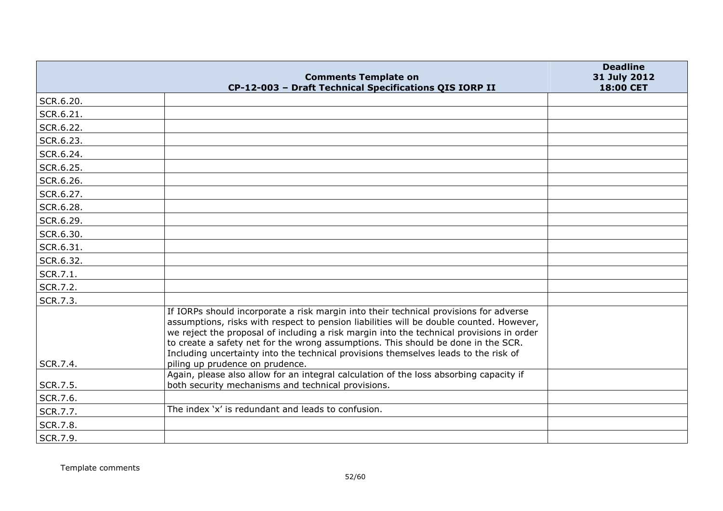|           | <b>Comments Template on</b>                                                                                                                                                                                                                                                                                                                                                                                                                                                                 | <b>Deadline</b><br>31 July 2012 |
|-----------|---------------------------------------------------------------------------------------------------------------------------------------------------------------------------------------------------------------------------------------------------------------------------------------------------------------------------------------------------------------------------------------------------------------------------------------------------------------------------------------------|---------------------------------|
|           | CP-12-003 - Draft Technical Specifications QIS IORP II                                                                                                                                                                                                                                                                                                                                                                                                                                      | 18:00 CET                       |
| SCR.6.20. |                                                                                                                                                                                                                                                                                                                                                                                                                                                                                             |                                 |
| SCR.6.21. |                                                                                                                                                                                                                                                                                                                                                                                                                                                                                             |                                 |
| SCR.6.22. |                                                                                                                                                                                                                                                                                                                                                                                                                                                                                             |                                 |
| SCR.6.23. |                                                                                                                                                                                                                                                                                                                                                                                                                                                                                             |                                 |
| SCR.6.24. |                                                                                                                                                                                                                                                                                                                                                                                                                                                                                             |                                 |
| SCR.6.25. |                                                                                                                                                                                                                                                                                                                                                                                                                                                                                             |                                 |
| SCR.6.26. |                                                                                                                                                                                                                                                                                                                                                                                                                                                                                             |                                 |
| SCR.6.27. |                                                                                                                                                                                                                                                                                                                                                                                                                                                                                             |                                 |
| SCR.6.28. |                                                                                                                                                                                                                                                                                                                                                                                                                                                                                             |                                 |
| SCR.6.29. |                                                                                                                                                                                                                                                                                                                                                                                                                                                                                             |                                 |
| SCR.6.30. |                                                                                                                                                                                                                                                                                                                                                                                                                                                                                             |                                 |
| SCR.6.31. |                                                                                                                                                                                                                                                                                                                                                                                                                                                                                             |                                 |
| SCR.6.32. |                                                                                                                                                                                                                                                                                                                                                                                                                                                                                             |                                 |
| SCR.7.1.  |                                                                                                                                                                                                                                                                                                                                                                                                                                                                                             |                                 |
| SCR.7.2.  |                                                                                                                                                                                                                                                                                                                                                                                                                                                                                             |                                 |
| SCR.7.3.  |                                                                                                                                                                                                                                                                                                                                                                                                                                                                                             |                                 |
| SCR.7.4.  | If IORPs should incorporate a risk margin into their technical provisions for adverse<br>assumptions, risks with respect to pension liabilities will be double counted. However,<br>we reject the proposal of including a risk margin into the technical provisions in order<br>to create a safety net for the wrong assumptions. This should be done in the SCR.<br>Including uncertainty into the technical provisions themselves leads to the risk of<br>piling up prudence on prudence. |                                 |
|           | Again, please also allow for an integral calculation of the loss absorbing capacity if                                                                                                                                                                                                                                                                                                                                                                                                      |                                 |
| SCR.7.5.  | both security mechanisms and technical provisions.                                                                                                                                                                                                                                                                                                                                                                                                                                          |                                 |
| SCR.7.6.  |                                                                                                                                                                                                                                                                                                                                                                                                                                                                                             |                                 |
| SCR.7.7.  | The index 'x' is redundant and leads to confusion.                                                                                                                                                                                                                                                                                                                                                                                                                                          |                                 |
| SCR.7.8.  |                                                                                                                                                                                                                                                                                                                                                                                                                                                                                             |                                 |
| SCR.7.9.  |                                                                                                                                                                                                                                                                                                                                                                                                                                                                                             |                                 |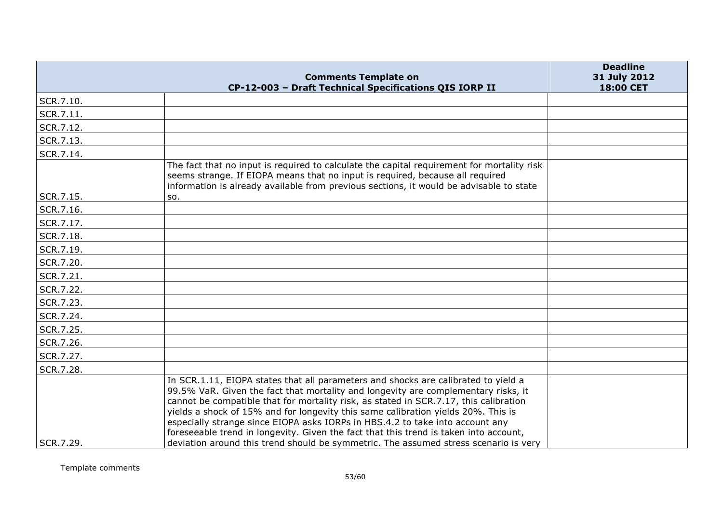|           | <b>Comments Template on</b>                                                                                                                                                                                                                                                                                                                                                                                                                                                                                                                                                                                              | <b>Deadline</b><br>31 July 2012 |
|-----------|--------------------------------------------------------------------------------------------------------------------------------------------------------------------------------------------------------------------------------------------------------------------------------------------------------------------------------------------------------------------------------------------------------------------------------------------------------------------------------------------------------------------------------------------------------------------------------------------------------------------------|---------------------------------|
|           | CP-12-003 - Draft Technical Specifications QIS IORP II                                                                                                                                                                                                                                                                                                                                                                                                                                                                                                                                                                   | 18:00 CET                       |
| SCR.7.10. |                                                                                                                                                                                                                                                                                                                                                                                                                                                                                                                                                                                                                          |                                 |
| SCR.7.11. |                                                                                                                                                                                                                                                                                                                                                                                                                                                                                                                                                                                                                          |                                 |
| SCR.7.12. |                                                                                                                                                                                                                                                                                                                                                                                                                                                                                                                                                                                                                          |                                 |
| SCR.7.13. |                                                                                                                                                                                                                                                                                                                                                                                                                                                                                                                                                                                                                          |                                 |
| SCR.7.14. |                                                                                                                                                                                                                                                                                                                                                                                                                                                                                                                                                                                                                          |                                 |
|           | The fact that no input is required to calculate the capital requirement for mortality risk<br>seems strange. If EIOPA means that no input is required, because all required<br>information is already available from previous sections, it would be advisable to state                                                                                                                                                                                                                                                                                                                                                   |                                 |
| SCR.7.15. | SO.                                                                                                                                                                                                                                                                                                                                                                                                                                                                                                                                                                                                                      |                                 |
| SCR.7.16. |                                                                                                                                                                                                                                                                                                                                                                                                                                                                                                                                                                                                                          |                                 |
| SCR.7.17. |                                                                                                                                                                                                                                                                                                                                                                                                                                                                                                                                                                                                                          |                                 |
| SCR.7.18. |                                                                                                                                                                                                                                                                                                                                                                                                                                                                                                                                                                                                                          |                                 |
| SCR.7.19. |                                                                                                                                                                                                                                                                                                                                                                                                                                                                                                                                                                                                                          |                                 |
| SCR.7.20. |                                                                                                                                                                                                                                                                                                                                                                                                                                                                                                                                                                                                                          |                                 |
| SCR.7.21. |                                                                                                                                                                                                                                                                                                                                                                                                                                                                                                                                                                                                                          |                                 |
| SCR.7.22. |                                                                                                                                                                                                                                                                                                                                                                                                                                                                                                                                                                                                                          |                                 |
| SCR.7.23. |                                                                                                                                                                                                                                                                                                                                                                                                                                                                                                                                                                                                                          |                                 |
| SCR.7.24. |                                                                                                                                                                                                                                                                                                                                                                                                                                                                                                                                                                                                                          |                                 |
| SCR.7.25. |                                                                                                                                                                                                                                                                                                                                                                                                                                                                                                                                                                                                                          |                                 |
| SCR.7.26. |                                                                                                                                                                                                                                                                                                                                                                                                                                                                                                                                                                                                                          |                                 |
| SCR.7.27. |                                                                                                                                                                                                                                                                                                                                                                                                                                                                                                                                                                                                                          |                                 |
| SCR.7.28. |                                                                                                                                                                                                                                                                                                                                                                                                                                                                                                                                                                                                                          |                                 |
| SCR.7.29. | In SCR.1.11, EIOPA states that all parameters and shocks are calibrated to yield a<br>99.5% VaR. Given the fact that mortality and longevity are complementary risks, it<br>cannot be compatible that for mortality risk, as stated in SCR.7.17, this calibration<br>yields a shock of 15% and for longevity this same calibration yields 20%. This is<br>especially strange since EIOPA asks IORPs in HBS.4.2 to take into account any<br>foreseeable trend in longevity. Given the fact that this trend is taken into account,<br>deviation around this trend should be symmetric. The assumed stress scenario is very |                                 |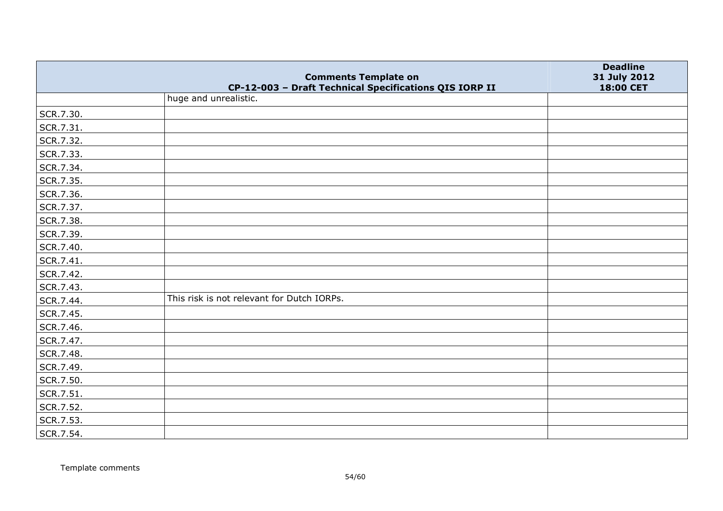|           | <b>Comments Template on</b>                                                     | <b>Deadline</b><br>31 July 2012 |
|-----------|---------------------------------------------------------------------------------|---------------------------------|
|           | CP-12-003 - Draft Technical Specifications QIS IORP II<br>huge and unrealistic. | 18:00 CET                       |
| SCR.7.30. |                                                                                 |                                 |
| SCR.7.31. |                                                                                 |                                 |
| SCR.7.32. |                                                                                 |                                 |
| SCR.7.33. |                                                                                 |                                 |
| SCR.7.34. |                                                                                 |                                 |
| SCR.7.35. |                                                                                 |                                 |
| SCR.7.36. |                                                                                 |                                 |
| SCR.7.37. |                                                                                 |                                 |
| SCR.7.38. |                                                                                 |                                 |
| SCR.7.39. |                                                                                 |                                 |
| SCR.7.40. |                                                                                 |                                 |
| SCR.7.41. |                                                                                 |                                 |
| SCR.7.42. |                                                                                 |                                 |
| SCR.7.43. |                                                                                 |                                 |
| SCR.7.44. | This risk is not relevant for Dutch IORPs.                                      |                                 |
| SCR.7.45. |                                                                                 |                                 |
| SCR.7.46. |                                                                                 |                                 |
| SCR.7.47. |                                                                                 |                                 |
| SCR.7.48. |                                                                                 |                                 |
| SCR.7.49. |                                                                                 |                                 |
| SCR.7.50. |                                                                                 |                                 |
| SCR.7.51. |                                                                                 |                                 |
| SCR.7.52. |                                                                                 |                                 |
| SCR.7.53. |                                                                                 |                                 |
| SCR.7.54. |                                                                                 |                                 |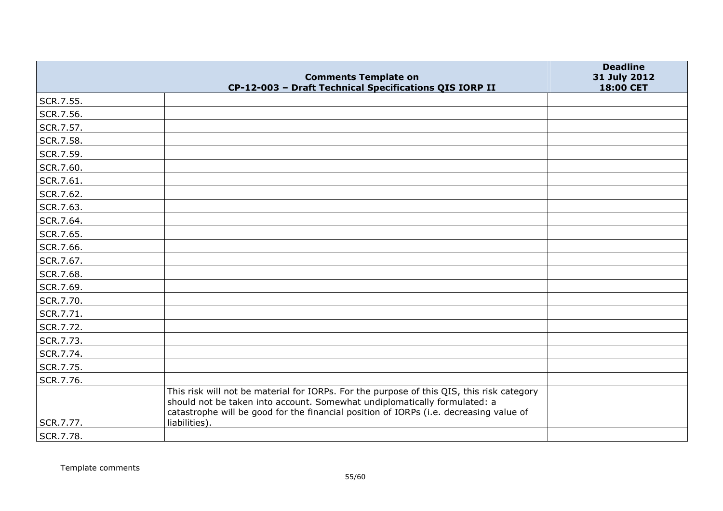|           | <b>Comments Template on</b>                                                                                                                                                                                                                                      | <b>Deadline</b><br>31 July 2012 |
|-----------|------------------------------------------------------------------------------------------------------------------------------------------------------------------------------------------------------------------------------------------------------------------|---------------------------------|
|           | CP-12-003 - Draft Technical Specifications QIS IORP II                                                                                                                                                                                                           | 18:00 CET                       |
| SCR.7.55. |                                                                                                                                                                                                                                                                  |                                 |
| SCR.7.56. |                                                                                                                                                                                                                                                                  |                                 |
| SCR.7.57. |                                                                                                                                                                                                                                                                  |                                 |
| SCR.7.58. |                                                                                                                                                                                                                                                                  |                                 |
| SCR.7.59. |                                                                                                                                                                                                                                                                  |                                 |
| SCR.7.60. |                                                                                                                                                                                                                                                                  |                                 |
| SCR.7.61. |                                                                                                                                                                                                                                                                  |                                 |
| SCR.7.62. |                                                                                                                                                                                                                                                                  |                                 |
| SCR.7.63. |                                                                                                                                                                                                                                                                  |                                 |
| SCR.7.64. |                                                                                                                                                                                                                                                                  |                                 |
| SCR.7.65. |                                                                                                                                                                                                                                                                  |                                 |
| SCR.7.66. |                                                                                                                                                                                                                                                                  |                                 |
| SCR.7.67. |                                                                                                                                                                                                                                                                  |                                 |
| SCR.7.68. |                                                                                                                                                                                                                                                                  |                                 |
| SCR.7.69. |                                                                                                                                                                                                                                                                  |                                 |
| SCR.7.70. |                                                                                                                                                                                                                                                                  |                                 |
| SCR.7.71. |                                                                                                                                                                                                                                                                  |                                 |
| SCR.7.72. |                                                                                                                                                                                                                                                                  |                                 |
| SCR.7.73. |                                                                                                                                                                                                                                                                  |                                 |
| SCR.7.74. |                                                                                                                                                                                                                                                                  |                                 |
| SCR.7.75. |                                                                                                                                                                                                                                                                  |                                 |
| SCR.7.76. |                                                                                                                                                                                                                                                                  |                                 |
|           | This risk will not be material for IORPs. For the purpose of this QIS, this risk category<br>should not be taken into account. Somewhat undiplomatically formulated: a<br>catastrophe will be good for the financial position of IORPs (i.e. decreasing value of |                                 |
| SCR.7.77. | liabilities).                                                                                                                                                                                                                                                    |                                 |
| SCR.7.78. |                                                                                                                                                                                                                                                                  |                                 |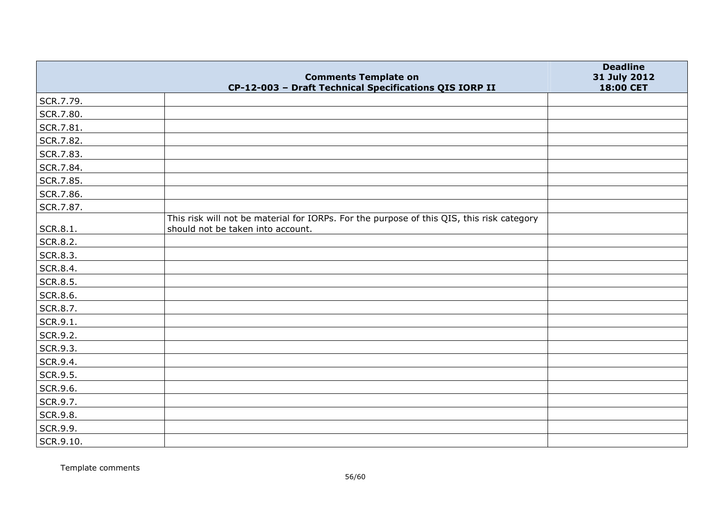|                 | <b>Comments Template on</b>                                                               | <b>Deadline</b><br>31 July 2012 |
|-----------------|-------------------------------------------------------------------------------------------|---------------------------------|
| SCR.7.79.       | CP-12-003 - Draft Technical Specifications QIS IORP II                                    | 18:00 CET                       |
| SCR.7.80.       |                                                                                           |                                 |
| SCR.7.81.       |                                                                                           |                                 |
| SCR.7.82.       |                                                                                           |                                 |
| SCR.7.83.       |                                                                                           |                                 |
| SCR.7.84.       |                                                                                           |                                 |
| SCR.7.85.       |                                                                                           |                                 |
| SCR.7.86.       |                                                                                           |                                 |
| SCR.7.87.       |                                                                                           |                                 |
|                 | This risk will not be material for IORPs. For the purpose of this QIS, this risk category |                                 |
| SCR.8.1.        | should not be taken into account.                                                         |                                 |
| <b>SCR.8.2.</b> |                                                                                           |                                 |
| SCR.8.3.        |                                                                                           |                                 |
| SCR.8.4.        |                                                                                           |                                 |
| SCR.8.5.        |                                                                                           |                                 |
| SCR.8.6.        |                                                                                           |                                 |
| SCR.8.7.        |                                                                                           |                                 |
| SCR.9.1.        |                                                                                           |                                 |
| SCR.9.2.        |                                                                                           |                                 |
| SCR.9.3.        |                                                                                           |                                 |
| SCR.9.4.        |                                                                                           |                                 |
| SCR.9.5.        |                                                                                           |                                 |
| SCR.9.6.        |                                                                                           |                                 |
| SCR.9.7.        |                                                                                           |                                 |
| SCR.9.8.        |                                                                                           |                                 |
| SCR.9.9.        |                                                                                           |                                 |
| SCR.9.10.       |                                                                                           |                                 |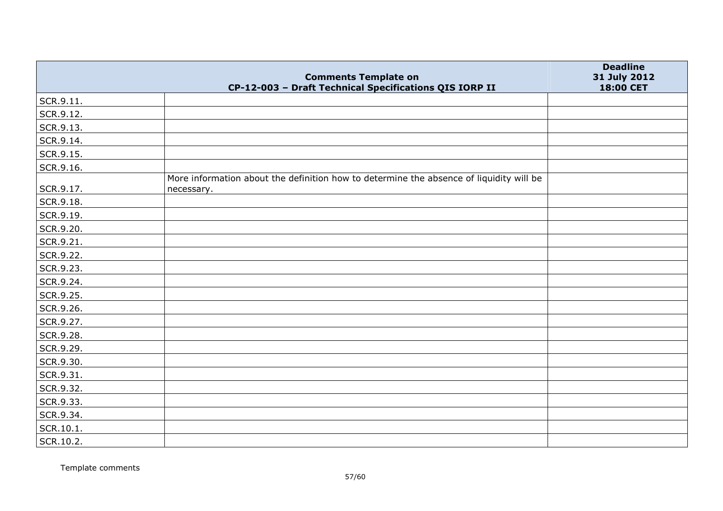|           | <b>Comments Template on</b>                                                                           | <b>Deadline</b><br>31 July 2012 |
|-----------|-------------------------------------------------------------------------------------------------------|---------------------------------|
|           | CP-12-003 - Draft Technical Specifications QIS IORP II                                                | 18:00 CET                       |
| SCR.9.11. |                                                                                                       |                                 |
| SCR.9.12. |                                                                                                       |                                 |
| SCR.9.13. |                                                                                                       |                                 |
| SCR.9.14. |                                                                                                       |                                 |
| SCR.9.15. |                                                                                                       |                                 |
| SCR.9.16. |                                                                                                       |                                 |
| SCR.9.17. | More information about the definition how to determine the absence of liquidity will be<br>necessary. |                                 |
| SCR.9.18. |                                                                                                       |                                 |
| SCR.9.19. |                                                                                                       |                                 |
| SCR.9.20. |                                                                                                       |                                 |
| SCR.9.21. |                                                                                                       |                                 |
| SCR.9.22. |                                                                                                       |                                 |
| SCR.9.23. |                                                                                                       |                                 |
| SCR.9.24. |                                                                                                       |                                 |
| SCR.9.25. |                                                                                                       |                                 |
| SCR.9.26. |                                                                                                       |                                 |
| SCR.9.27. |                                                                                                       |                                 |
| SCR.9.28. |                                                                                                       |                                 |
| SCR.9.29. |                                                                                                       |                                 |
| SCR.9.30. |                                                                                                       |                                 |
| SCR.9.31. |                                                                                                       |                                 |
| SCR.9.32. |                                                                                                       |                                 |
| SCR.9.33. |                                                                                                       |                                 |
| SCR.9.34. |                                                                                                       |                                 |
| SCR.10.1. |                                                                                                       |                                 |
| SCR.10.2. |                                                                                                       |                                 |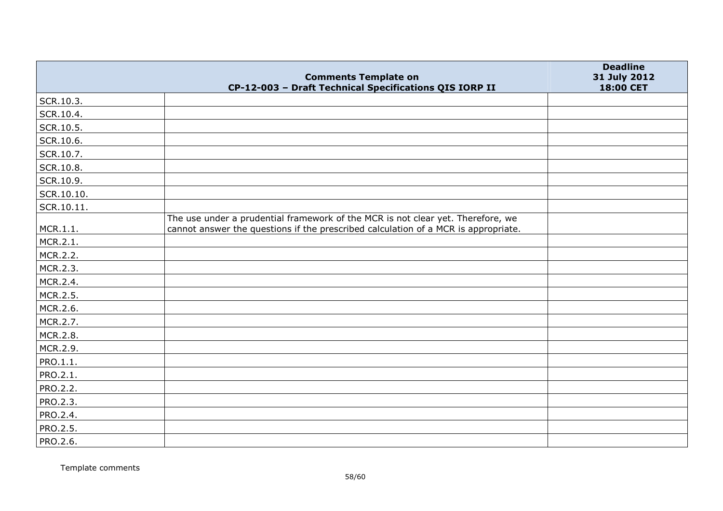|            | <b>Comments Template on</b>                                                                                                                                           | <b>Deadline</b><br>31 July 2012 |
|------------|-----------------------------------------------------------------------------------------------------------------------------------------------------------------------|---------------------------------|
|            | CP-12-003 - Draft Technical Specifications QIS IORP II                                                                                                                | 18:00 CET                       |
| SCR.10.3.  |                                                                                                                                                                       |                                 |
| SCR.10.4.  |                                                                                                                                                                       |                                 |
| SCR.10.5.  |                                                                                                                                                                       |                                 |
| SCR.10.6.  |                                                                                                                                                                       |                                 |
| SCR.10.7.  |                                                                                                                                                                       |                                 |
| SCR.10.8.  |                                                                                                                                                                       |                                 |
| SCR.10.9.  |                                                                                                                                                                       |                                 |
| SCR.10.10. |                                                                                                                                                                       |                                 |
| SCR.10.11. |                                                                                                                                                                       |                                 |
| MCR.1.1.   | The use under a prudential framework of the MCR is not clear yet. Therefore, we<br>cannot answer the questions if the prescribed calculation of a MCR is appropriate. |                                 |
| MCR.2.1.   |                                                                                                                                                                       |                                 |
| MCR.2.2.   |                                                                                                                                                                       |                                 |
| MCR.2.3.   |                                                                                                                                                                       |                                 |
| MCR.2.4.   |                                                                                                                                                                       |                                 |
| MCR.2.5.   |                                                                                                                                                                       |                                 |
| MCR.2.6.   |                                                                                                                                                                       |                                 |
| MCR.2.7.   |                                                                                                                                                                       |                                 |
| MCR.2.8.   |                                                                                                                                                                       |                                 |
| MCR.2.9.   |                                                                                                                                                                       |                                 |
| PRO.1.1.   |                                                                                                                                                                       |                                 |
| PRO.2.1.   |                                                                                                                                                                       |                                 |
| PRO.2.2.   |                                                                                                                                                                       |                                 |
| PRO.2.3.   |                                                                                                                                                                       |                                 |
| PRO.2.4.   |                                                                                                                                                                       |                                 |
| PRO.2.5.   |                                                                                                                                                                       |                                 |
| PRO.2.6.   |                                                                                                                                                                       |                                 |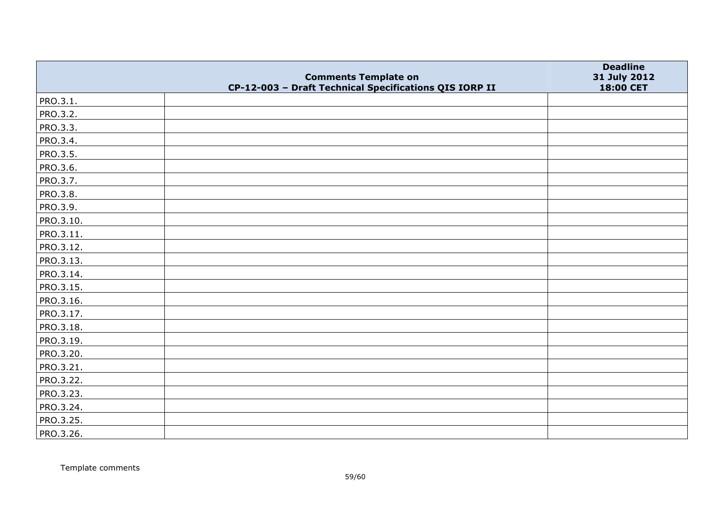|           | <b>Comments Template on</b>                            | <b>Deadline</b>           |
|-----------|--------------------------------------------------------|---------------------------|
|           | CP-12-003 - Draft Technical Specifications QIS IORP II | 31 July 2012<br>18:00 CET |
| PRO.3.1.  |                                                        |                           |
| PRO.3.2.  |                                                        |                           |
| PRO.3.3.  |                                                        |                           |
| PRO.3.4.  |                                                        |                           |
| PRO.3.5.  |                                                        |                           |
| PRO.3.6.  |                                                        |                           |
| PRO.3.7.  |                                                        |                           |
| PRO.3.8.  |                                                        |                           |
| PRO.3.9.  |                                                        |                           |
| PRO.3.10. |                                                        |                           |
| PRO.3.11. |                                                        |                           |
| PRO.3.12. |                                                        |                           |
| PRO.3.13. |                                                        |                           |
| PRO.3.14. |                                                        |                           |
| PRO.3.15. |                                                        |                           |
| PRO.3.16. |                                                        |                           |
| PRO.3.17. |                                                        |                           |
| PRO.3.18. |                                                        |                           |
| PRO.3.19. |                                                        |                           |
| PRO.3.20. |                                                        |                           |
| PRO.3.21. |                                                        |                           |
| PRO.3.22. |                                                        |                           |
| PRO.3.23. |                                                        |                           |
| PRO.3.24. |                                                        |                           |
| PRO.3.25. |                                                        |                           |
| PRO.3.26. |                                                        |                           |